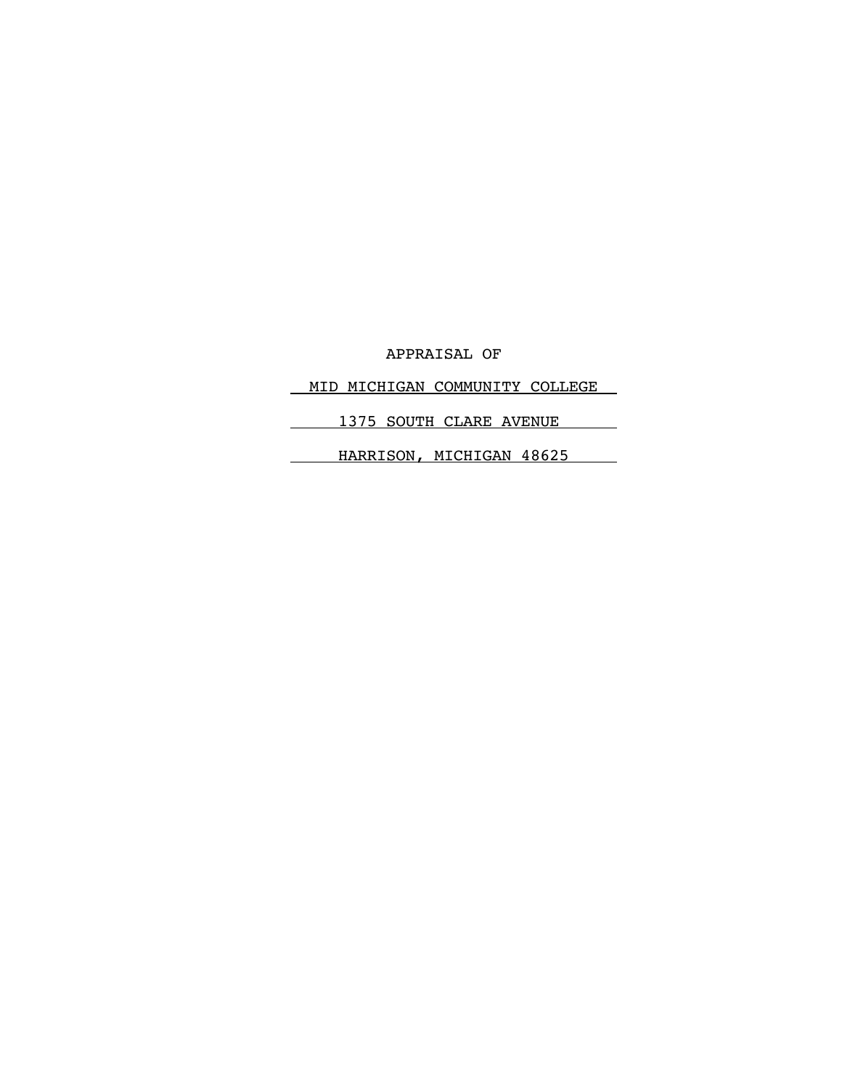APPRAISAL OF

MID MICHIGAN COMMUNITY COLLEGE

1375 SOUTH CLARE AVENUE

HARRISON, MICHIGAN 48625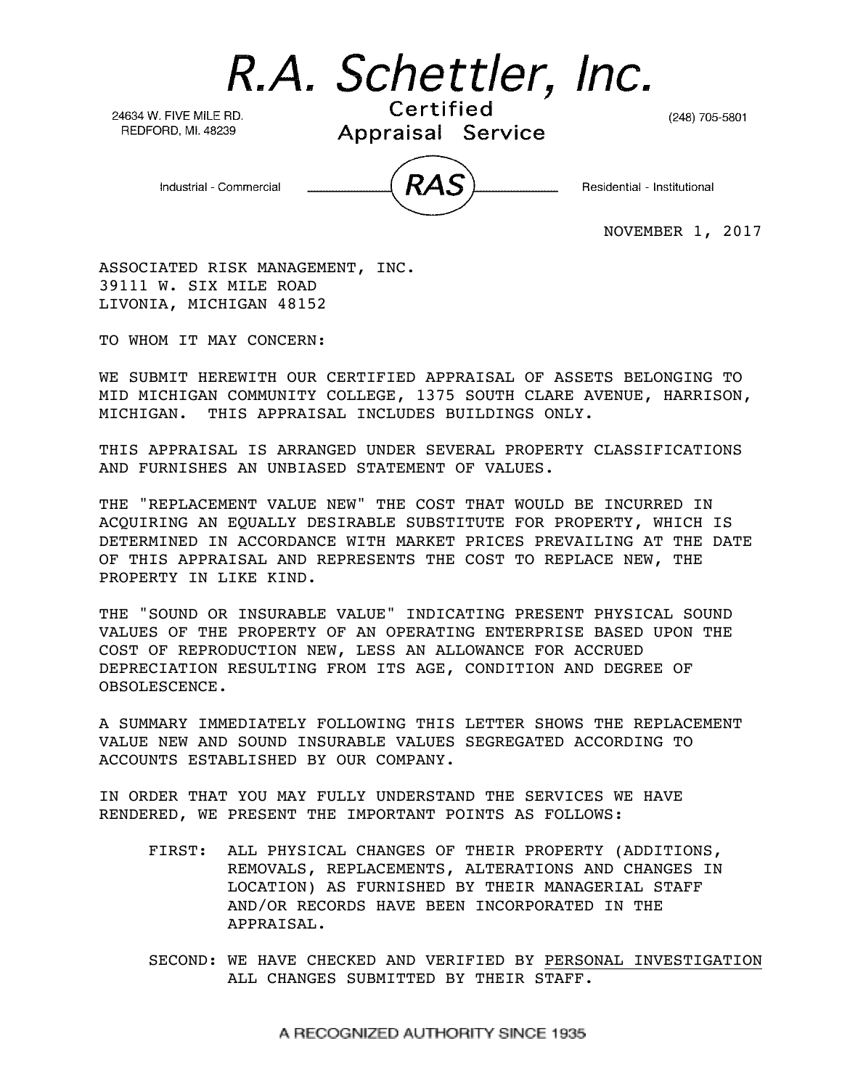R.A. Schettler, Inc.

24634 W. FIVE MILE RD. REDFORD, MI. 48239

Certified Appraisal Service

(248) 705-5801

Industrial - Commercial

Residential - Institutional

NOVEMBER 1, 2017

ASSOCIATED RISK MANAGEMENT, INC. 39111 W. SIX MILE ROAD LIVONIA, MICHIGAN 48152

TO WHOM IT MAY CONCERN:

 WE SUBMIT HEREWITH OUR CERTIFIED APPRAISAL OF ASSETS BELONGING TO MID MICHIGAN COMMUNITY COLLEGE, 1375 SOUTH CLARE AVENUE, HARRISON, MICHIGAN. THIS APPRAISAL INCLUDES BUILDINGS ONLY.

THIS APPRAISAL IS ARRANGED UNDER SEVERAL PROPERTY CLASSIFICATIONS AND FURNISHES AN UNBIASED STATEMENT OF VALUES.

THE "REPLACEMENT VALUE NEW" THE COST THAT WOULD BE INCURRED IN ACQUIRING AN EQUALLY DESIRABLE SUBSTITUTE FOR PROPERTY, WHICH IS DETERMINED IN ACCORDANCE WITH MARKET PRICES PREVAILING AT THE DATE OF THIS APPRAISAL AND REPRESENTS THE COST TO REPLACE NEW, THE PROPERTY IN LIKE KIND.

THE "SOUND OR INSURABLE VALUE" INDICATING PRESENT PHYSICAL SOUND VALUES OF THE PROPERTY OF AN OPERATING ENTERPRISE BASED UPON THE COST OF REPRODUCTION NEW, LESS AN ALLOWANCE FOR ACCRUED DEPRECIATION RESULTING FROM ITS AGE, CONDITION AND DEGREE OF OBSOLESCENCE.

A SUMMARY IMMEDIATELY FOLLOWING THIS LETTER SHOWS THE REPLACEMENT VALUE NEW AND SOUND INSURABLE VALUES SEGREGATED ACCORDING TO ACCOUNTS ESTABLISHED BY OUR COMPANY.

IN ORDER THAT YOU MAY FULLY UNDERSTAND THE SERVICES WE HAVE RENDERED, WE PRESENT THE IMPORTANT POINTS AS FOLLOWS:

- FIRST: ALL PHYSICAL CHANGES OF THEIR PROPERTY (ADDITIONS, REMOVALS, REPLACEMENTS, ALTERATIONS AND CHANGES IN LOCATION) AS FURNISHED BY THEIR MANAGERIAL STAFF AND/OR RECORDS HAVE BEEN INCORPORATED IN THE APPRAISAL.
- SECOND: WE HAVE CHECKED AND VERIFIED BY PERSONAL INVESTIGATION ALL CHANGES SUBMITTED BY THEIR STAFF.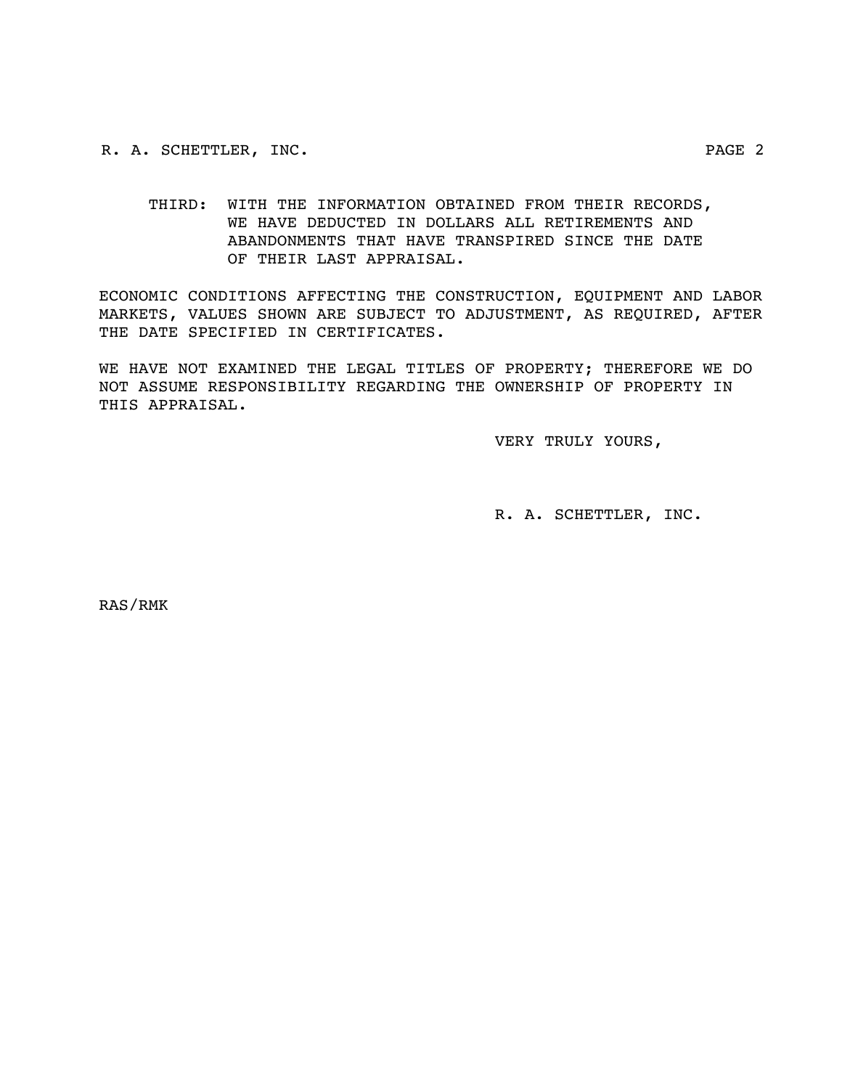R. A. SCHETTLER, INC. PAGE 2

 THIRD: WITH THE INFORMATION OBTAINED FROM THEIR RECORDS, WE HAVE DEDUCTED IN DOLLARS ALL RETIREMENTS AND ABANDONMENTS THAT HAVE TRANSPIRED SINCE THE DATE OF THEIR LAST APPRAISAL.

ECONOMIC CONDITIONS AFFECTING THE CONSTRUCTION, EQUIPMENT AND LABOR MARKETS, VALUES SHOWN ARE SUBJECT TO ADJUSTMENT, AS REQUIRED, AFTER THE DATE SPECIFIED IN CERTIFICATES.

WE HAVE NOT EXAMINED THE LEGAL TITLES OF PROPERTY; THEREFORE WE DO NOT ASSUME RESPONSIBILITY REGARDING THE OWNERSHIP OF PROPERTY IN THIS APPRAISAL.

VERY TRULY YOURS,

R. A. SCHETTLER, INC.

RAS/RMK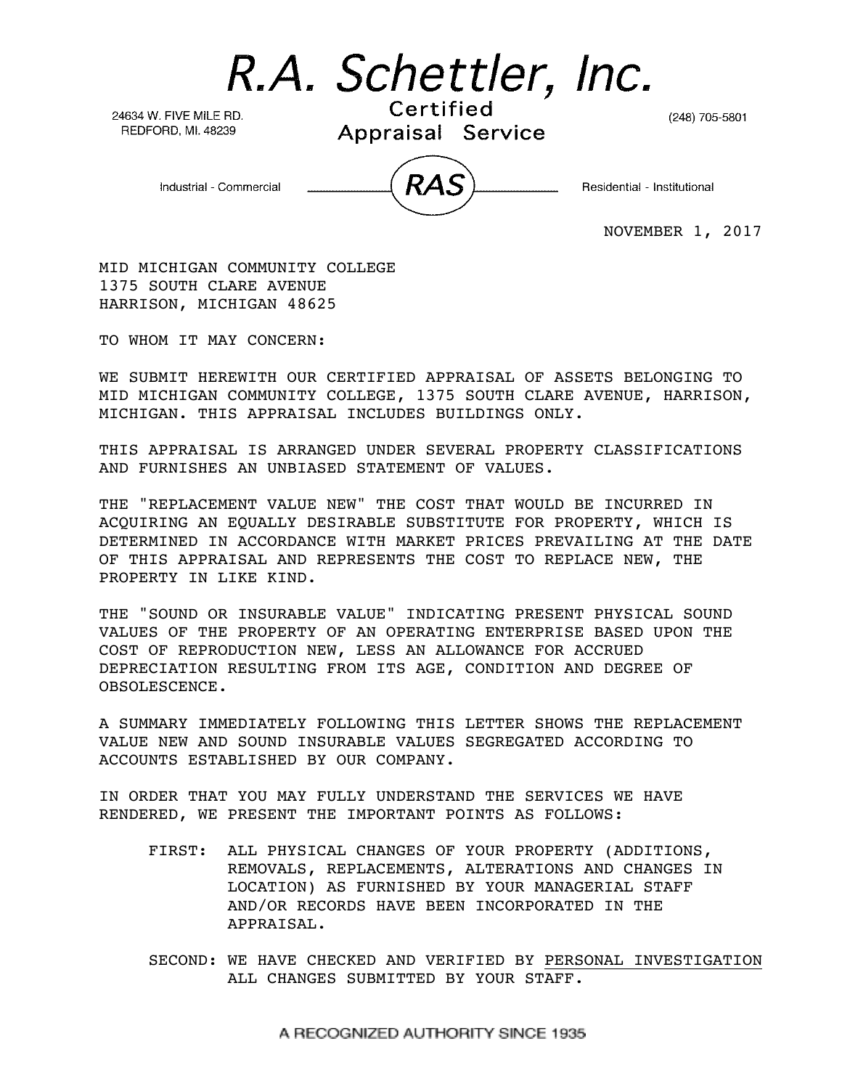R.A. Schettler, Inc.

24634 W. FIVE MILE RD. REDFORD, MI. 48239

Certified Appraisal Service

(248) 705-5801

Industrial - Commercial

Residential - Institutional

NOVEMBER 1, 2017

MID MICHIGAN COMMUNITY COLLEGE 1375 SOUTH CLARE AVENUE HARRISON, MICHIGAN 48625

TO WHOM IT MAY CONCERN:

WE SUBMIT HEREWITH OUR CERTIFIED APPRAISAL OF ASSETS BELONGING TO MID MICHIGAN COMMUNITY COLLEGE, 1375 SOUTH CLARE AVENUE, HARRISON, MICHIGAN. THIS APPRAISAL INCLUDES BUILDINGS ONLY.

THIS APPRAISAL IS ARRANGED UNDER SEVERAL PROPERTY CLASSIFICATIONS AND FURNISHES AN UNBIASED STATEMENT OF VALUES.

THE "REPLACEMENT VALUE NEW" THE COST THAT WOULD BE INCURRED IN ACQUIRING AN EQUALLY DESIRABLE SUBSTITUTE FOR PROPERTY, WHICH IS DETERMINED IN ACCORDANCE WITH MARKET PRICES PREVAILING AT THE DATE OF THIS APPRAISAL AND REPRESENTS THE COST TO REPLACE NEW, THE PROPERTY IN LIKE KIND.

THE "SOUND OR INSURABLE VALUE" INDICATING PRESENT PHYSICAL SOUND VALUES OF THE PROPERTY OF AN OPERATING ENTERPRISE BASED UPON THE COST OF REPRODUCTION NEW, LESS AN ALLOWANCE FOR ACCRUED DEPRECIATION RESULTING FROM ITS AGE, CONDITION AND DEGREE OF OBSOLESCENCE.

A SUMMARY IMMEDIATELY FOLLOWING THIS LETTER SHOWS THE REPLACEMENT VALUE NEW AND SOUND INSURABLE VALUES SEGREGATED ACCORDING TO ACCOUNTS ESTABLISHED BY OUR COMPANY.

IN ORDER THAT YOU MAY FULLY UNDERSTAND THE SERVICES WE HAVE RENDERED, WE PRESENT THE IMPORTANT POINTS AS FOLLOWS:

- FIRST: ALL PHYSICAL CHANGES OF YOUR PROPERTY (ADDITIONS, REMOVALS, REPLACEMENTS, ALTERATIONS AND CHANGES IN LOCATION) AS FURNISHED BY YOUR MANAGERIAL STAFF AND/OR RECORDS HAVE BEEN INCORPORATED IN THE APPRAISAL.
- SECOND: WE HAVE CHECKED AND VERIFIED BY PERSONAL INVESTIGATION ALL CHANGES SUBMITTED BY YOUR STAFF.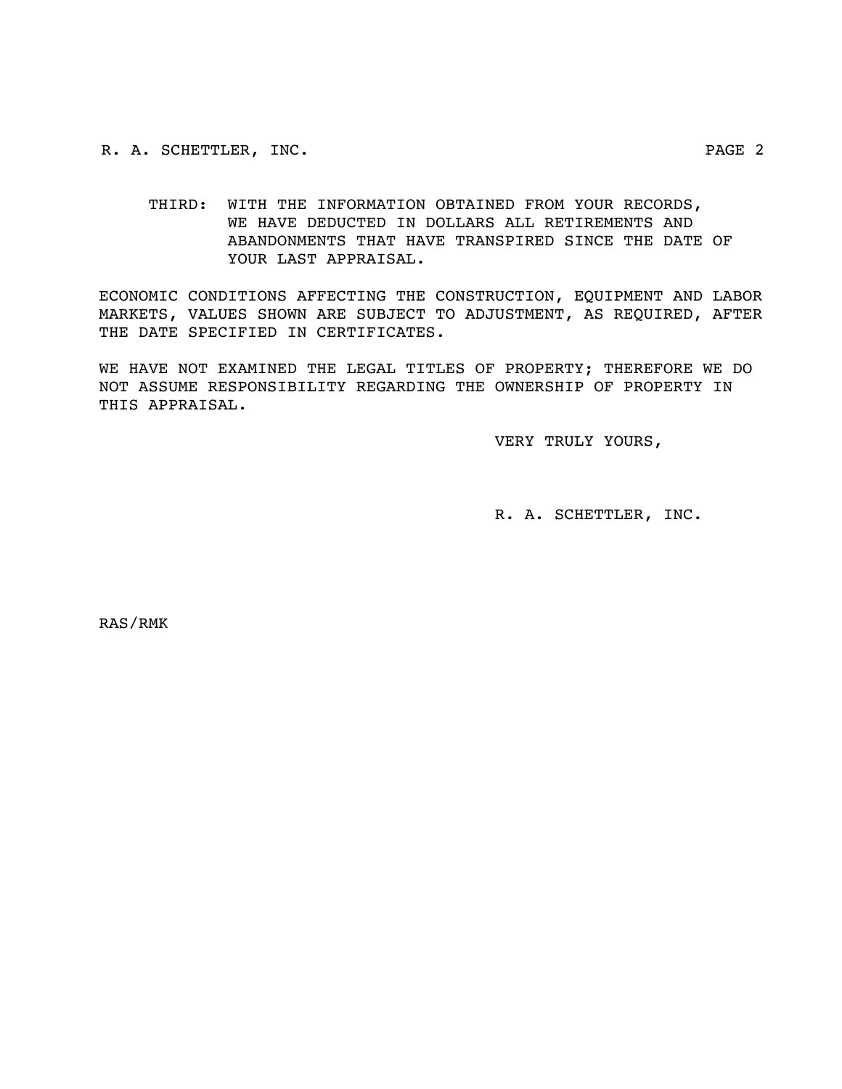R. A. SCHETTLER, INC. PAGE 2

 THIRD: WITH THE INFORMATION OBTAINED FROM YOUR RECORDS, WE HAVE DEDUCTED IN DOLLARS ALL RETIREMENTS AND ABANDONMENTS THAT HAVE TRANSPIRED SINCE THE DATE OF YOUR LAST APPRAISAL.

ECONOMIC CONDITIONS AFFECTING THE CONSTRUCTION, EQUIPMENT AND LABOR MARKETS, VALUES SHOWN ARE SUBJECT TO ADJUSTMENT, AS REQUIRED, AFTER THE DATE SPECIFIED IN CERTIFICATES.

WE HAVE NOT EXAMINED THE LEGAL TITLES OF PROPERTY; THEREFORE WE DO NOT ASSUME RESPONSIBILITY REGARDING THE OWNERSHIP OF PROPERTY IN THIS APPRAISAL.

VERY TRULY YOURS,

R. A. SCHETTLER, INC.

RAS/RMK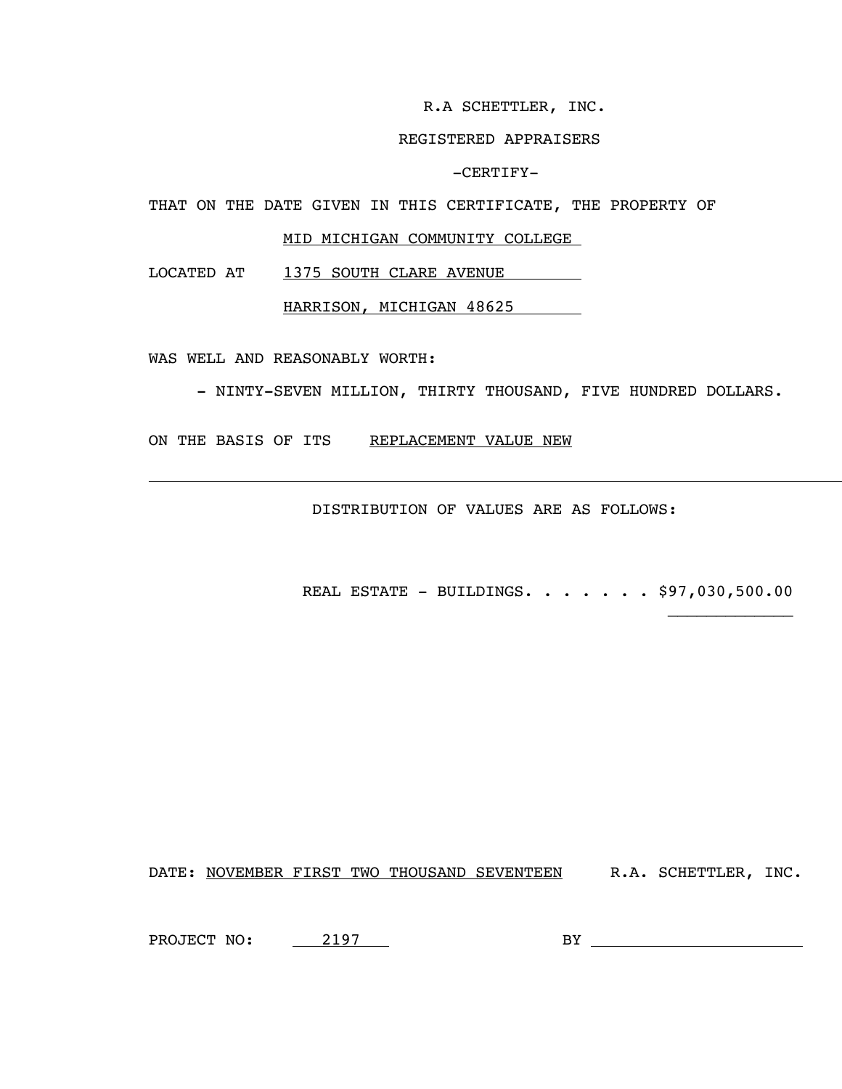R.A SCHETTLER, INC.

### REGISTERED APPRAISERS

-CERTIFY-

THAT ON THE DATE GIVEN IN THIS CERTIFICATE, THE PROPERTY OF

### MID MICHIGAN COMMUNITY COLLEGE

LOCATED AT 1375 SOUTH CLARE AVENUE

HARRISON, MICHIGAN 48625

WAS WELL AND REASONABLY WORTH:

 $\overline{a}$ 

- NINTY-SEVEN MILLION, THIRTY THOUSAND, FIVE HUNDRED DOLLARS.

ON THE BASIS OF ITS REPLACEMENT VALUE NEW

DISTRIBUTION OF VALUES ARE AS FOLLOWS:

REAL ESTATE - BUILDINGS. . . . . . . \$97,030,500.00

DATE: NOVEMBER FIRST TWO THOUSAND SEVENTEEN R.A. SCHETTLER, INC.

PROJECT NO: 2197

BY THE CONSTRUCTION OF THE CONSTRUCTION OF THE CONSTRUCTION OF THE CONSTRUCTION OF THE CONSTRUCTION OF THE CONSTRUCTION OF THE CONSTRUCTION OF THE CONSTRUCTION OF THE CONSTRUCTION OF THE CONSTRUCTION OF THE CONSTRUCTION OF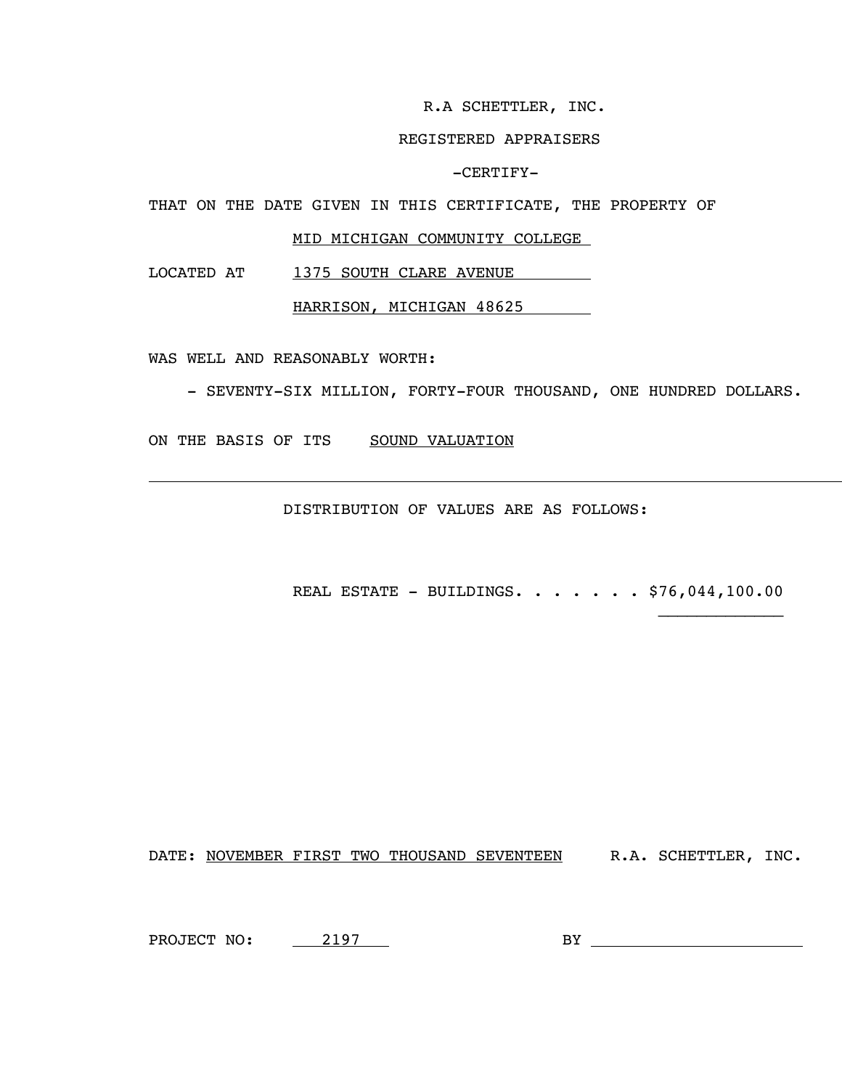R.A SCHETTLER, INC.

### REGISTERED APPRAISERS

-CERTIFY-

THAT ON THE DATE GIVEN IN THIS CERTIFICATE, THE PROPERTY OF

### MID MICHIGAN COMMUNITY COLLEGE

LOCATED AT 1375 SOUTH CLARE AVENUE

HARRISON, MICHIGAN 48625

WAS WELL AND REASONABLY WORTH:

L

- SEVENTY-SIX MILLION, FORTY-FOUR THOUSAND, ONE HUNDRED DOLLARS.

ON THE BASIS OF ITS SOUND VALUATION

DISTRIBUTION OF VALUES ARE AS FOLLOWS:

REAL ESTATE - BUILDINGS. . . . . . . \$76,044,100.00

DATE: NOVEMBER FIRST TWO THOUSAND SEVENTEEN R.A. SCHETTLER, INC.

PROJECT NO: 2197

BY THE CONSTRUCTION OF THE CONSTRUCTION OF THE CONSTRUCTION OF THE CONSTRUCTION OF THE CONSTRUCTION OF THE CONSTRUCTION OF THE CONSTRUCTION OF THE CONSTRUCTION OF THE CONSTRUCTION OF THE CONSTRUCTION OF THE CONSTRUCTION OF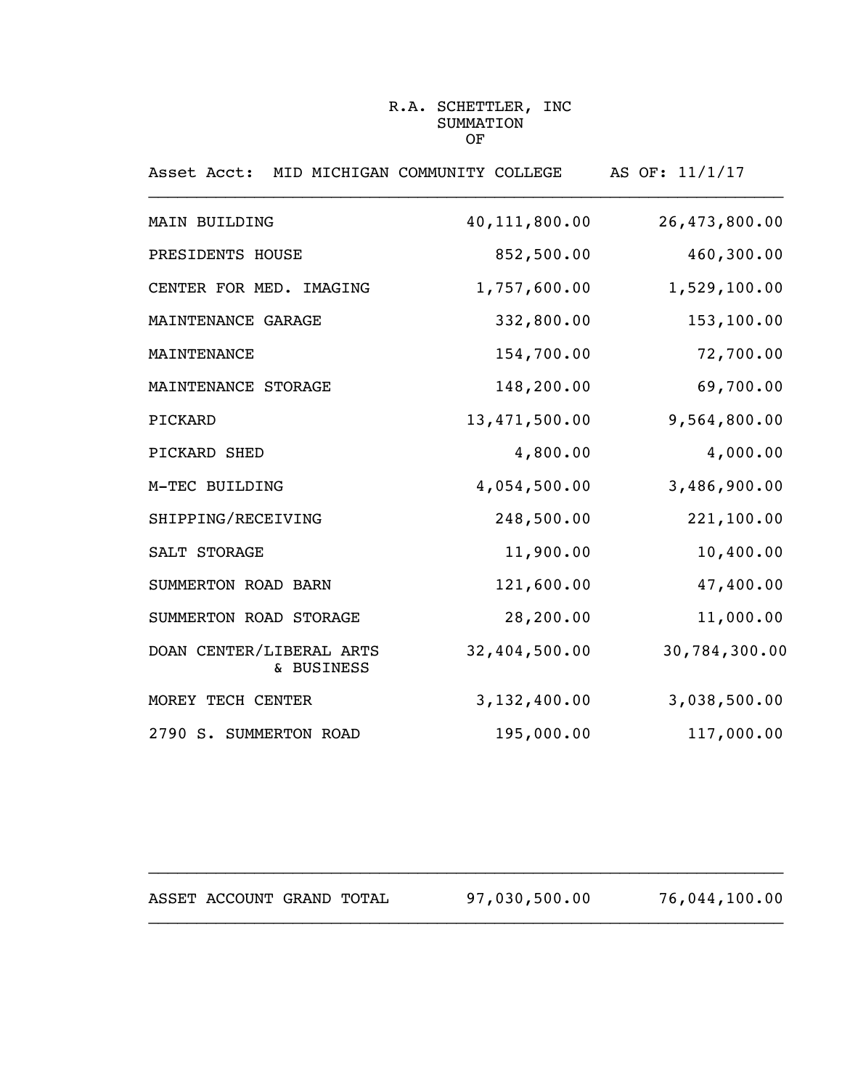### R.A. SCHETTLER, INC SUMMATION OF

| Asset Acct:                            | MID MICHIGAN COMMUNITY COLLEGE | AS OF: 11/1/17 |
|----------------------------------------|--------------------------------|----------------|
| MAIN BUILDING                          | 40, 111, 800.00                | 26,473,800.00  |
| PRESIDENTS HOUSE                       | 852,500.00                     | 460,300.00     |
| CENTER FOR MED. IMAGING                | 1,757,600.00                   | 1,529,100.00   |
| MAINTENANCE GARAGE                     | 332,800.00                     | 153,100.00     |
| MAINTENANCE                            | 154,700.00                     | 72,700.00      |
| MAINTENANCE STORAGE                    | 148,200.00                     | 69,700.00      |
| PICKARD                                | 13,471,500.00                  | 9,564,800.00   |
| PICKARD SHED                           | 4,800.00                       | 4,000.00       |
| M-TEC BUILDING                         | 4,054,500.00                   | 3,486,900.00   |
| SHIPPING/RECEIVING                     | 248,500.00                     | 221,100.00     |
| SALT STORAGE                           | 11,900.00                      | 10,400.00      |
| SUMMERTON ROAD BARN                    | 121,600.00                     | 47,400.00      |
| SUMMERTON ROAD STORAGE                 | 28,200.00                      | 11,000.00      |
| DOAN CENTER/LIBERAL ARTS<br>& BUSINESS | 32,404,500.00                  | 30,784,300.00  |
| MOREY TECH CENTER                      | 3,132,400.00                   | 3,038,500.00   |
| 2790 S. SUMMERTON ROAD                 | 195,000.00                     | 117,000.00     |

| ASSET ACCOUNT GRAND TOTAL |  | 97,030,500.00 | 76,044,100.00 |
|---------------------------|--|---------------|---------------|
|                           |  |               |               |

 $\overline{\phantom{a}}$  , and the contribution of the contribution of the contribution of the contribution of the contribution of the contribution of the contribution of the contribution of the contribution of the contribution of the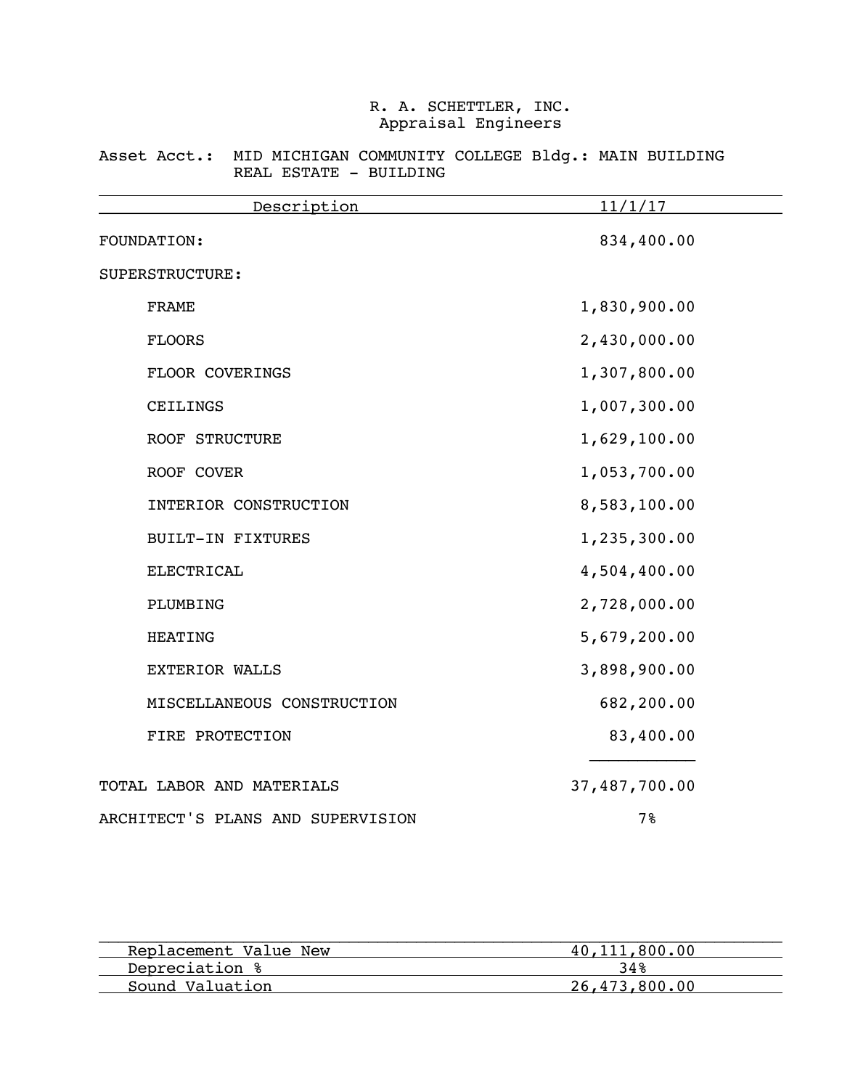### Asset Acct.: MID MICHIGAN COMMUNITY COLLEGE Bldg.: MAIN BUILDING REAL ESTATE - BUILDING

| Description                       | 11/1/17       |
|-----------------------------------|---------------|
| FOUNDATION:                       | 834,400.00    |
| SUPERSTRUCTURE:                   |               |
| <b>FRAME</b>                      | 1,830,900.00  |
| <b>FLOORS</b>                     | 2,430,000.00  |
| FLOOR COVERINGS                   | 1,307,800.00  |
| CEILINGS                          | 1,007,300.00  |
| <b>ROOF STRUCTURE</b>             | 1,629,100.00  |
| ROOF COVER                        | 1,053,700.00  |
| INTERIOR CONSTRUCTION             | 8,583,100.00  |
| <b>BUILT-IN FIXTURES</b>          | 1,235,300.00  |
| <b>ELECTRICAL</b>                 | 4,504,400.00  |
| PLUMBING                          | 2,728,000.00  |
| <b>HEATING</b>                    | 5,679,200.00  |
| <b>EXTERIOR WALLS</b>             | 3,898,900.00  |
| MISCELLANEOUS CONSTRUCTION        | 682,200.00    |
| FIRE PROTECTION                   | 83,400.00     |
| TOTAL LABOR AND MATERIALS         | 37,487,700.00 |
| ARCHITECT'S PLANS AND SUPERVISION | 7%            |

| Replacement Value New | 40, 111, 800.00 |
|-----------------------|-----------------|
| Depreciation %        | 34%             |
| Sound Valuation       | 26,473,800,00   |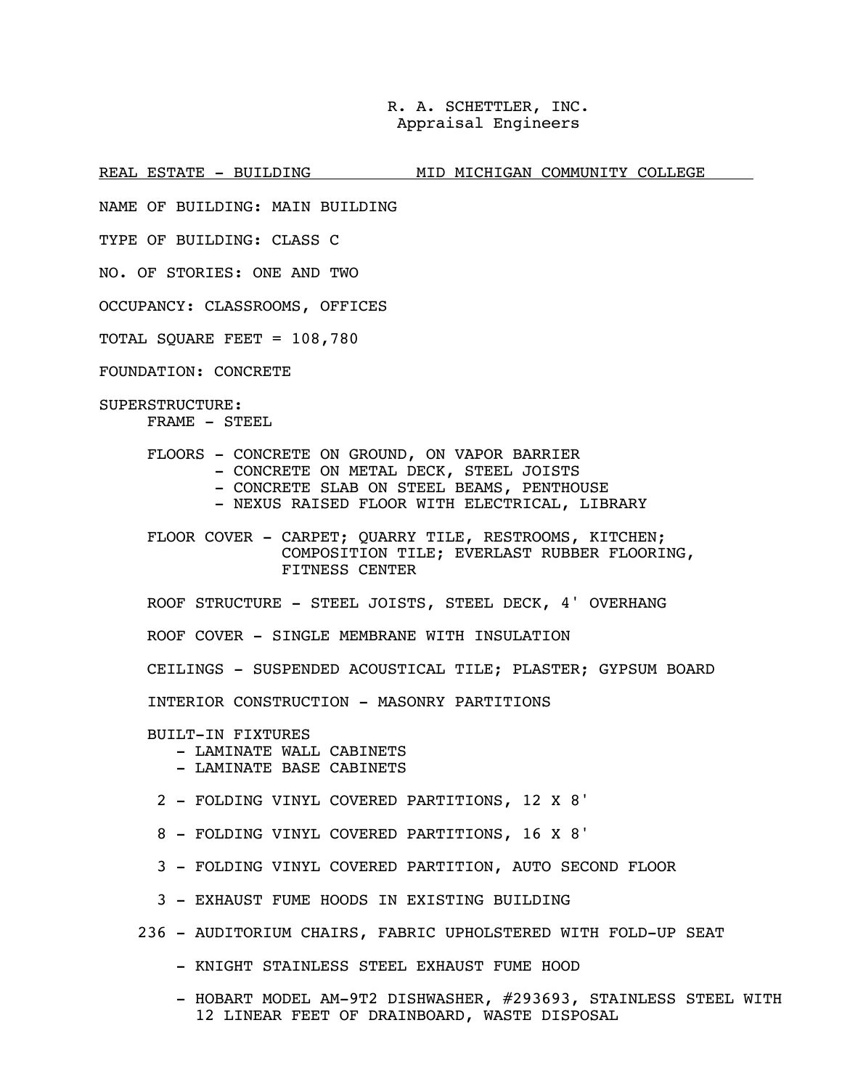REAL ESTATE - BUILDING MID MICHIGAN COMMUNITY COLLEGE

NAME OF BUILDING: MAIN BUILDING

TYPE OF BUILDING: CLASS C

NO. OF STORIES: ONE AND TWO

OCCUPANCY: CLASSROOMS, OFFICES

TOTAL SQUARE FEET = 108,780

FOUNDATION: CONCRETE

SUPERSTRUCTURE: FRAME - STEEL

FLOORS - CONCRETE ON GROUND, ON VAPOR BARRIER

- CONCRETE ON METAL DECK, STEEL JOISTS
- CONCRETE SLAB ON STEEL BEAMS, PENTHOUSE
- NEXUS RAISED FLOOR WITH ELECTRICAL, LIBRARY

FLOOR COVER - CARPET; QUARRY TILE, RESTROOMS, KITCHEN; COMPOSITION TILE; EVERLAST RUBBER FLOORING, FITNESS CENTER

ROOF STRUCTURE - STEEL JOISTS, STEEL DECK, 4' OVERHANG

ROOF COVER - SINGLE MEMBRANE WITH INSULATION

CEILINGS - SUSPENDED ACOUSTICAL TILE; PLASTER; GYPSUM BOARD

INTERIOR CONSTRUCTION - MASONRY PARTITIONS

BUILT-IN FIXTURES

- LAMINATE WALL CABINETS
- LAMINATE BASE CABINETS
- 2 FOLDING VINYL COVERED PARTITIONS, 12 X 8'
- 8 FOLDING VINYL COVERED PARTITIONS, 16 X 8'
- 3 FOLDING VINYL COVERED PARTITION, AUTO SECOND FLOOR
- 3 EXHAUST FUME HOODS IN EXISTING BUILDING
- 236 AUDITORIUM CHAIRS, FABRIC UPHOLSTERED WITH FOLD-UP SEAT
	- KNIGHT STAINLESS STEEL EXHAUST FUME HOOD
	- HOBART MODEL AM-9T2 DISHWASHER, #293693, STAINLESS STEEL WITH 12 LINEAR FEET OF DRAINBOARD, WASTE DISPOSAL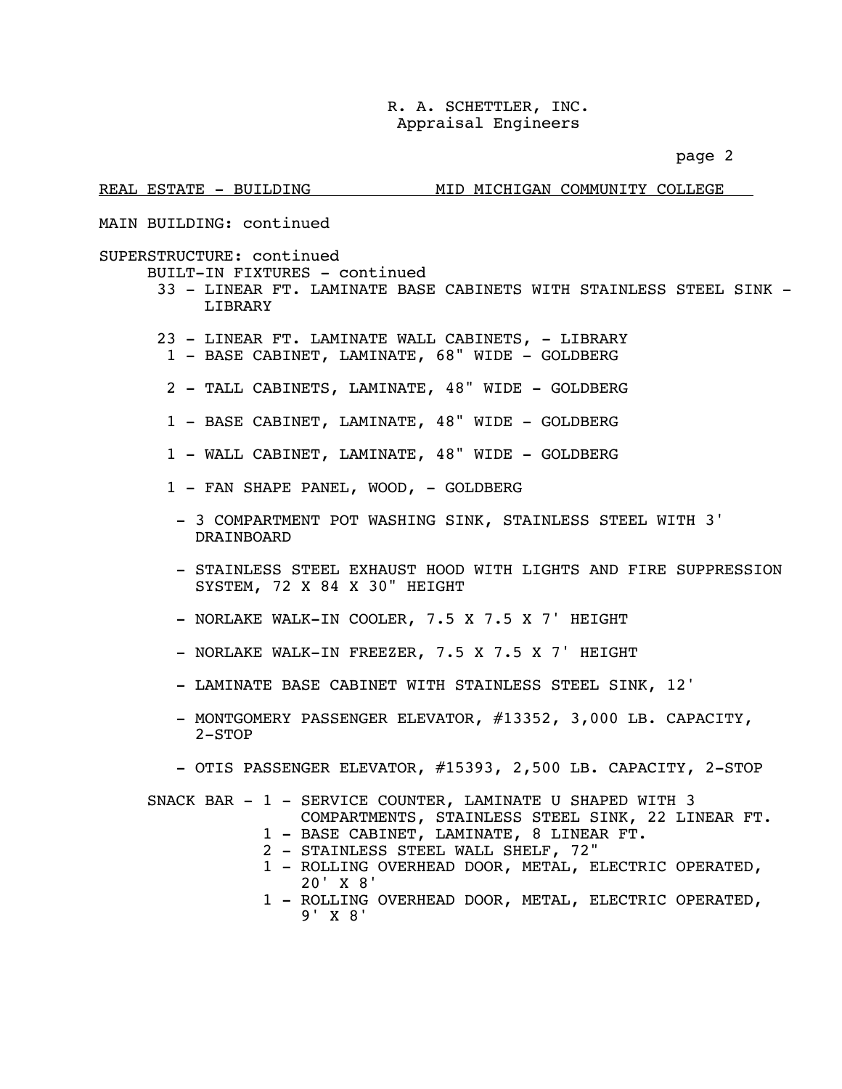page 2

| REAL ESTATE - BUILDING                                                | MID MICHIGAN COMMUNITY COLLEGE                                                                                                                                                                                                                                                                                    |
|-----------------------------------------------------------------------|-------------------------------------------------------------------------------------------------------------------------------------------------------------------------------------------------------------------------------------------------------------------------------------------------------------------|
| MAIN BUILDING: continued                                              |                                                                                                                                                                                                                                                                                                                   |
| SUPERSTRUCTURE: continued<br>BUILT-IN FIXTURES - continued<br>LIBRARY | 33 - LINEAR FT. LAMINATE BASE CABINETS WITH STAINLESS STEEL SINK -                                                                                                                                                                                                                                                |
|                                                                       | 23 - LINEAR FT. LAMINATE WALL CABINETS, - LIBRARY<br>1 - BASE CABINET, LAMINATE, 68" WIDE - GOLDBERG                                                                                                                                                                                                              |
|                                                                       | 2 - TALL CABINETS, LAMINATE, 48" WIDE - GOLDBERG                                                                                                                                                                                                                                                                  |
|                                                                       | 1 - BASE CABINET, LAMINATE, 48" WIDE - GOLDBERG                                                                                                                                                                                                                                                                   |
|                                                                       | 1 - WALL CABINET, LAMINATE, 48" WIDE - GOLDBERG                                                                                                                                                                                                                                                                   |
| 1 - FAN SHAPE PANEL, WOOD, - GOLDBERG                                 |                                                                                                                                                                                                                                                                                                                   |
| DRAINBOARD                                                            | - 3 COMPARTMENT POT WASHING SINK, STAINLESS STEEL WITH 3'                                                                                                                                                                                                                                                         |
| SYSTEM, 72 X 84 X 30" HEIGHT                                          | - STAINLESS STEEL EXHAUST HOOD WITH LIGHTS AND FIRE SUPPRESSION                                                                                                                                                                                                                                                   |
|                                                                       | - NORLAKE WALK-IN COOLER, 7.5 X 7.5 X 7' HEIGHT                                                                                                                                                                                                                                                                   |
|                                                                       | - NORLAKE WALK-IN FREEZER, 7.5 X 7.5 X 7' HEIGHT                                                                                                                                                                                                                                                                  |
|                                                                       | - LAMINATE BASE CABINET WITH STAINLESS STEEL SINK, 12'                                                                                                                                                                                                                                                            |
| $2 - STOP$                                                            | - MONTGOMERY PASSENGER ELEVATOR, #13352, 3,000 LB. CAPACITY,                                                                                                                                                                                                                                                      |
|                                                                       | - OTIS PASSENGER ELEVATOR, #15393, 2,500 LB. CAPACITY, 2-STOP                                                                                                                                                                                                                                                     |
| 20' X 8'<br>9' X 8'                                                   | SNACK BAR - 1 - SERVICE COUNTER, LAMINATE U SHAPED WITH 3<br>COMPARTMENTS, STAINLESS STEEL SINK, 22 LINEAR FT.<br>1 - BASE CABINET, LAMINATE, 8 LINEAR FT.<br>2 - STAINLESS STEEL WALL SHELF, 72"<br>1 - ROLLING OVERHEAD DOOR, METAL, ELECTRIC OPERATED,<br>1 - ROLLING OVERHEAD DOOR, METAL, ELECTRIC OPERATED, |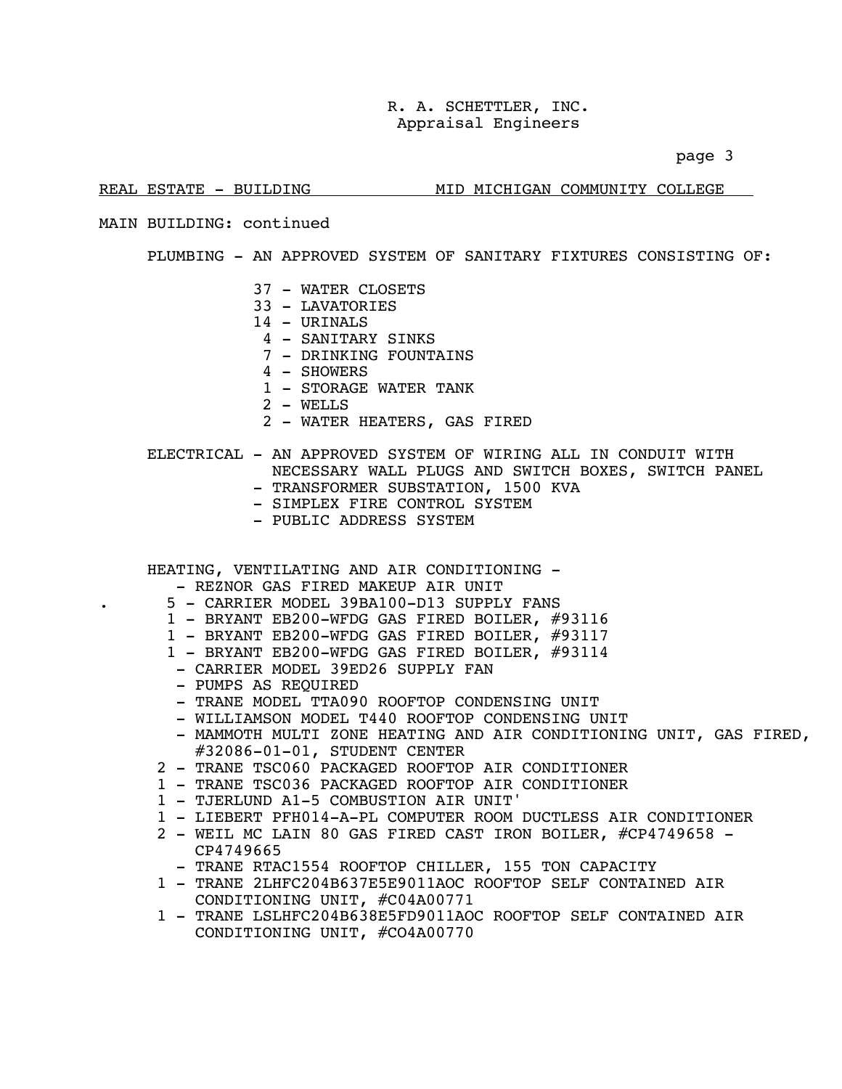page 3

### REAL ESTATE - BUILDING MID MICHIGAN COMMUNITY COLLEGE

### MAIN BUILDING: continued

### PLUMBING - AN APPROVED SYSTEM OF SANITARY FIXTURES CONSISTING OF:

- 37 WATER CLOSETS
- 33 LAVATORIES
- 14 URINALS
- 4 SANITARY SINKS
- 7 DRINKING FOUNTAINS
- 4 SHOWERS
- 1 STORAGE WATER TANK
- 2 WELLS
- 2 WATER HEATERS, GAS FIRED

### ELECTRICAL - AN APPROVED SYSTEM OF WIRING ALL IN CONDUIT WITH NECESSARY WALL PLUGS AND SWITCH BOXES, SWITCH PANEL

- TRANSFORMER SUBSTATION, 1500 KVA
- SIMPLEX FIRE CONTROL SYSTEM
- PUBLIC ADDRESS SYSTEM

HEATING, VENTILATING AND AIR CONDITIONING -

- REZNOR GAS FIRED MAKEUP AIR UNIT
- . 5 CARRIER MODEL 39BA100-D13 SUPPLY FANS
- 1 BRYANT EB200-WFDG GAS FIRED BOILER, #93116
- 1 BRYANT EB200-WFDG GAS FIRED BOILER, #93117
- 1 BRYANT EB200-WFDG GAS FIRED BOILER, #93114
- CARRIER MODEL 39ED26 SUPPLY FAN
- PUMPS AS REQUIRED
- TRANE MODEL TTA090 ROOFTOP CONDENSING UNIT
- WILLIAMSON MODEL T440 ROOFTOP CONDENSING UNIT
- MAMMOTH MULTI ZONE HEATING AND AIR CONDITIONING UNIT, GAS FIRED, #32086-01-01, STUDENT CENTER
- 2 TRANE TSC060 PACKAGED ROOFTOP AIR CONDITIONER
- 1 TRANE TSC036 PACKAGED ROOFTOP AIR CONDITIONER
- 1 TJERLUND A1-5 COMBUSTION AIR UNIT'
- 1 LIEBERT PFH014-A-PL COMPUTER ROOM DUCTLESS AIR CONDITIONER
- 2 WEIL MC LAIN 80 GAS FIRED CAST IRON BOILER, #CP4749658 -CP4749665
	- TRANE RTAC1554 ROOFTOP CHILLER, 155 TON CAPACITY
- 1 TRANE 2LHFC204B637E5E9011AOC ROOFTOP SELF CONTAINED AIR CONDITIONING UNIT, #C04A00771
- 1 TRANE LSLHFC204B638E5FD9011AOC ROOFTOP SELF CONTAINED AIR CONDITIONING UNIT, #CO4A00770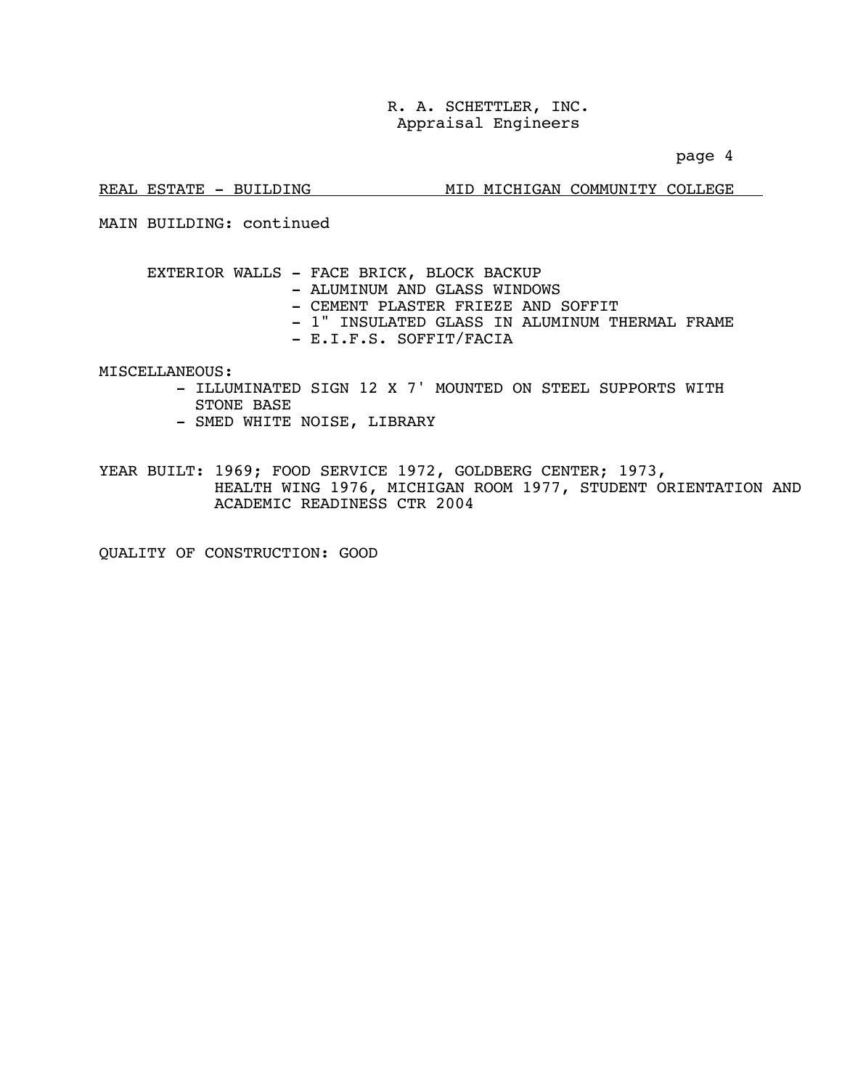page 4

### REAL ESTATE - BUILDING MID MICHIGAN COMMUNITY COLLEGE

MAIN BUILDING: continued

 EXTERIOR WALLS - FACE BRICK, BLOCK BACKUP - ALUMINUM AND GLASS WINDOWS - CEMENT PLASTER FRIEZE AND SOFFIT - 1" INSULATED GLASS IN ALUMINUM THERMAL FRAME - E.I.F.S. SOFFIT/FACIA

MISCELLANEOUS:

- ILLUMINATED SIGN 12 X 7' MOUNTED ON STEEL SUPPORTS WITH STONE BASE
- SMED WHITE NOISE, LIBRARY

YEAR BUILT: 1969; FOOD SERVICE 1972, GOLDBERG CENTER; 1973, HEALTH WING 1976, MICHIGAN ROOM 1977, STUDENT ORIENTATION AND ACADEMIC READINESS CTR 2004

QUALITY OF CONSTRUCTION: GOOD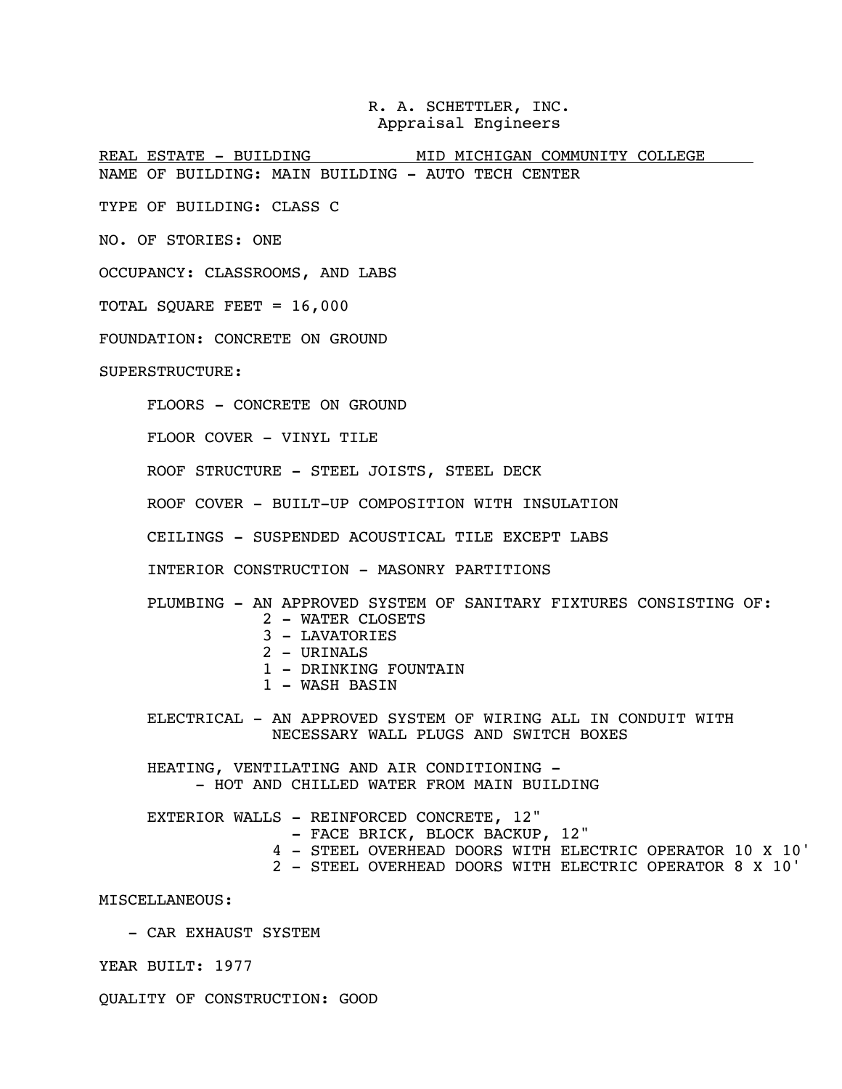REAL ESTATE - BUILDING MID MICHIGAN COMMUNITY COLLEGE NAME OF BUILDING: MAIN BUILDING - AUTO TECH CENTER

TYPE OF BUILDING: CLASS C

NO. OF STORIES: ONE

OCCUPANCY: CLASSROOMS, AND LABS

TOTAL SQUARE FEET = 16,000

FOUNDATION: CONCRETE ON GROUND

SUPERSTRUCTURE:

FLOORS - CONCRETE ON GROUND

FLOOR COVER - VINYL TILE

ROOF STRUCTURE - STEEL JOISTS, STEEL DECK

ROOF COVER - BUILT-UP COMPOSITION WITH INSULATION

CEILINGS - SUSPENDED ACOUSTICAL TILE EXCEPT LABS

INTERIOR CONSTRUCTION - MASONRY PARTITIONS

PLUMBING - AN APPROVED SYSTEM OF SANITARY FIXTURES CONSISTING OF:

- 2 WATER CLOSETS
- 3 LAVATORIES
- 2 URINALS
- 1 DRINKING FOUNTAIN
- 1 WASH BASIN

 ELECTRICAL - AN APPROVED SYSTEM OF WIRING ALL IN CONDUIT WITH NECESSARY WALL PLUGS AND SWITCH BOXES

HEATING, VENTILATING AND AIR CONDITIONING - - HOT AND CHILLED WATER FROM MAIN BUILDING

EXTERIOR WALLS - REINFORCED CONCRETE, 12" - FACE BRICK, BLOCK BACKUP, 12" 4 - STEEL OVERHEAD DOORS WITH ELECTRIC OPERATOR 10 X 10' 2 - STEEL OVERHEAD DOORS WITH ELECTRIC OPERATOR 8 X 10'

MISCELLANEOUS:

- CAR EXHAUST SYSTEM

YEAR BUILT: 1977

QUALITY OF CONSTRUCTION: GOOD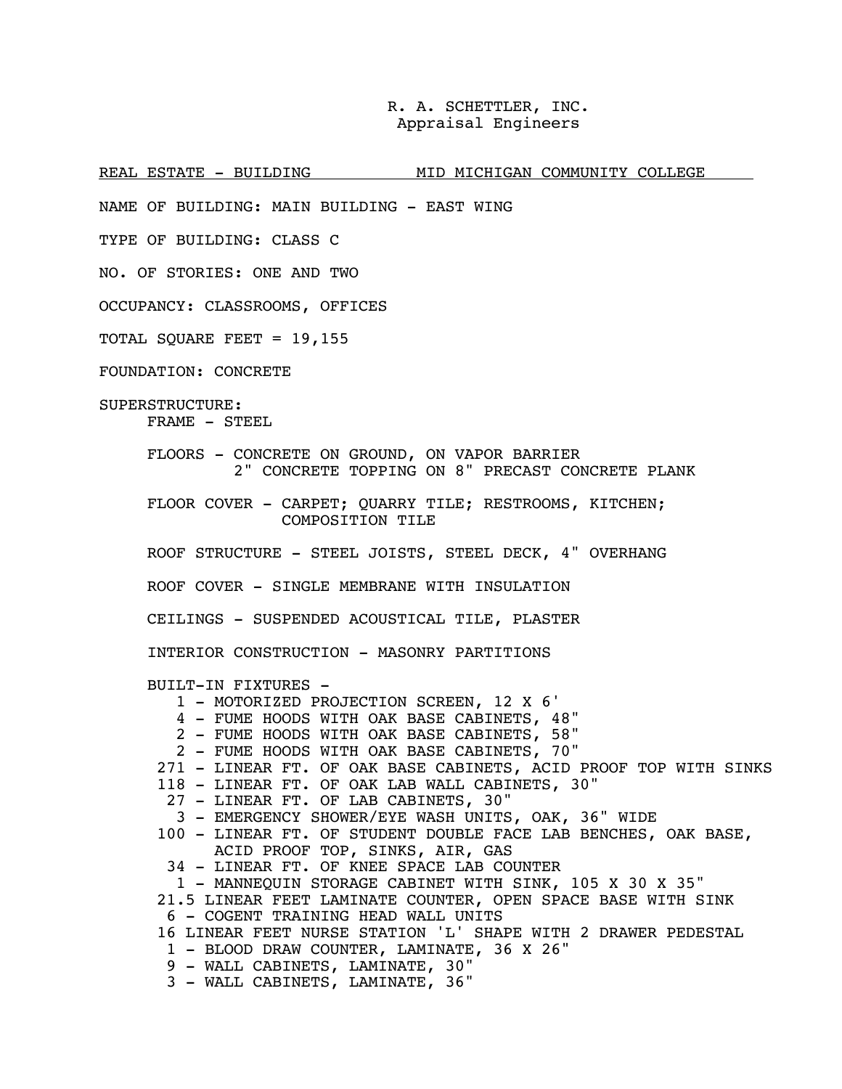REAL ESTATE - BUILDING MID MICHIGAN COMMUNITY COLLEGE

NAME OF BUILDING: MAIN BUILDING - EAST WING

TYPE OF BUILDING: CLASS C

NO. OF STORIES: ONE AND TWO

OCCUPANCY: CLASSROOMS, OFFICES

TOTAL SQUARE FEET = 19,155

FOUNDATION: CONCRETE

SUPERSTRUCTURE: FRAME - STEEL

> FLOORS - CONCRETE ON GROUND, ON VAPOR BARRIER 2" CONCRETE TOPPING ON 8" PRECAST CONCRETE PLANK

 FLOOR COVER - CARPET; QUARRY TILE; RESTROOMS, KITCHEN; COMPOSITION TILE

ROOF STRUCTURE - STEEL JOISTS, STEEL DECK, 4" OVERHANG

ROOF COVER - SINGLE MEMBRANE WITH INSULATION

CEILINGS - SUSPENDED ACOUSTICAL TILE, PLASTER

INTERIOR CONSTRUCTION - MASONRY PARTITIONS

BUILT-IN FIXTURES -

- 1 MOTORIZED PROJECTION SCREEN, 12 X 6'
- 4 FUME HOODS WITH OAK BASE CABINETS, 48"
- 2 FUME HOODS WITH OAK BASE CABINETS, 58"
- 2 FUME HOODS WITH OAK BASE CABINETS, 70"
- 271 LINEAR FT. OF OAK BASE CABINETS, ACID PROOF TOP WITH SINKS
- 118 LINEAR FT. OF OAK LAB WALL CABINETS, 30"
- 27 LINEAR FT. OF LAB CABINETS, 30"
- 3 EMERGENCY SHOWER/EYE WASH UNITS, OAK, 36" WIDE
- 100 LINEAR FT. OF STUDENT DOUBLE FACE LAB BENCHES, OAK BASE, ACID PROOF TOP, SINKS, AIR, GAS
- 34 LINEAR FT. OF KNEE SPACE LAB COUNTER

1 - MANNEQUIN STORAGE CABINET WITH SINK, 105 X 30 X 35"

- 21.5 LINEAR FEET LAMINATE COUNTER, OPEN SPACE BASE WITH SINK
- 6 COGENT TRAINING HEAD WALL UNITS
- 16 LINEAR FEET NURSE STATION 'L' SHAPE WITH 2 DRAWER PEDESTAL
- 1 BLOOD DRAW COUNTER, LAMINATE, 36 X 26"
- 9 WALL CABINETS, LAMINATE, 30"
- 3 WALL CABINETS, LAMINATE, 36"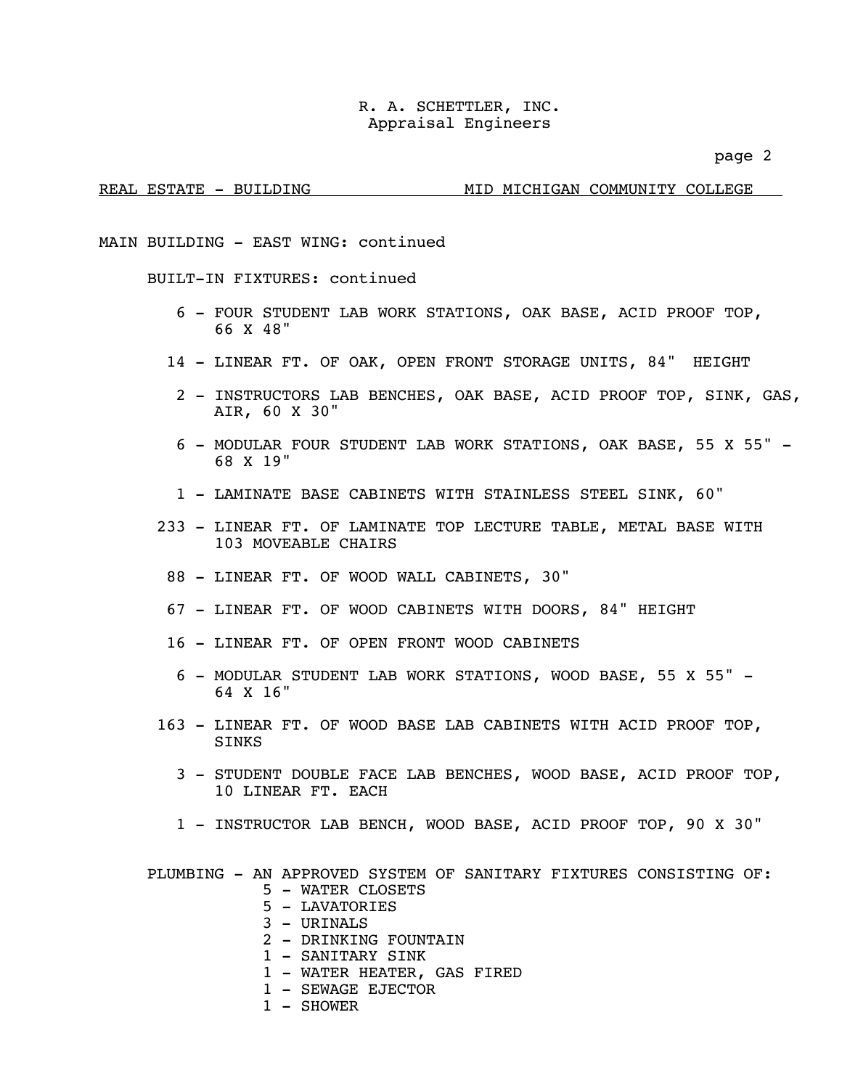page 2

### REAL ESTATE - BUILDING MID MICHIGAN COMMUNITY COLLEGE

MAIN BUILDING - EAST WING: continued

BUILT-IN FIXTURES: continued

- 6 FOUR STUDENT LAB WORK STATIONS, OAK BASE, ACID PROOF TOP, 66 X 48"
- 14 LINEAR FT. OF OAK, OPEN FRONT STORAGE UNITS, 84" HEIGHT
	- 2 INSTRUCTORS LAB BENCHES, OAK BASE, ACID PROOF TOP, SINK, GAS, AIR, 60 X 30"
	- 6 MODULAR FOUR STUDENT LAB WORK STATIONS, OAK BASE, 55 X 55" 68 X 19"
	- 1 LAMINATE BASE CABINETS WITH STAINLESS STEEL SINK, 60"
- 233 LINEAR FT. OF LAMINATE TOP LECTURE TABLE, METAL BASE WITH 103 MOVEABLE CHAIRS
	- 88 LINEAR FT. OF WOOD WALL CABINETS, 30"
	- 67 LINEAR FT. OF WOOD CABINETS WITH DOORS, 84" HEIGHT
	- 16 LINEAR FT. OF OPEN FRONT WOOD CABINETS
		- 6 MODULAR STUDENT LAB WORK STATIONS, WOOD BASE, 55 X 55" 64 X 16"
- 163 LINEAR FT. OF WOOD BASE LAB CABINETS WITH ACID PROOF TOP, SINKS
	- 3 STUDENT DOUBLE FACE LAB BENCHES, WOOD BASE, ACID PROOF TOP, 10 LINEAR FT. EACH
	- 1 INSTRUCTOR LAB BENCH, WOOD BASE, ACID PROOF TOP, 90 X 30"

PLUMBING - AN APPROVED SYSTEM OF SANITARY FIXTURES CONSISTING OF:

- 5 WATER CLOSETS
- 5 LAVATORIES
- 3 URINALS
- 2 DRINKING FOUNTAIN
- 1 SANITARY SINK
- 1 WATER HEATER, GAS FIRED
- 1 SEWAGE EJECTOR
- 1 SHOWER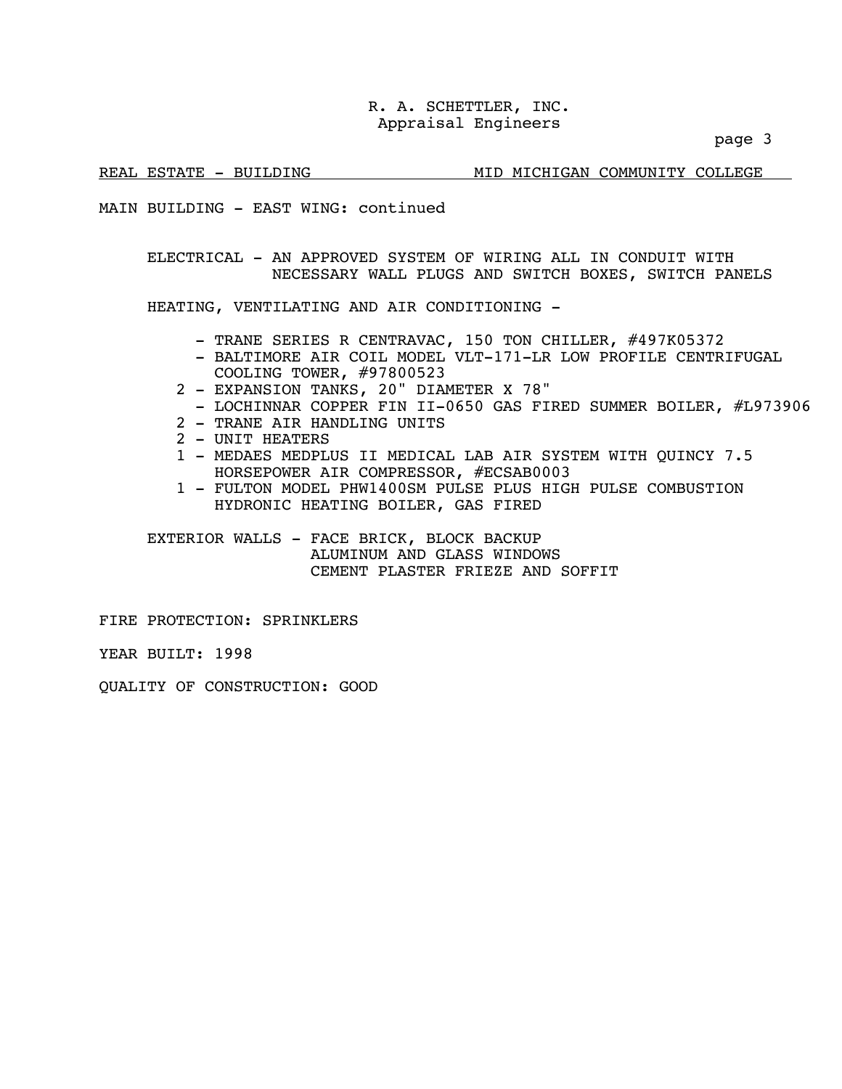page 3

REAL ESTATE - BUILDING MID MICHIGAN COMMUNITY COLLEGE

MAIN BUILDING - EAST WING: continued

 ELECTRICAL - AN APPROVED SYSTEM OF WIRING ALL IN CONDUIT WITH NECESSARY WALL PLUGS AND SWITCH BOXES, SWITCH PANELS

HEATING, VENTILATING AND AIR CONDITIONING -

- TRANE SERIES R CENTRAVAC, 150 TON CHILLER, #497K05372<br>- BALTIMORE AIR COIL MODEL VLT-171-LR LOW PROFILE CENTRIFUGAL
- COOLING TOWER, #97800523
- 2 EXPANSION TANKS, 20" DIAMETER X 78"
- LOCHINNAR COPPER FIN II-0650 GAS FIRED SUMMER BOILER, #L973906
- 2 TRANE AIR HANDLING UNITS
- 2 UNIT HEATERS
- 1 MEDAES MEDPLUS II MEDICAL LAB AIR SYSTEM WITH QUINCY 7.5 HORSEPOWER AIR COMPRESSOR, #ECSAB0003
- 1 FULTON MODEL PHW1400SM PULSE PLUS HIGH PULSE COMBUSTION HYDRONIC HEATING BOILER, GAS FIRED

EXTERIOR WALLS - FACE BRICK, BLOCK BACKUP ALUMINUM AND GLASS WINDOWS CEMENT PLASTER FRIEZE AND SOFFIT

FIRE PROTECTION: SPRINKLERS

YEAR BUILT: 1998

QUALITY OF CONSTRUCTION: GOOD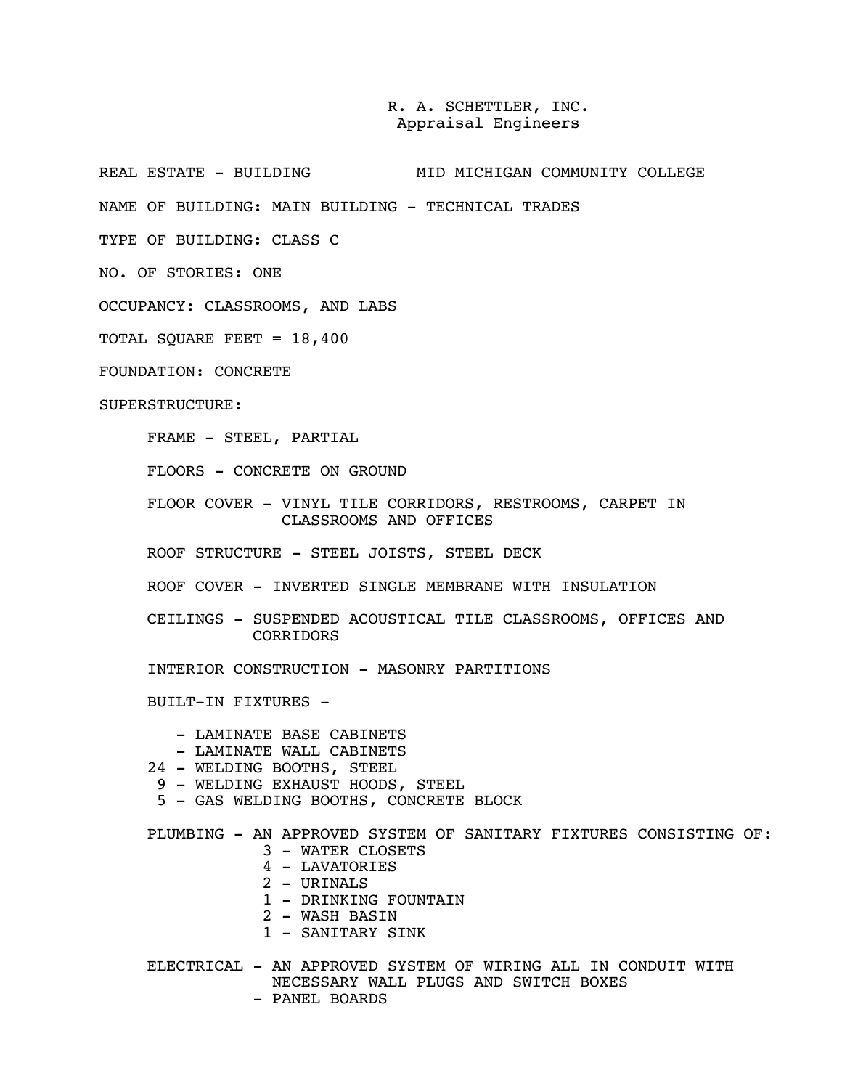REAL ESTATE - BUILDING MID MICHIGAN COMMUNITY COLLEGE

NAME OF BUILDING: MAIN BUILDING - TECHNICAL TRADES

TYPE OF BUILDING: CLASS C

NO. OF STORIES: ONE

OCCUPANCY: CLASSROOMS, AND LABS

TOTAL SQUARE FEET = 18,400

FOUNDATION: CONCRETE

SUPERSTRUCTURE:

FRAME - STEEL, PARTIAL

FLOORS - CONCRETE ON GROUND

 FLOOR COVER - VINYL TILE CORRIDORS, RESTROOMS, CARPET IN CLASSROOMS AND OFFICES

ROOF STRUCTURE - STEEL JOISTS, STEEL DECK

ROOF COVER - INVERTED SINGLE MEMBRANE WITH INSULATION

 CEILINGS - SUSPENDED ACOUSTICAL TILE CLASSROOMS, OFFICES AND CORRIDORS

INTERIOR CONSTRUCTION - MASONRY PARTITIONS

BUILT-IN FIXTURES -

- LAMINATE BASE CABINETS

- LAMINATE WALL CABINETS
- 24 WELDING BOOTHS, STEEL
- 9 WELDING EXHAUST HOODS, STEEL
- 5 GAS WELDING BOOTHS, CONCRETE BLOCK

PLUMBING - AN APPROVED SYSTEM OF SANITARY FIXTURES CONSISTING OF:

- 3 WATER CLOSETS
- 4 LAVATORIES
- $2 -$  URINALS
- 1 DRINKING FOUNTAIN
- 2 WASH BASIN
- 1 SANITARY SINK

 ELECTRICAL - AN APPROVED SYSTEM OF WIRING ALL IN CONDUIT WITH NECESSARY WALL PLUGS AND SWITCH BOXES - PANEL BOARDS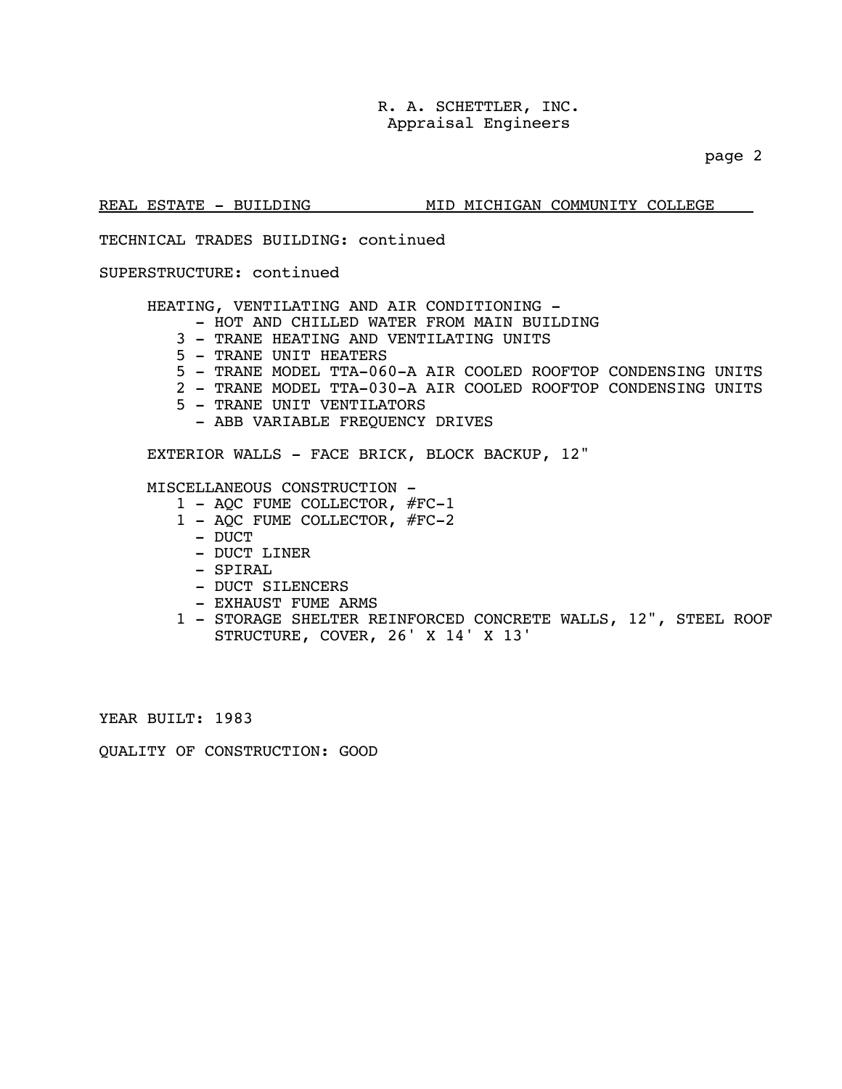page 2

### REAL ESTATE - BUILDING MID MICHIGAN COMMUNITY COLLEGE

TECHNICAL TRADES BUILDING: continued

### SUPERSTRUCTURE: continued

HEATING, VENTILATING AND AIR CONDITIONING -

- HOT AND CHILLED WATER FROM MAIN BUILDING
- 3 TRANE HEATING AND VENTILATING UNITS
- 5 TRANE UNIT HEATERS
- 5 TRANE MODEL TTA-060-A AIR COOLED ROOFTOP CONDENSING UNITS
- 2 TRANE MODEL TTA-030-A AIR COOLED ROOFTOP CONDENSING UNITS
- 5 TRANE UNIT VENTILATORS
	- ABB VARIABLE FREQUENCY DRIVES

EXTERIOR WALLS - FACE BRICK, BLOCK BACKUP, 12"

MISCELLANEOUS CONSTRUCTION -

- 1 AQC FUME COLLECTOR, #FC-1
- 1 AQC FUME COLLECTOR, #FC-2
	- DUCT
	- DUCT LINER
	- SPIRAL
	- DUCT SILENCERS
	- EXHAUST FUME ARMS
- 1 STORAGE SHELTER REINFORCED CONCRETE WALLS, 12", STEEL ROOF STRUCTURE, COVER, 26' X 14' X 13'

YEAR BUILT: 1983

QUALITY OF CONSTRUCTION: GOOD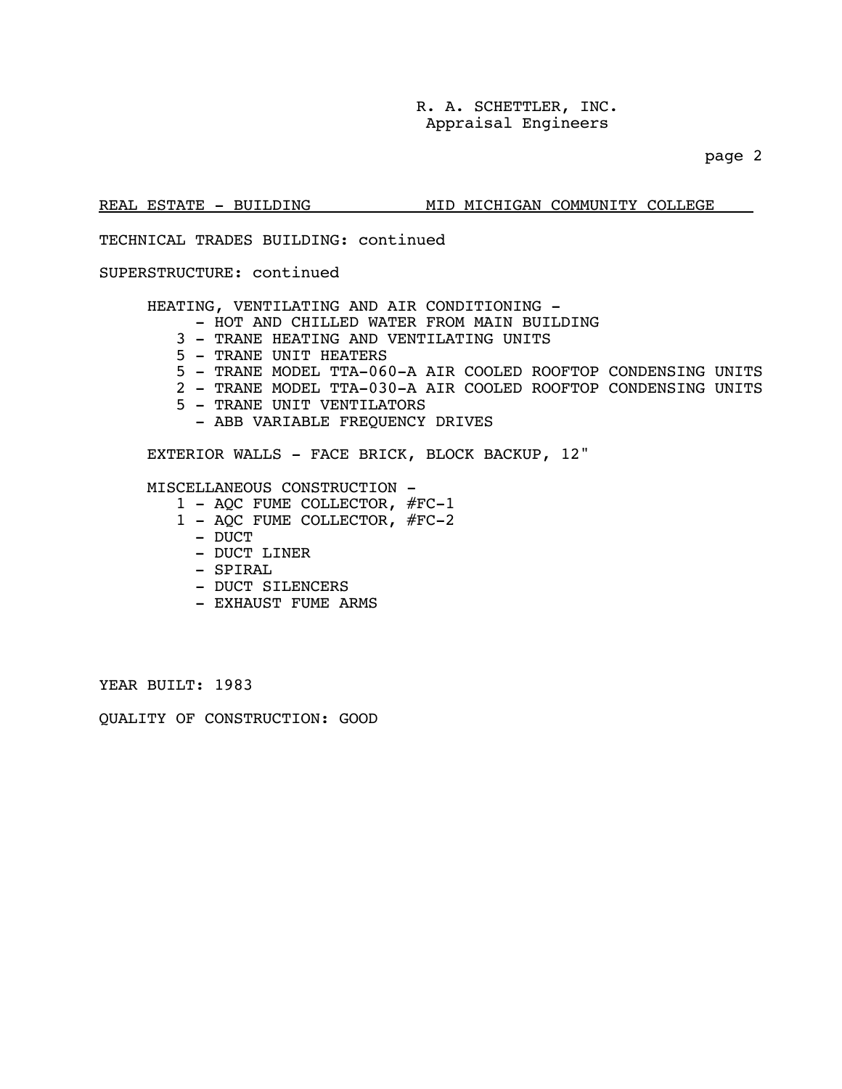page 2

### REAL ESTATE - BUILDING MID MICHIGAN COMMUNITY COLLEGE

### TECHNICAL TRADES BUILDING: continued

### SUPERSTRUCTURE: continued

HEATING, VENTILATING AND AIR CONDITIONING -

- HOT AND CHILLED WATER FROM MAIN BUILDING
- 3 TRANE HEATING AND VENTILATING UNITS
- 5 TRANE UNIT HEATERS
- 5 TRANE MODEL TTA-060-A AIR COOLED ROOFTOP CONDENSING UNITS
- 2 TRANE MODEL TTA-030-A AIR COOLED ROOFTOP CONDENSING UNITS
- 5 TRANE UNIT VENTILATORS
	- ABB VARIABLE FREQUENCY DRIVES

EXTERIOR WALLS - FACE BRICK, BLOCK BACKUP, 12"

### MISCELLANEOUS CONSTRUCTION -

- 1 AQC FUME COLLECTOR, #FC-1
- 1 AQC FUME COLLECTOR, #FC-2
	- DUCT
	- DUCT LINER
	- SPIRAL
	- DUCT SILENCERS
	- EXHAUST FUME ARMS

YEAR BUILT: 1983

QUALITY OF CONSTRUCTION: GOOD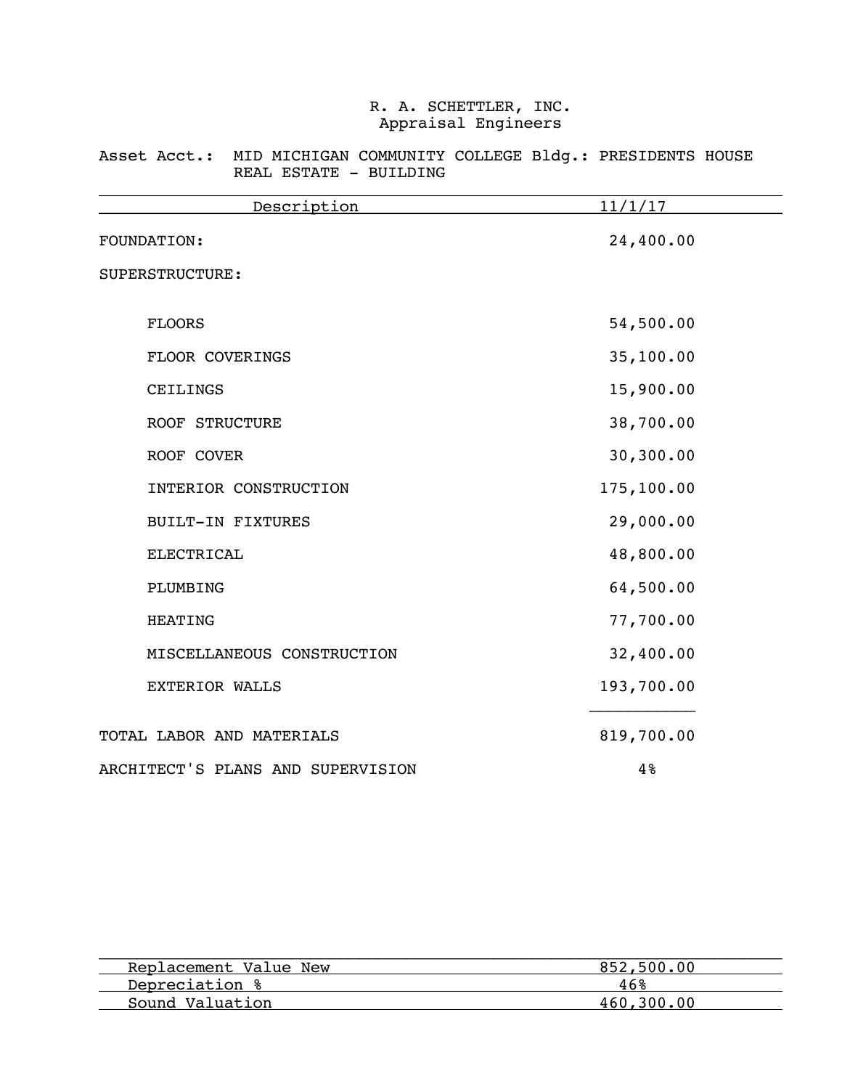### Asset Acct.: MID MICHIGAN COMMUNITY COLLEGE Bldg.: PRESIDENTS HOUSE REAL ESTATE - BUILDING

| Description                       | 11/1/17    |
|-----------------------------------|------------|
| FOUNDATION:                       | 24,400.00  |
| SUPERSTRUCTURE:                   |            |
| <b>FLOORS</b>                     | 54,500.00  |
| FLOOR COVERINGS                   | 35,100.00  |
| CEILINGS                          | 15,900.00  |
| <b>ROOF STRUCTURE</b>             | 38,700.00  |
| ROOF COVER                        | 30,300.00  |
| INTERIOR CONSTRUCTION             | 175,100.00 |
| <b>BUILT-IN FIXTURES</b>          | 29,000.00  |
| <b>ELECTRICAL</b>                 | 48,800.00  |
| PLUMBING                          | 64,500.00  |
| <b>HEATING</b>                    | 77,700.00  |
| MISCELLANEOUS CONSTRUCTION        | 32,400.00  |
| <b>EXTERIOR WALLS</b>             | 193,700.00 |
| TOTAL LABOR AND MATERIALS         | 819,700.00 |
| ARCHITECT'S PLANS AND SUPERVISION | 4%         |

| Replacement Value New | 852,500.00 |
|-----------------------|------------|
| Depreciation %        | 46%        |
| Sound Valuation       | 460.300.00 |
|                       |            |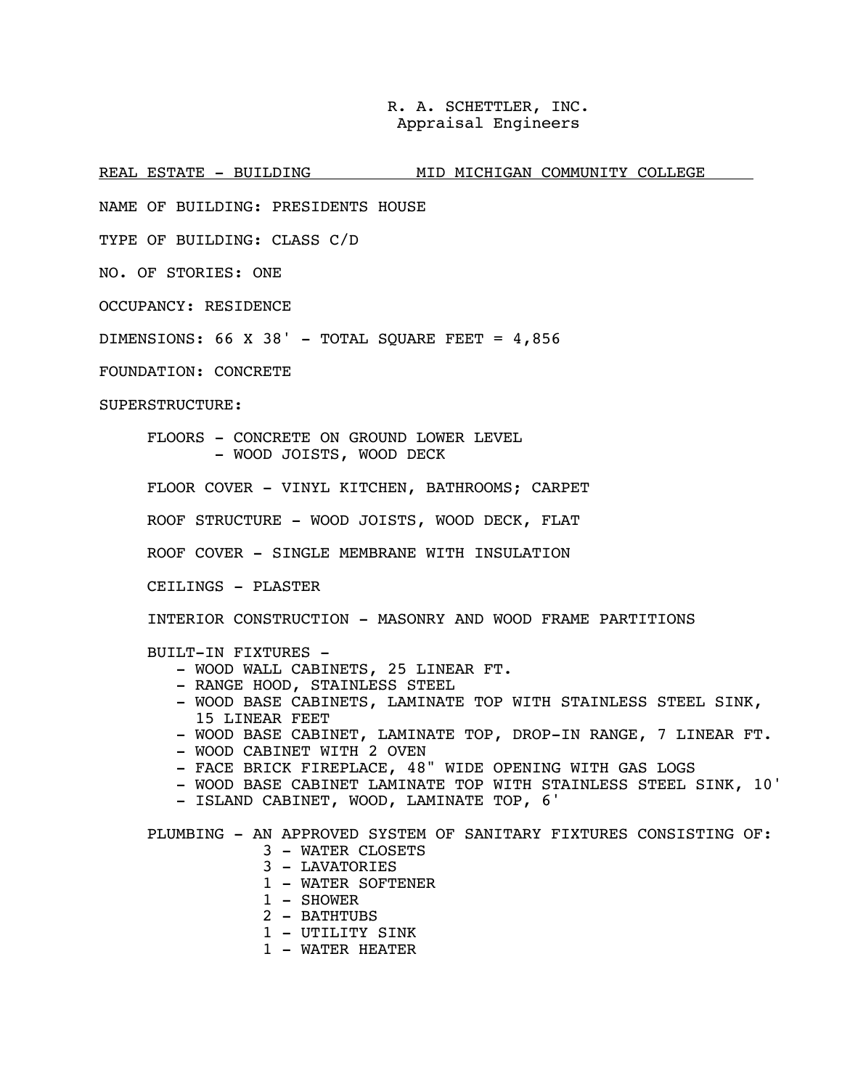REAL ESTATE - BUILDING MID MICHIGAN COMMUNITY COLLEGE

NAME OF BUILDING: PRESIDENTS HOUSE

TYPE OF BUILDING: CLASS C/D

NO. OF STORIES: ONE

OCCUPANCY: RESIDENCE

DIMENSIONS: 66 X 38' - TOTAL SQUARE FEET =  $4,856$ 

FOUNDATION: CONCRETE

SUPERSTRUCTURE:

 FLOORS - CONCRETE ON GROUND LOWER LEVEL - WOOD JOISTS, WOOD DECK

FLOOR COVER - VINYL KITCHEN, BATHROOMS; CARPET

ROOF STRUCTURE - WOOD JOISTS, WOOD DECK, FLAT

ROOF COVER - SINGLE MEMBRANE WITH INSULATION

CEILINGS - PLASTER

INTERIOR CONSTRUCTION - MASONRY AND WOOD FRAME PARTITIONS

BUILT-IN FIXTURES -

- WOOD WALL CABINETS, 25 LINEAR FT.
- RANGE HOOD, STAINLESS STEEL
- WOOD BASE CABINETS, LAMINATE TOP WITH STAINLESS STEEL SINK, 15 LINEAR FEET
- WOOD BASE CABINET, LAMINATE TOP, DROP-IN RANGE, 7 LINEAR FT.
- WOOD CABINET WITH 2 OVEN
- FACE BRICK FIREPLACE, 48" WIDE OPENING WITH GAS LOGS
- WOOD BASE CABINET LAMINATE TOP WITH STAINLESS STEEL SINK, 10'
- ISLAND CABINET, WOOD, LAMINATE TOP, 6'

PLUMBING - AN APPROVED SYSTEM OF SANITARY FIXTURES CONSISTING OF:

- 3 WATER CLOSETS
- 3 LAVATORIES
- 1 WATER SOFTENER
- 1 SHOWER
- 2 BATHTUBS
- 1 UTILITY SINK
- 1 WATER HEATER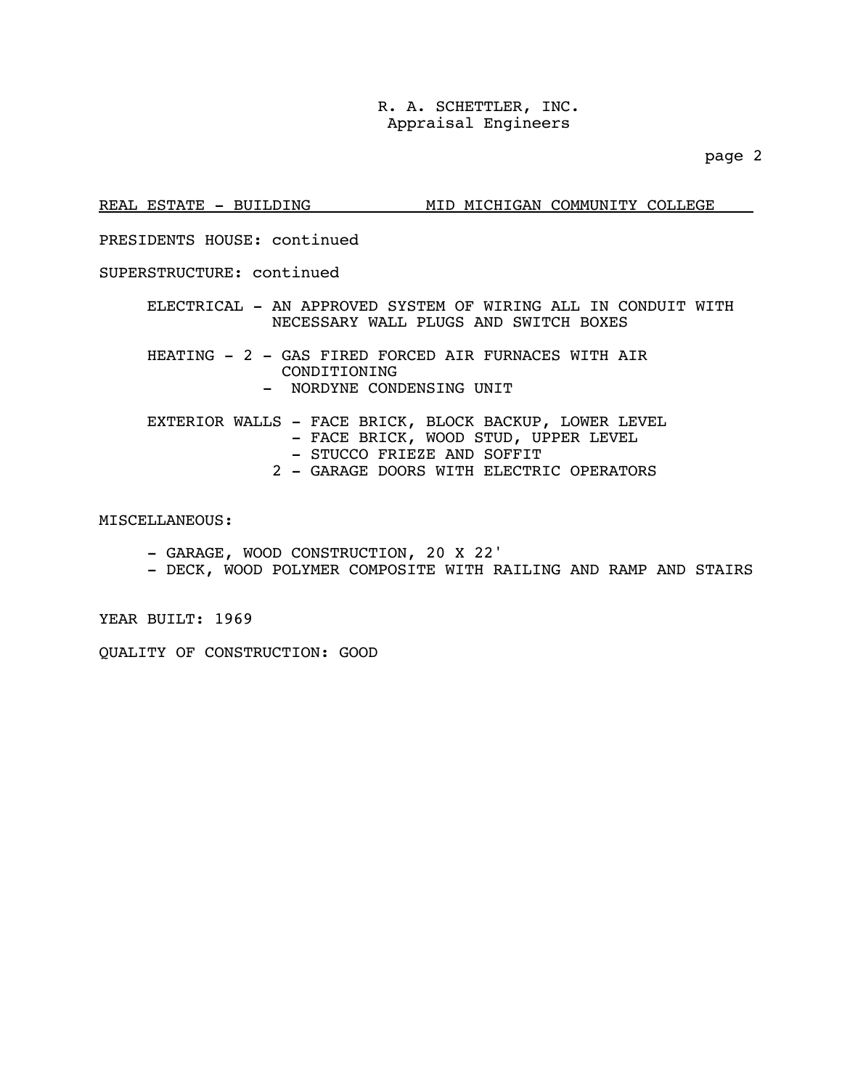page 2

REAL ESTATE - BUILDING MID MICHIGAN COMMUNITY COLLEGE

### PRESIDENTS HOUSE: continued

### SUPERSTRUCTURE: continued

 ELECTRICAL - AN APPROVED SYSTEM OF WIRING ALL IN CONDUIT WITH NECESSARY WALL PLUGS AND SWITCH BOXES

HEATING - 2 - GAS FIRED FORCED AIR FURNACES WITH AIR CONDITIONING - NORDYNE CONDENSING UNIT

 EXTERIOR WALLS - FACE BRICK, BLOCK BACKUP, LOWER LEVEL - FACE BRICK, WOOD STUD, UPPER LEVEL - STUCCO FRIEZE AND SOFFIT 2 - GARAGE DOORS WITH ELECTRIC OPERATORS

### MISCELLANEOUS:

- GARAGE, WOOD CONSTRUCTION, 20 X 22'
- DECK, WOOD POLYMER COMPOSITE WITH RAILING AND RAMP AND STAIRS

YEAR BUILT: 1969

QUALITY OF CONSTRUCTION: GOOD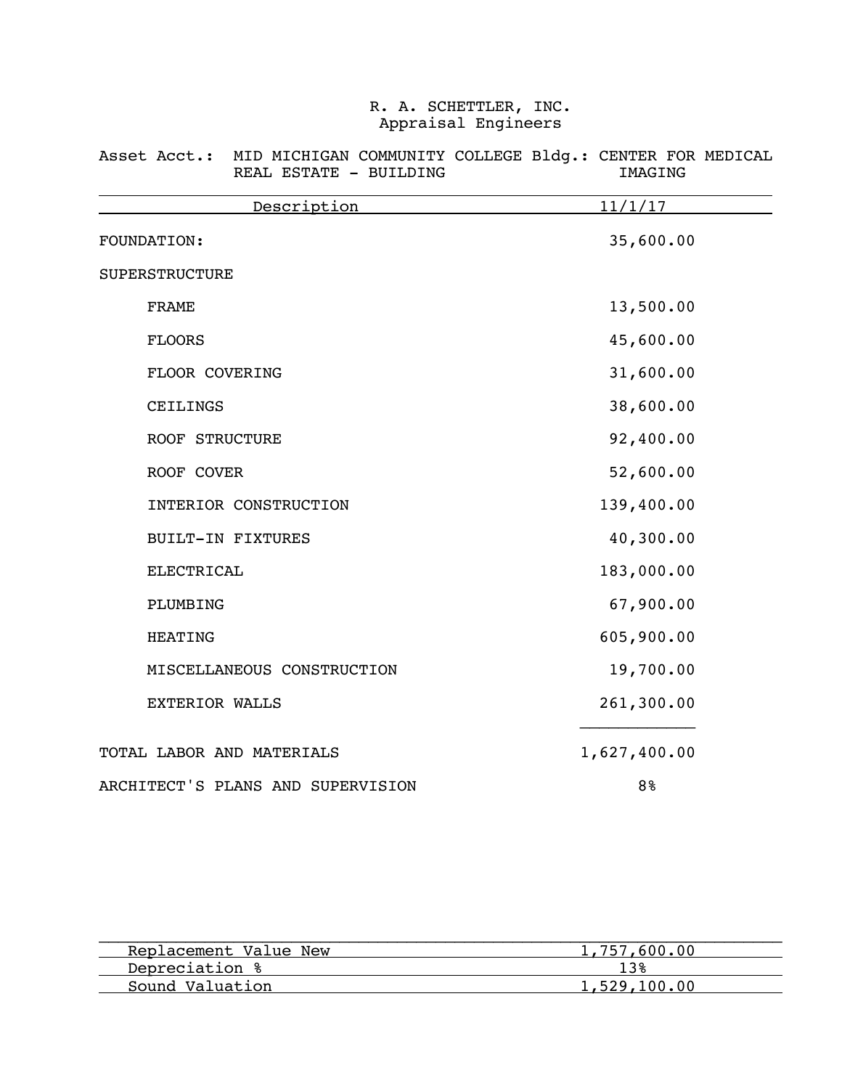| Description                       | 11/1/17        |
|-----------------------------------|----------------|
| FOUNDATION:                       | 35,600.00      |
| SUPERSTRUCTURE                    |                |
| <b>FRAME</b>                      | 13,500.00      |
| <b>FLOORS</b>                     | 45,600.00      |
| FLOOR COVERING                    | 31,600.00      |
| CEILINGS                          | 38,600.00      |
| ROOF STRUCTURE                    | 92,400.00      |
| ROOF COVER                        | 52,600.00      |
| INTERIOR CONSTRUCTION             | 139,400.00     |
| <b>BUILT-IN FIXTURES</b>          | 40,300.00      |
| <b>ELECTRICAL</b>                 | 183,000.00     |
| PLUMBING                          | 67,900.00      |
| <b>HEATING</b>                    | 605,900.00     |
| MISCELLANEOUS CONSTRUCTION        | 19,700.00      |
| <b>EXTERIOR WALLS</b>             | 261,300.00     |
| TOTAL LABOR AND MATERIALS         | 1,627,400.00   |
| ARCHITECT'S PLANS AND SUPERVISION | 8 <sup>8</sup> |

Asset Acct.: MID MICHIGAN COMMUNITY COLLEGE Bldg.: CENTER FOR MEDICAL REAL ESTATE - BUILDING **IMAGING** 

| Replacement Value New | 1,757,600,00 |
|-----------------------|--------------|
| Depreciation %        |              |
| Sound Valuation       | 1,529,100.00 |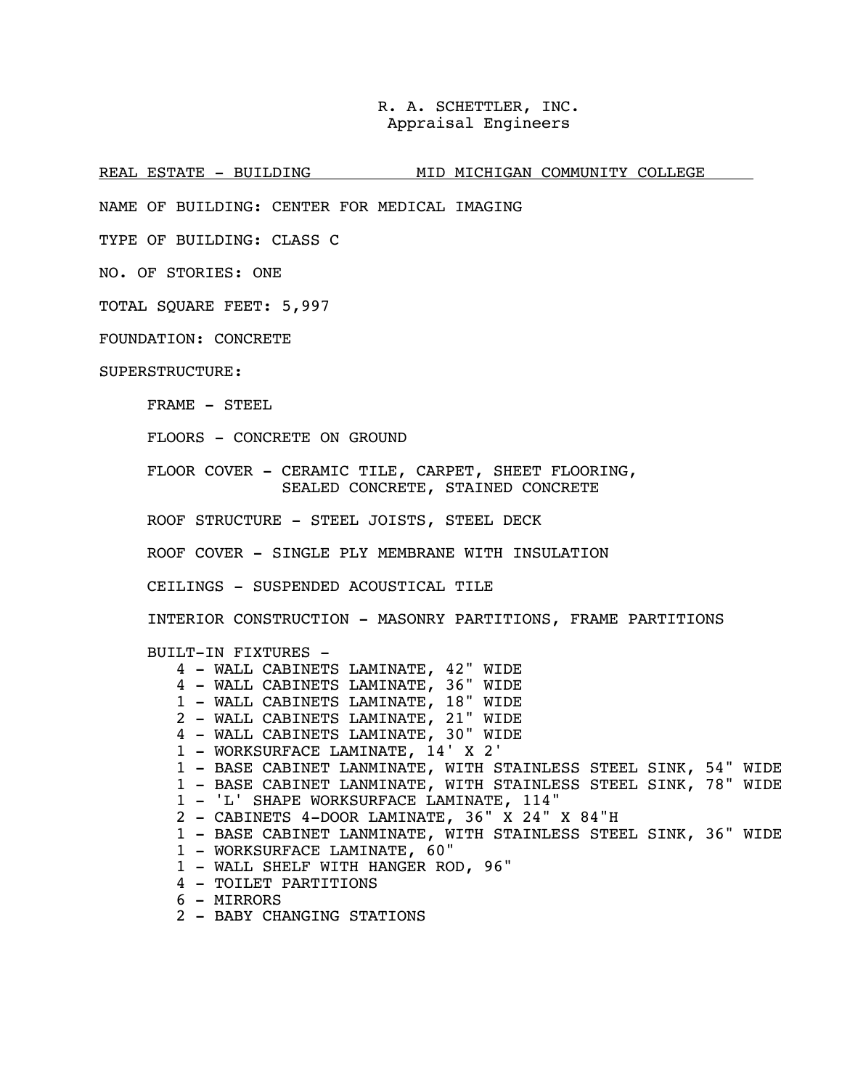REAL ESTATE - BUILDING MID MICHIGAN COMMUNITY COLLEGE

NAME OF BUILDING: CENTER FOR MEDICAL IMAGING

TYPE OF BUILDING: CLASS C

NO. OF STORIES: ONE

TOTAL SQUARE FEET: 5,997

FOUNDATION: CONCRETE

SUPERSTRUCTURE:

FRAME - STEEL

FLOORS - CONCRETE ON GROUND

FLOOR COVER - CERAMIC TILE, CARPET, SHEET FLOORING, SEALED CONCRETE, STAINED CONCRETE

ROOF STRUCTURE - STEEL JOISTS, STEEL DECK

ROOF COVER - SINGLE PLY MEMBRANE WITH INSULATION

CEILINGS - SUSPENDED ACOUSTICAL TILE

INTERIOR CONSTRUCTION - MASONRY PARTITIONS, FRAME PARTITIONS

BUILT-IN FIXTURES -

- 4 WALL CABINETS LAMINATE, 42" WIDE
- 4 WALL CABINETS LAMINATE, 36" WIDE
- 1 WALL CABINETS LAMINATE, 18" WIDE
- 2 WALL CABINETS LAMINATE, 21" WIDE
- 4 WALL CABINETS LAMINATE, 30" WIDE
- 1 WORKSURFACE LAMINATE, 14' X 2'
- 1 BASE CABINET LANMINATE, WITH STAINLESS STEEL SINK, 54" WIDE
- 1 BASE CABINET LANMINATE, WITH STAINLESS STEEL SINK, 78" WIDE
- 1 'L' SHAPE WORKSURFACE LAMINATE, 114"
- 2 CABINETS 4-DOOR LAMINATE, 36" X 24" X 84"H
- 1 BASE CABINET LANMINATE, WITH STAINLESS STEEL SINK, 36" WIDE
- 1 WORKSURFACE LAMINATE, 60"
- 1 WALL SHELF WITH HANGER ROD, 96"
- 4 TOILET PARTITIONS
- 6 MIRRORS
- 2 BABY CHANGING STATIONS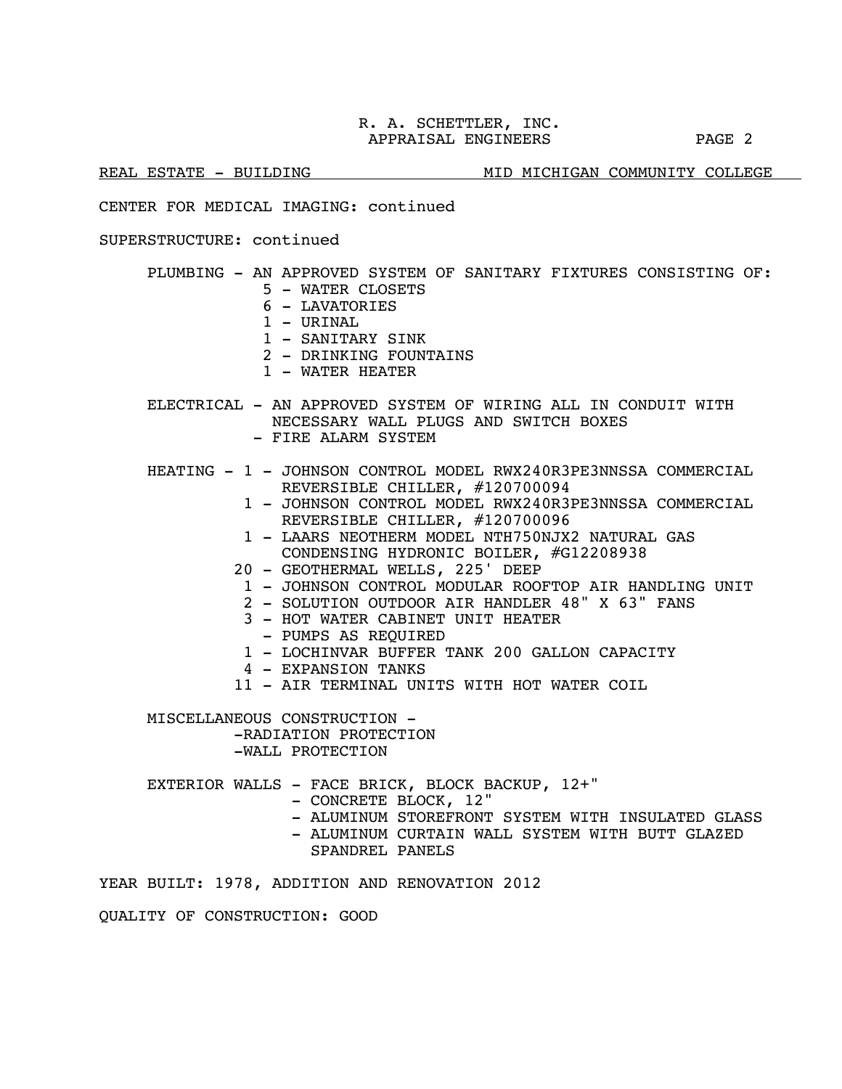REAL ESTATE - BUILDING MID MICHIGAN COMMUNITY COLLEGE

CENTER FOR MEDICAL IMAGING: continued

SUPERSTRUCTURE: continued

## PLUMBING - AN APPROVED SYSTEM OF SANITARY FIXTURES CONSISTING OF:

- 5 WATER CLOSETS
- 6 LAVATORIES
- 1 URINAL
- 1 SANITARY SINK
- 2 DRINKING FOUNTAINS
- 1 WATER HEATER

 ELECTRICAL - AN APPROVED SYSTEM OF WIRING ALL IN CONDUIT WITH NECESSARY WALL PLUGS AND SWITCH BOXES - FIRE ALARM SYSTEM

- HEATING 1 JOHNSON CONTROL MODEL RWX240R3PE3NNSSA COMMERCIAL REVERSIBLE CHILLER, #120700094
	- 1 JOHNSON CONTROL MODEL RWX240R3PE3NNSSA COMMERCIAL REVERSIBLE CHILLER, #120700096
	- 1 LAARS NEOTHERM MODEL NTH750NJX2 NATURAL GAS CONDENSING HYDRONIC BOILER, #G12208938
	- 20 GEOTHERMAL WELLS, 225' DEEP
		- 1 JOHNSON CONTROL MODULAR ROOFTOP AIR HANDLING UNIT
		- 2 SOLUTION OUTDOOR AIR HANDLER 48" X 63" FANS
		- 3 HOT WATER CABINET UNIT HEATER
			- PUMPS AS REQUIRED
		- 1 LOCHINVAR BUFFER TANK 200 GALLON CAPACITY
		- 4 EXPANSION TANKS
	- 11 AIR TERMINAL UNITS WITH HOT WATER COIL

MISCELLANEOUS CONSTRUCTION -

-RADIATION PROTECTION -WALL PROTECTION

EXTERIOR WALLS - FACE BRICK, BLOCK BACKUP, 12+"

- 
- CONCRETE BLOCK, 12"<br>- ALUMINUM STOREFRONT SYSTEM WITH INSULATED GLASS
- ALUMINUM CURTAIN WALL SYSTEM WITH BUTT GLAZED
- SPANDREL PANELS

YEAR BUILT: 1978, ADDITION AND RENOVATION 2012

QUALITY OF CONSTRUCTION: GOOD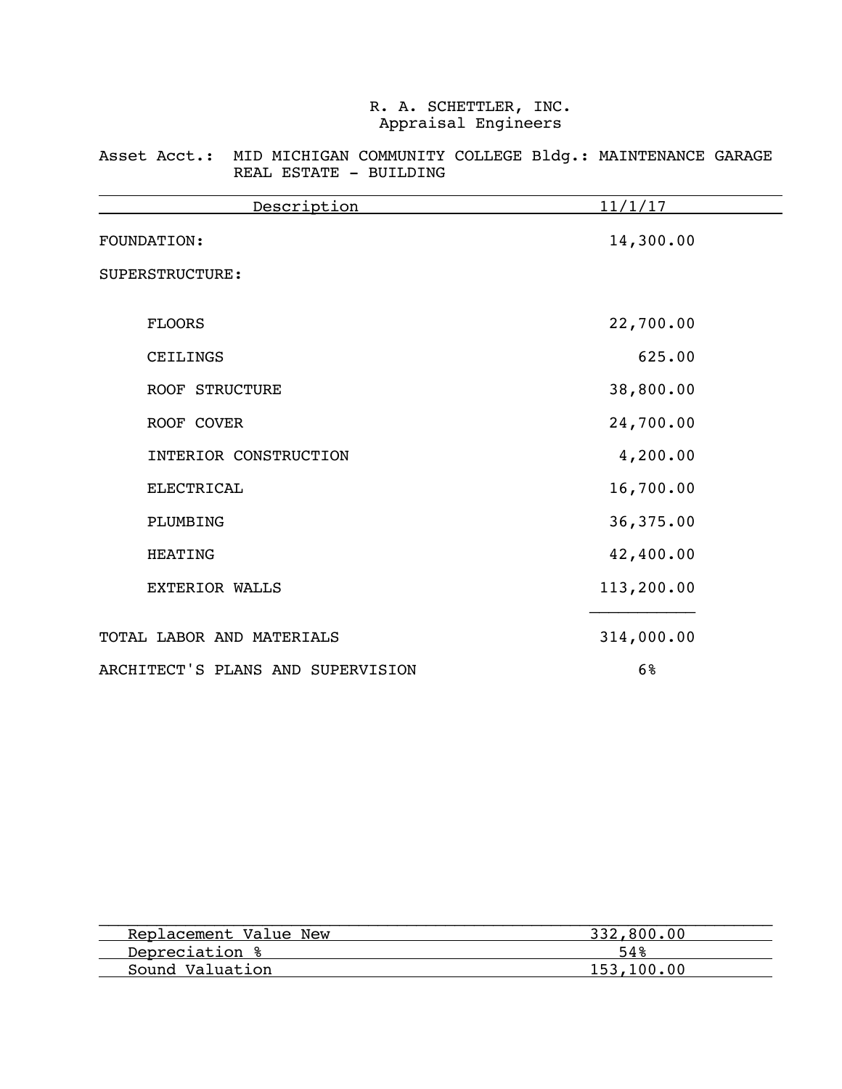Asset Acct.: MID MICHIGAN COMMUNITY COLLEGE Bldg.: MAINTENANCE GARAGE REAL ESTATE - BUILDING

| Description                       | <u>11/1/17</u> |
|-----------------------------------|----------------|
| FOUNDATION:                       | 14,300.00      |
| SUPERSTRUCTURE:                   |                |
| <b>FLOORS</b>                     | 22,700.00      |
| CEILINGS                          | 625.00         |
| <b>ROOF STRUCTURE</b>             | 38,800.00      |
| ROOF COVER                        | 24,700.00      |
| INTERIOR CONSTRUCTION             | 4,200.00       |
| <b>ELECTRICAL</b>                 | 16,700.00      |
| PLUMBING                          | 36,375.00      |
| <b>HEATING</b>                    | 42,400.00      |
| <b>EXTERIOR WALLS</b>             | 113,200.00     |
| TOTAL LABOR AND MATERIALS         | 314,000.00     |
| ARCHITECT'S PLANS AND SUPERVISION | 6%             |

| Replacement Value New | 332,800.00 |
|-----------------------|------------|
| Depreciation %        | 54%        |
| Sound Valuation       | 153,100,00 |
|                       |            |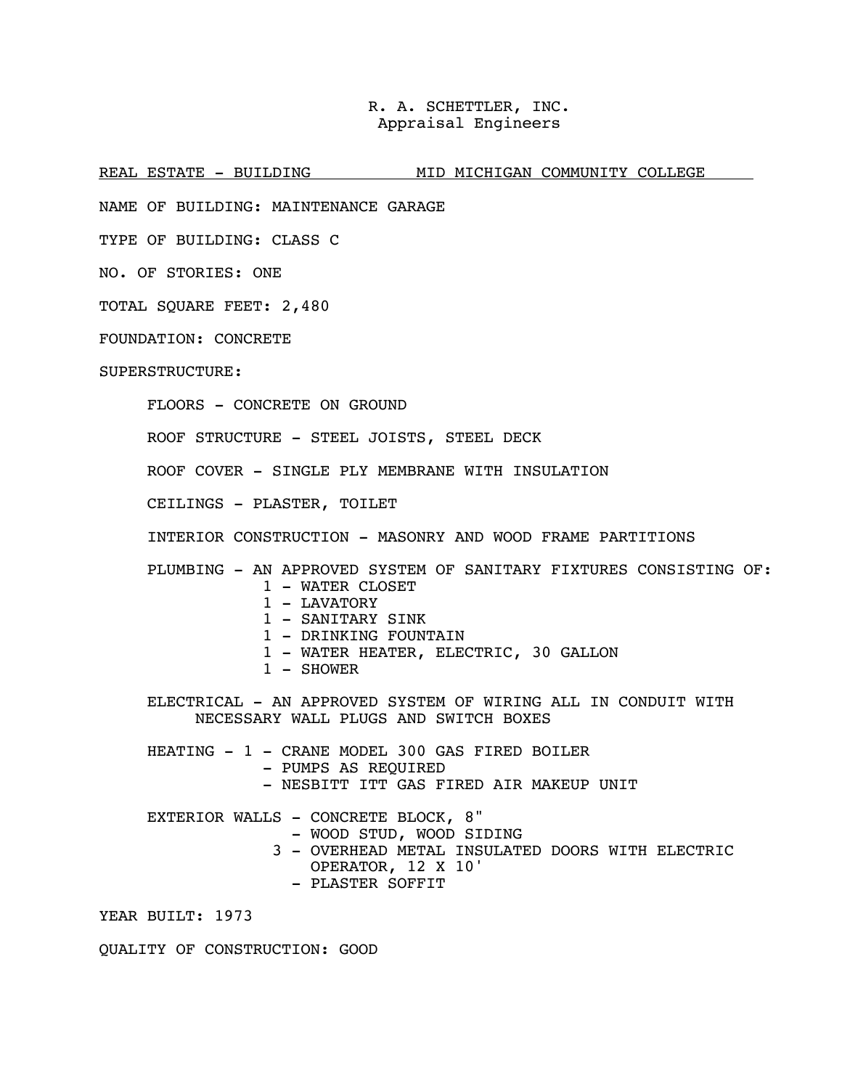REAL ESTATE - BUILDING MID MICHIGAN COMMUNITY COLLEGE

NAME OF BUILDING: MAINTENANCE GARAGE

TYPE OF BUILDING: CLASS C

NO. OF STORIES: ONE

TOTAL SQUARE FEET: 2,480

FOUNDATION: CONCRETE

SUPERSTRUCTURE:

FLOORS - CONCRETE ON GROUND

ROOF STRUCTURE - STEEL JOISTS, STEEL DECK

ROOF COVER - SINGLE PLY MEMBRANE WITH INSULATION

CEILINGS - PLASTER, TOILET

INTERIOR CONSTRUCTION - MASONRY AND WOOD FRAME PARTITIONS

 PLUMBING - AN APPROVED SYSTEM OF SANITARY FIXTURES CONSISTING OF: 1 - WATER CLOSET

- 1 LAVATORY
- 1 SANITARY SINK
- 1 DRINKING FOUNTAIN
- 1 WATER HEATER, ELECTRIC, 30 GALLON
- 1 SHOWER

ELECTRICAL - AN APPROVED SYSTEM OF WIRING ALL IN CONDUIT WITH NECESSARY WALL PLUGS AND SWITCH BOXES

HEATING - 1 - CRANE MODEL 300 GAS FIRED BOILER - PUMPS AS REQUIRED - NESBITT ITT GAS FIRED AIR MAKEUP UNIT

 EXTERIOR WALLS - CONCRETE BLOCK, 8" - WOOD STUD, WOOD SIDING 3 - OVERHEAD METAL INSULATED DOORS WITH ELECTRIC OPERATOR, 12 X 10' - PLASTER SOFFIT

YEAR BUILT: 1973

QUALITY OF CONSTRUCTION: GOOD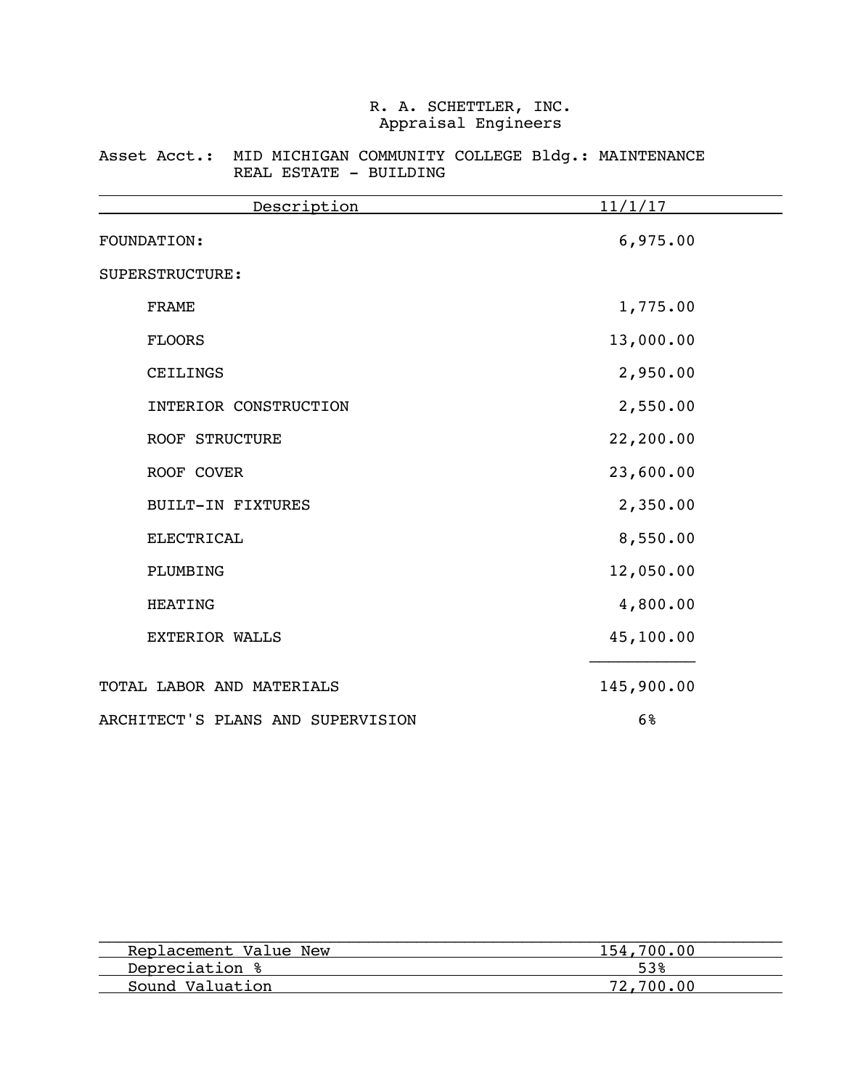### Asset Acct.: MID MICHIGAN COMMUNITY COLLEGE Bldg.: MAINTENANCE REAL ESTATE - BUILDING

| Description                       | 11/1/17    |
|-----------------------------------|------------|
| FOUNDATION:                       | 6,975.00   |
| SUPERSTRUCTURE:                   |            |
| <b>FRAME</b>                      | 1,775.00   |
| <b>FLOORS</b>                     | 13,000.00  |
| CEILINGS                          | 2,950.00   |
| INTERIOR CONSTRUCTION             | 2,550.00   |
| ROOF STRUCTURE                    | 22,200.00  |
| ROOF COVER                        | 23,600.00  |
| <b>BUILT-IN FIXTURES</b>          | 2,350.00   |
| <b>ELECTRICAL</b>                 | 8,550.00   |
| PLUMBING                          | 12,050.00  |
| <b>HEATING</b>                    | 4,800.00   |
| <b>EXTERIOR WALLS</b>             | 45,100.00  |
| TOTAL LABOR AND MATERIALS         | 145,900.00 |
| ARCHITECT'S PLANS AND SUPERVISION | 6%         |

| 154,700,00 |
|------------|
| 53%        |
| 72.700.00  |
|            |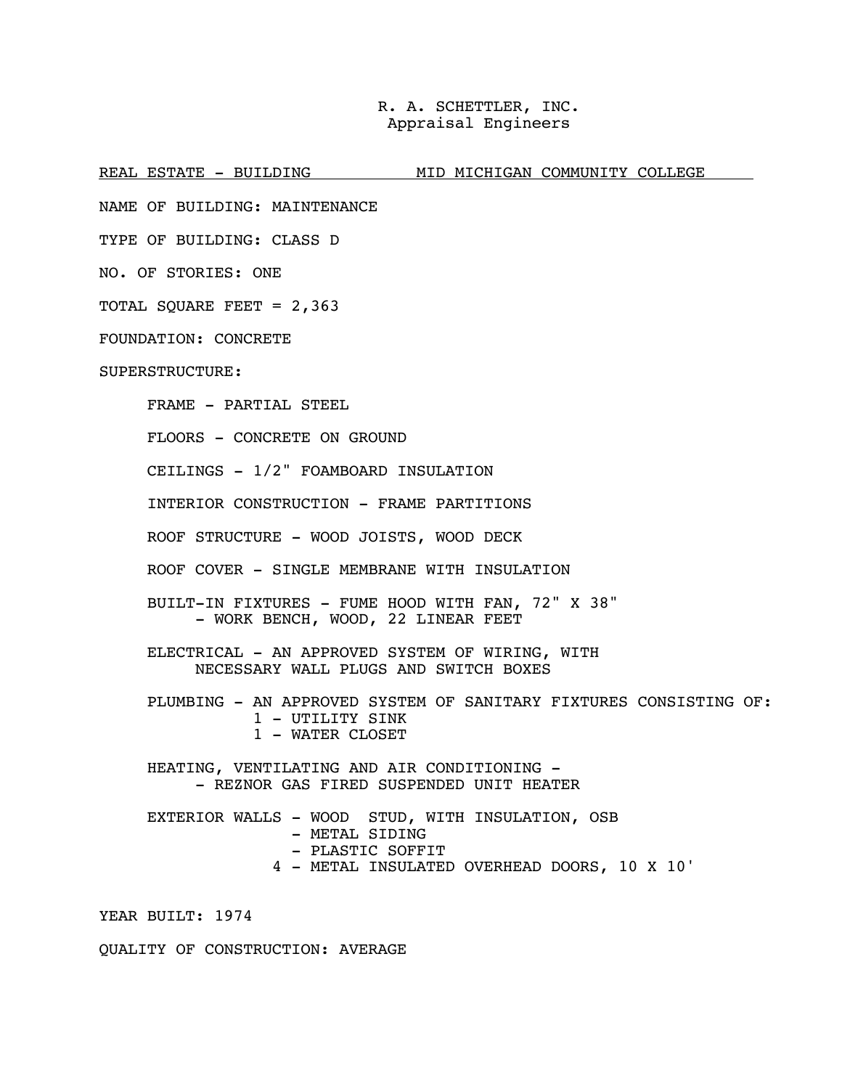REAL ESTATE - BUILDING MID MICHIGAN COMMUNITY COLLEGE

NAME OF BUILDING: MAINTENANCE

TYPE OF BUILDING: CLASS D

NO. OF STORIES: ONE

TOTAL SQUARE FEET = 2,363

FOUNDATION: CONCRETE

SUPERSTRUCTURE:

FRAME - PARTIAL STEEL

FLOORS - CONCRETE ON GROUND

CEILINGS - 1/2" FOAMBOARD INSULATION

INTERIOR CONSTRUCTION - FRAME PARTITIONS

ROOF STRUCTURE - WOOD JOISTS, WOOD DECK

ROOF COVER - SINGLE MEMBRANE WITH INSULATION

BUILT-IN FIXTURES - FUME HOOD WITH FAN, 72" X 38" - WORK BENCH, WOOD, 22 LINEAR FEET

 ELECTRICAL - AN APPROVED SYSTEM OF WIRING, WITH NECESSARY WALL PLUGS AND SWITCH BOXES

PLUMBING - AN APPROVED SYSTEM OF SANITARY FIXTURES CONSISTING OF: 1 - UTILITY SINK 1 - WATER CLOSET

 HEATING, VENTILATING AND AIR CONDITIONING - - REZNOR GAS FIRED SUSPENDED UNIT HEATER

EXTERIOR WALLS - WOOD STUD, WITH INSULATION, OSB - PLASTIC SOFFIT 4 - METAL INSULATED OVERHEAD DOORS, 10 X 10'

YEAR BUILT: 1974

QUALITY OF CONSTRUCTION: AVERAGE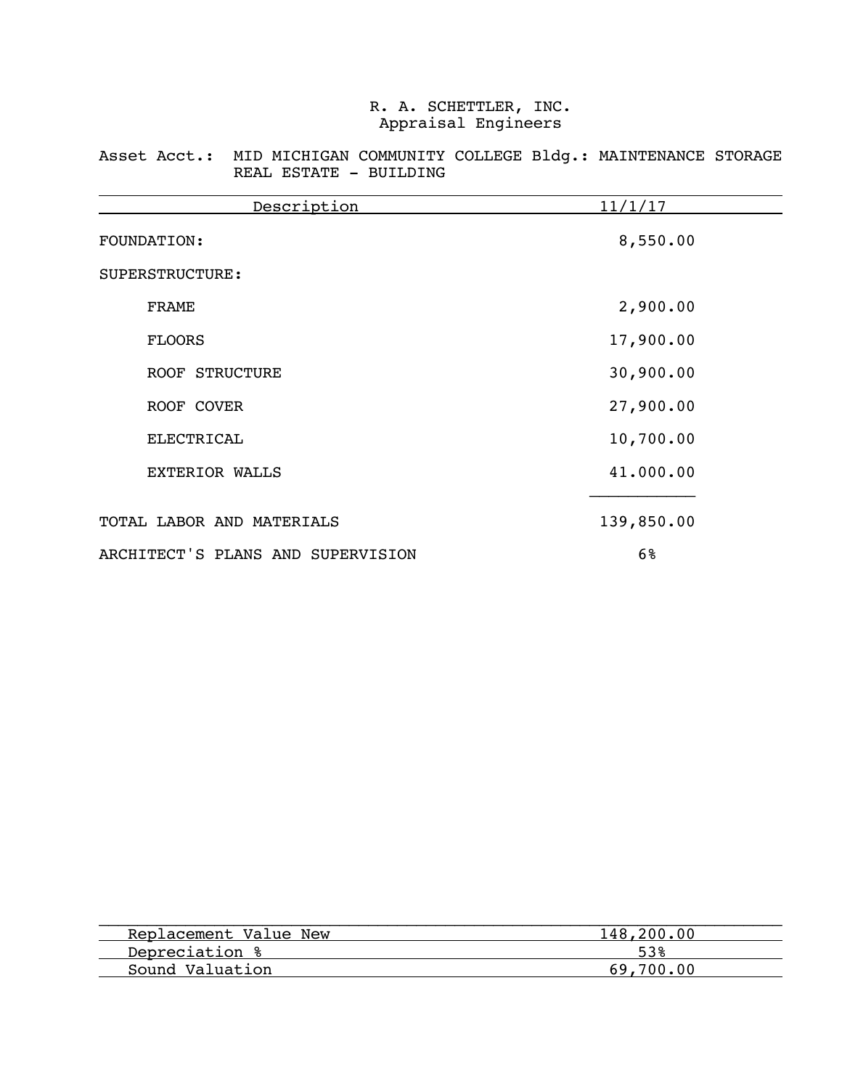Asset Acct.: MID MICHIGAN COMMUNITY COLLEGE Bldg.: MAINTENANCE STORAGE REAL ESTATE - BUILDING

| Description                       | 11/1/17    |
|-----------------------------------|------------|
| <b>FOUNDATION:</b>                | 8,550.00   |
| SUPERSTRUCTURE:                   |            |
| <b>FRAME</b>                      | 2,900.00   |
| <b>FLOORS</b>                     | 17,900.00  |
| ROOF STRUCTURE                    | 30,900.00  |
| ROOF COVER                        | 27,900.00  |
| ELECTRICAL                        | 10,700.00  |
| <b>EXTERIOR WALLS</b>             | 41.000.00  |
| TOTAL LABOR AND MATERIALS         | 139,850.00 |
| ARCHITECT'S PLANS AND SUPERVISION | 6%         |

| 148,200.00 |
|------------|
|            |
| 69,700,00  |
|            |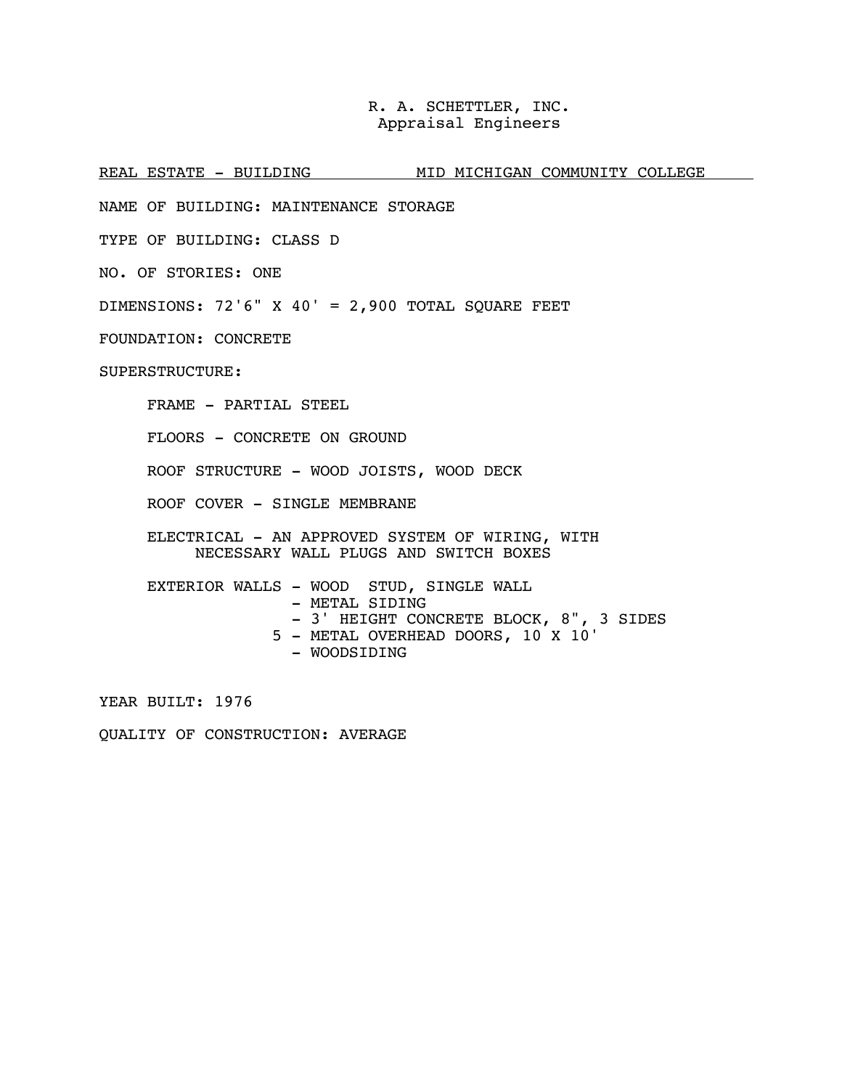REAL ESTATE - BUILDING MID MICHIGAN COMMUNITY COLLEGE

NAME OF BUILDING: MAINTENANCE STORAGE

TYPE OF BUILDING: CLASS D

NO. OF STORIES: ONE

DIMENSIONS:  $72'6''$  X  $40'$  = 2,900 TOTAL SQUARE FEET

FOUNDATION: CONCRETE

SUPERSTRUCTURE:

FRAME - PARTIAL STEEL

FLOORS - CONCRETE ON GROUND

ROOF STRUCTURE - WOOD JOISTS, WOOD DECK

ROOF COVER - SINGLE MEMBRANE

ELECTRICAL - AN APPROVED SYSTEM OF WIRING, WITH NECESSARY WALL PLUGS AND SWITCH BOXES

EXTERIOR WALLS - WOOD STUD, SINGLE WALL - METAL SIDING - 3' HEIGHT CONCRETE BLOCK, 8", 3 SIDES 5 - METAL OVERHEAD DOORS, 10 X 10' - WOODSIDING

YEAR BUILT: 1976

QUALITY OF CONSTRUCTION: AVERAGE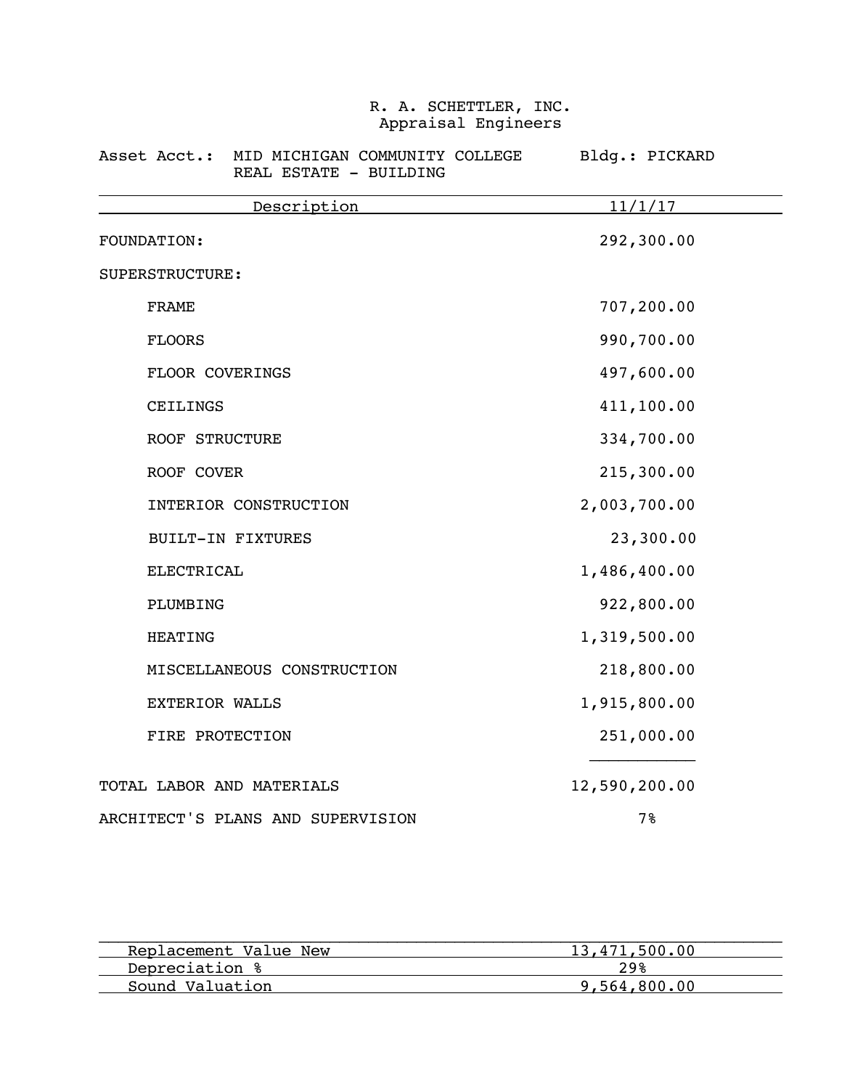### Asset Acct.: MID MICHIGAN COMMUNITY COLLEGE Bldg.: PICKARD REAL ESTATE - BUILDING

| Description                       | 11/1/17       |
|-----------------------------------|---------------|
| FOUNDATION:                       | 292,300.00    |
| SUPERSTRUCTURE:                   |               |
| <b>FRAME</b>                      | 707,200.00    |
| <b>FLOORS</b>                     | 990,700.00    |
| FLOOR COVERINGS                   | 497,600.00    |
| CEILINGS                          | 411,100.00    |
| <b>ROOF STRUCTURE</b>             | 334,700.00    |
| ROOF COVER                        | 215,300.00    |
| INTERIOR CONSTRUCTION             | 2,003,700.00  |
| <b>BUILT-IN FIXTURES</b>          | 23,300.00     |
| <b>ELECTRICAL</b>                 | 1,486,400.00  |
| PLUMBING                          | 922,800.00    |
| <b>HEATING</b>                    | 1,319,500.00  |
| MISCELLANEOUS CONSTRUCTION        | 218,800.00    |
| <b>EXTERIOR WALLS</b>             | 1,915,800.00  |
| FIRE PROTECTION                   | 251,000.00    |
| TOTAL LABOR AND MATERIALS         | 12,590,200.00 |
| ARCHITECT'S PLANS AND SUPERVISION | 7%            |

| Replacement Value New | 13,471,500.00 |
|-----------------------|---------------|
| Depreciation %        | 29%           |
| Sound Valuation       | 9,564,800.00  |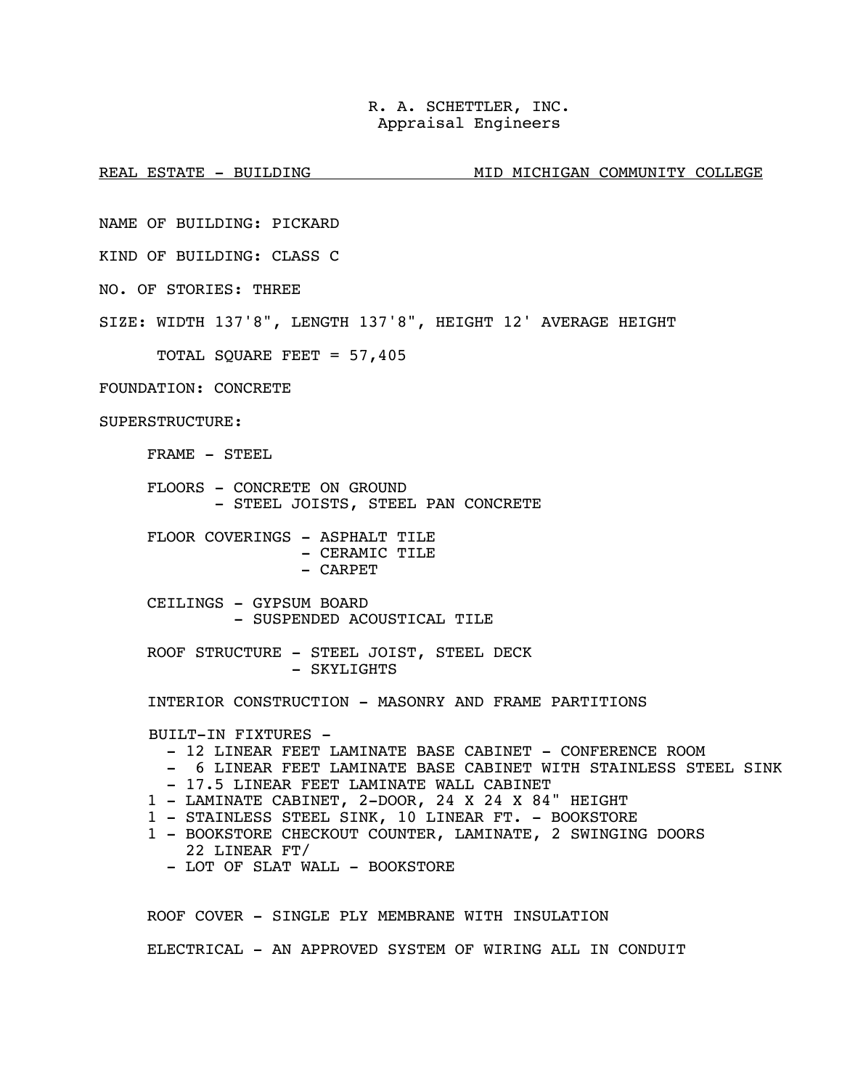REAL ESTATE - BUILDING MID MID MICHIGAN COMMUNITY COLLEGE

NAME OF BUILDING: PICKARD

KIND OF BUILDING: CLASS C

NO. OF STORIES: THREE

SIZE: WIDTH 137'8", LENGTH 137'8", HEIGHT 12' AVERAGE HEIGHT

TOTAL SQUARE FEET = 57,405

FOUNDATION: CONCRETE

SUPERSTRUCTURE:

FRAME - STEEL

 FLOORS - CONCRETE ON GROUND - STEEL JOISTS, STEEL PAN CONCRETE

FLOOR COVERINGS - ASPHALT TILE - CERAMIC TILE - CARPET

 CEILINGS - GYPSUM BOARD - SUSPENDED ACOUSTICAL TILE

 ROOF STRUCTURE - STEEL JOIST, STEEL DECK - SKYLIGHTS

INTERIOR CONSTRUCTION - MASONRY AND FRAME PARTITIONS

BUILT-IN FIXTURES -

- 12 LINEAR FEET LAMINATE BASE CABINET CONFERENCE ROOM
- 6 LINEAR FEET LAMINATE BASE CABINET WITH STAINLESS STEEL SINK
- 17.5 LINEAR FEET LAMINATE WALL CABINET
- 1 LAMINATE CABINET, 2-DOOR, 24 X 24 X 84" HEIGHT
- 1 STAINLESS STEEL SINK, 10 LINEAR FT. BOOKSTORE
- 1 BOOKSTORE CHECKOUT COUNTER, LAMINATE, 2 SWINGING DOORS 22 LINEAR FT/
	- LOT OF SLAT WALL BOOKSTORE

 ROOF COVER - SINGLE PLY MEMBRANE WITH INSULATION ELECTRICAL - AN APPROVED SYSTEM OF WIRING ALL IN CONDUIT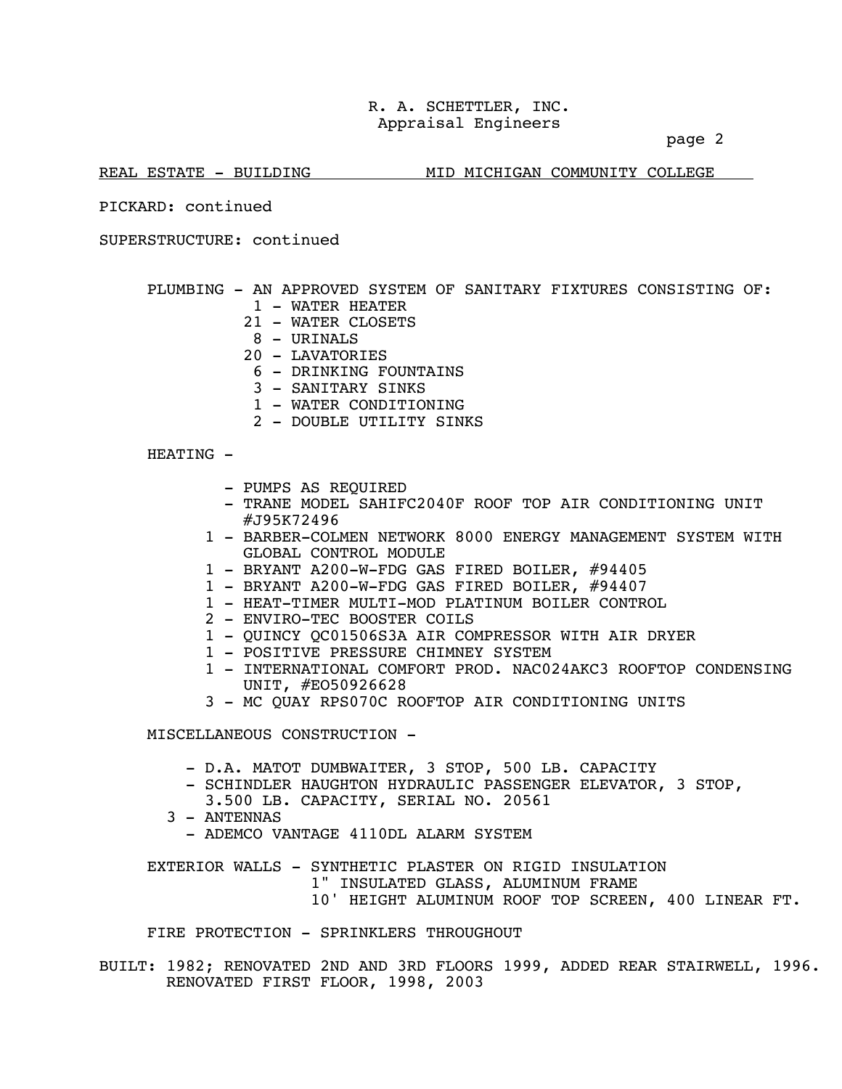page 2

REAL ESTATE - BUILDING MID MICHIGAN COMMUNITY COLLEGE

PICKARD: continued

SUPERSTRUCTURE: continued

PLUMBING - AN APPROVED SYSTEM OF SANITARY FIXTURES CONSISTING OF:

- 1 WATER HEATER
- 21 WATER CLOSETS
- $8 \text{IIRTNALS}$
- 20 LAVATORIES
- 6 DRINKING FOUNTAINS
- 3 SANITARY SINKS
- 1 WATER CONDITIONING
- 2 DOUBLE UTILITY SINKS

HEATING -

- PUMPS AS REQUIRED
- TRANE MODEL SAHIFC2040F ROOF TOP AIR CONDITIONING UNIT #J95K72496
- 1 BARBER-COLMEN NETWORK 8000 ENERGY MANAGEMENT SYSTEM WITH GLOBAL CONTROL MODULE
- 1 BRYANT A200-W-FDG GAS FIRED BOILER, #94405
- 1 BRYANT A200-W-FDG GAS FIRED BOILER, #94407
- 1 HEAT-TIMER MULTI-MOD PLATINUM BOILER CONTROL
- 2 ENVIRO-TEC BOOSTER COILS
- 1 QUINCY QC01506S3A AIR COMPRESSOR WITH AIR DRYER
- 1 POSITIVE PRESSURE CHIMNEY SYSTEM
- 1 INTERNATIONAL COMFORT PROD. NAC024AKC3 ROOFTOP CONDENSING UNIT, #EO50926628
- 3 MC QUAY RPS070C ROOFTOP AIR CONDITIONING UNITS

MISCELLANEOUS CONSTRUCTION -

- D.A. MATOT DUMBWAITER, 3 STOP, 500 LB. CAPACITY
- SCHINDLER HAUGHTON HYDRAULIC PASSENGER ELEVATOR, 3 STOP,
	- 3.500 LB. CAPACITY, SERIAL NO. 20561
- 3 ANTENNAS
- ADEMCO VANTAGE 4110DL ALARM SYSTEM

 EXTERIOR WALLS - SYNTHETIC PLASTER ON RIGID INSULATION 1" INSULATED GLASS, ALUMINUM FRAME 10' HEIGHT ALUMINUM ROOF TOP SCREEN, 400 LINEAR FT.

FIRE PROTECTION - SPRINKLERS THROUGHOUT

BUILT: 1982; RENOVATED 2ND AND 3RD FLOORS 1999, ADDED REAR STAIRWELL, 1996. RENOVATED FIRST FLOOR, 1998, 2003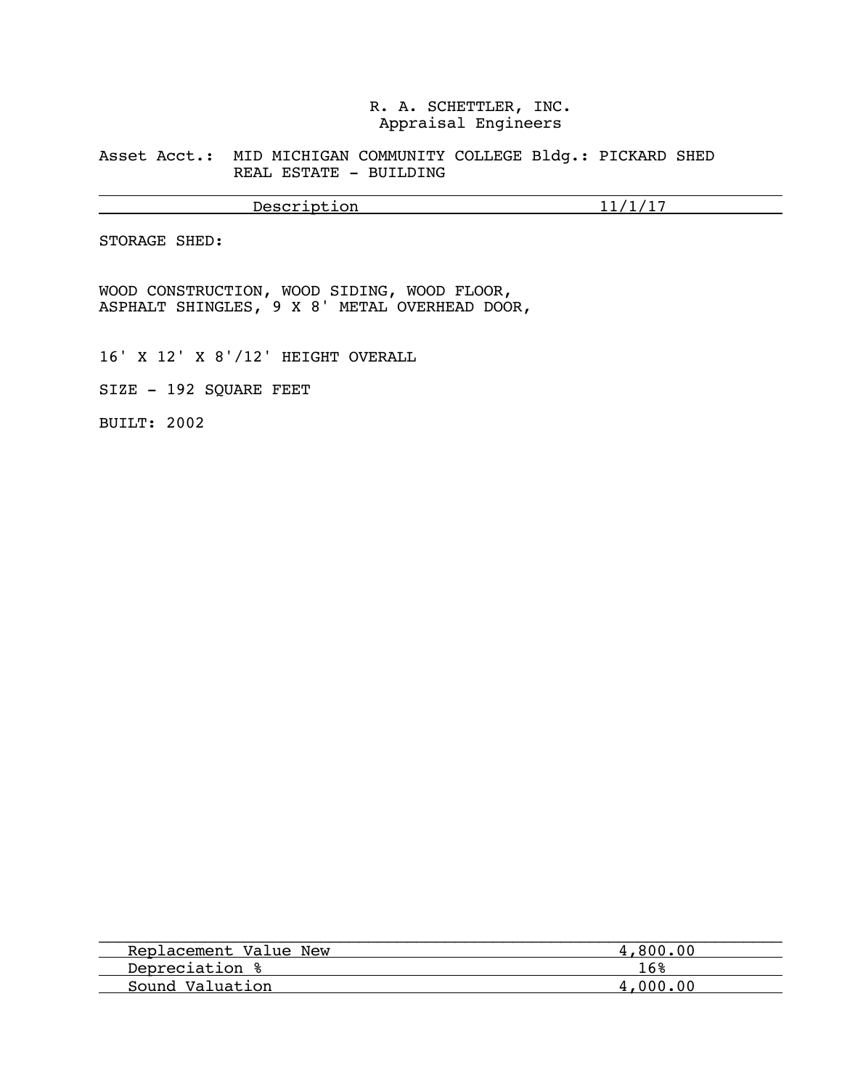Asset Acct.: MID MICHIGAN COMMUNITY COLLEGE Bldg.: PICKARD SHED REAL ESTATE - BUILDING

Description 11/1/17

STORAGE SHED:

 $\overline{a}$ 

WOOD CONSTRUCTION, WOOD SIDING, WOOD FLOOR, ASPHALT SHINGLES, 9 X 8' METAL OVERHEAD DOOR,

16' X 12' X 8'/12' HEIGHT OVERALL

SIZE - 192 SQUARE FEET

BUILT: 2002

| Replacement Value New | 4,800,00 |
|-----------------------|----------|
| Depreciation %        | 16%      |
| Sound Valuation       | 4,000,00 |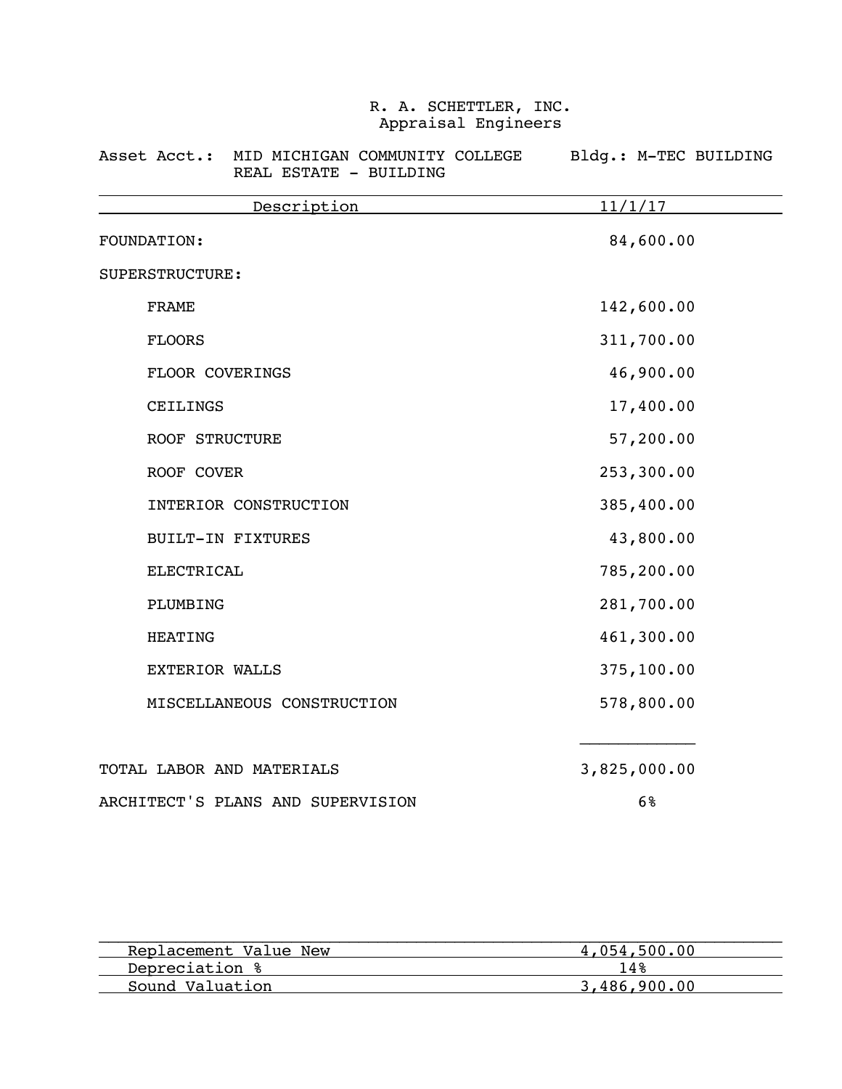### Asset Acct.: MID MICHIGAN COMMUNITY COLLEGE Bldg.: M-TEC BUILDING REAL ESTATE - BUILDING

| Description                       | 11/1/17        |
|-----------------------------------|----------------|
| FOUNDATION:                       | 84,600.00      |
| SUPERSTRUCTURE:                   |                |
| FRAME                             | 142,600.00     |
| <b>FLOORS</b>                     | 311,700.00     |
| FLOOR COVERINGS                   | 46,900.00      |
| CEILINGS                          | 17,400.00      |
| <b>ROOF STRUCTURE</b>             | 57,200.00      |
| ROOF COVER                        | 253,300.00     |
| INTERIOR CONSTRUCTION             | 385,400.00     |
| <b>BUILT-IN FIXTURES</b>          | 43,800.00      |
| <b>ELECTRICAL</b>                 | 785,200.00     |
| PLUMBING                          | 281,700.00     |
| <b>HEATING</b>                    | 461,300.00     |
| <b>EXTERIOR WALLS</b>             | 375,100.00     |
| MISCELLANEOUS CONSTRUCTION        | 578,800.00     |
| TOTAL LABOR AND MATERIALS         | 3,825,000.00   |
| ARCHITECT'S PLANS AND SUPERVISION | 6 <sup>°</sup> |

| Replacement Value New | 4,054,500.00 |
|-----------------------|--------------|
| Depreciation %        | 14%          |
| Sound Valuation       | 3,486,900,00 |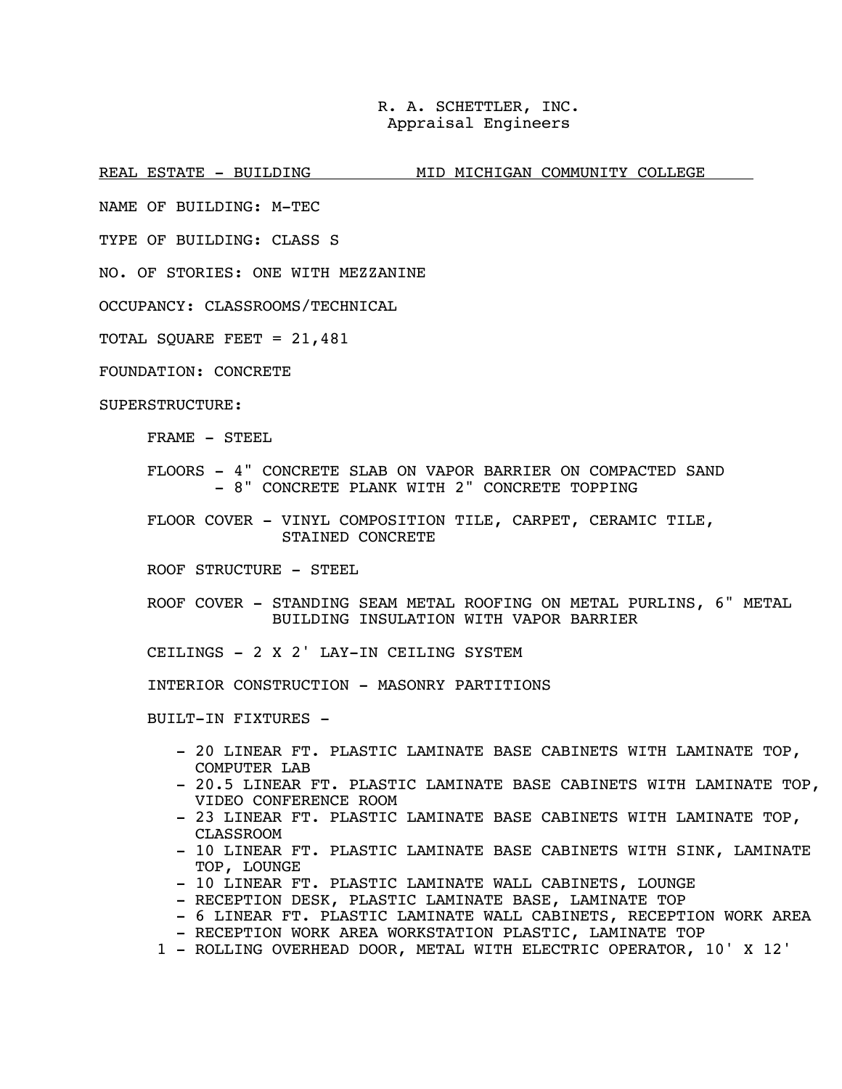REAL ESTATE - BUILDING MID MICHIGAN COMMUNITY COLLEGE

NAME OF BUILDING: M-TEC

TYPE OF BUILDING: CLASS S

NO. OF STORIES: ONE WITH MEZZANINE

OCCUPANCY: CLASSROOMS/TECHNICAL

TOTAL SQUARE FEET = 21,481

FOUNDATION: CONCRETE

SUPERSTRUCTURE:

FRAME - STEEL

 FLOORS - 4" CONCRETE SLAB ON VAPOR BARRIER ON COMPACTED SAND - 8" CONCRETE PLANK WITH 2" CONCRETE TOPPING

 FLOOR COVER - VINYL COMPOSITION TILE, CARPET, CERAMIC TILE, STAINED CONCRETE

ROOF STRUCTURE - STEEL

 ROOF COVER - STANDING SEAM METAL ROOFING ON METAL PURLINS, 6" METAL BUILDING INSULATION WITH VAPOR BARRIER

CEILINGS - 2 X 2' LAY-IN CEILING SYSTEM

INTERIOR CONSTRUCTION - MASONRY PARTITIONS

BUILT-IN FIXTURES -

- 20 LINEAR FT. PLASTIC LAMINATE BASE CABINETS WITH LAMINATE TOP, COMPUTER LAB
- 20.5 LINEAR FT. PLASTIC LAMINATE BASE CABINETS WITH LAMINATE TOP, VIDEO CONFERENCE ROOM
- 23 LINEAR FT. PLASTIC LAMINATE BASE CABINETS WITH LAMINATE TOP, CLASSROOM
- 10 LINEAR FT. PLASTIC LAMINATE BASE CABINETS WITH SINK, LAMINATE TOP, LOUNGE
- 10 LINEAR FT. PLASTIC LAMINATE WALL CABINETS, LOUNGE
- RECEPTION DESK, PLASTIC LAMINATE BASE, LAMINATE TOP
- 6 LINEAR FT. PLASTIC LAMINATE WALL CABINETS, RECEPTION WORK AREA - RECEPTION WORK AREA WORKSTATION PLASTIC, LAMINATE TOP
- 
- 1 ROLLING OVERHEAD DOOR, METAL WITH ELECTRIC OPERATOR, 10' X 12'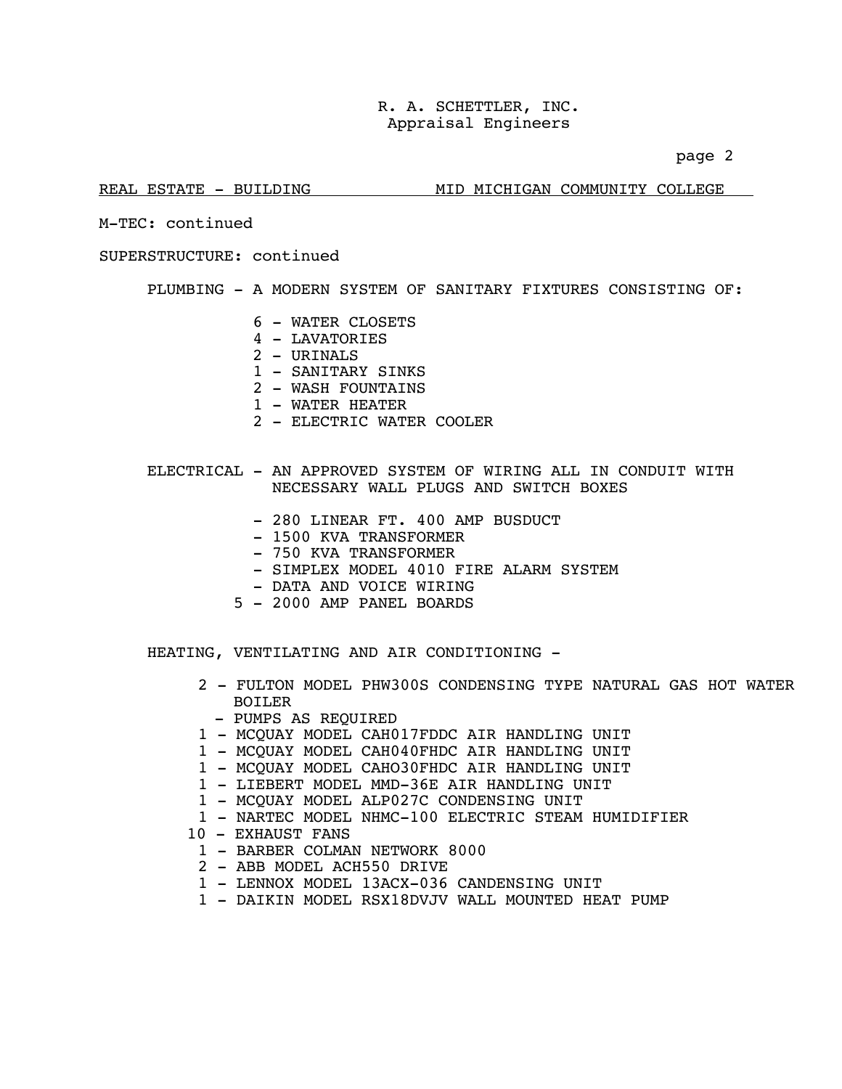page 2

### REAL ESTATE - BUILDING MID MICHIGAN COMMUNITY COLLEGE

M-TEC: continued

SUPERSTRUCTURE: continued

PLUMBING - A MODERN SYSTEM OF SANITARY FIXTURES CONSISTING OF:

- 6 WATER CLOSETS
- 4 LAVATORIES
- 2 URINALS
- 1 SANITARY SINKS
- 2 WASH FOUNTAINS
- 1 WATER HEATER
- 2 ELECTRIC WATER COOLER
- ELECTRICAL AN APPROVED SYSTEM OF WIRING ALL IN CONDUIT WITH NECESSARY WALL PLUGS AND SWITCH BOXES
	- 280 LINEAR FT. 400 AMP BUSDUCT
	- 1500 KVA TRANSFORMER
	- 750 KVA TRANSFORMER
	- SIMPLEX MODEL 4010 FIRE ALARM SYSTEM
	- DATA AND VOICE WIRING
	- 5 2000 AMP PANEL BOARDS

HEATING, VENTILATING AND AIR CONDITIONING -

- 2 FULTON MODEL PHW300S CONDENSING TYPE NATURAL GAS HOT WATER BOTLER
	- PUMPS AS REQUIRED
- 1 MCQUAY MODEL CAH017FDDC AIR HANDLING UNIT
- 1 MCQUAY MODEL CAH040FHDC AIR HANDLING UNIT
- 1 MCQUAY MODEL CAHO30FHDC AIR HANDLING UNIT
- 1 LIEBERT MODEL MMD-36E AIR HANDLING UNIT
- 1 MCQUAY MODEL ALP027C CONDENSING UNIT
- 1 NARTEC MODEL NHMC-100 ELECTRIC STEAM HUMIDIFIER
- 10 EXHAUST FANS
	- 1 BARBER COLMAN NETWORK 8000
	- 2 ABB MODEL ACH550 DRIVE
	- 1 LENNOX MODEL 13ACX-036 CANDENSING UNIT
	- 1 DAIKIN MODEL RSX18DVJV WALL MOUNTED HEAT PUMP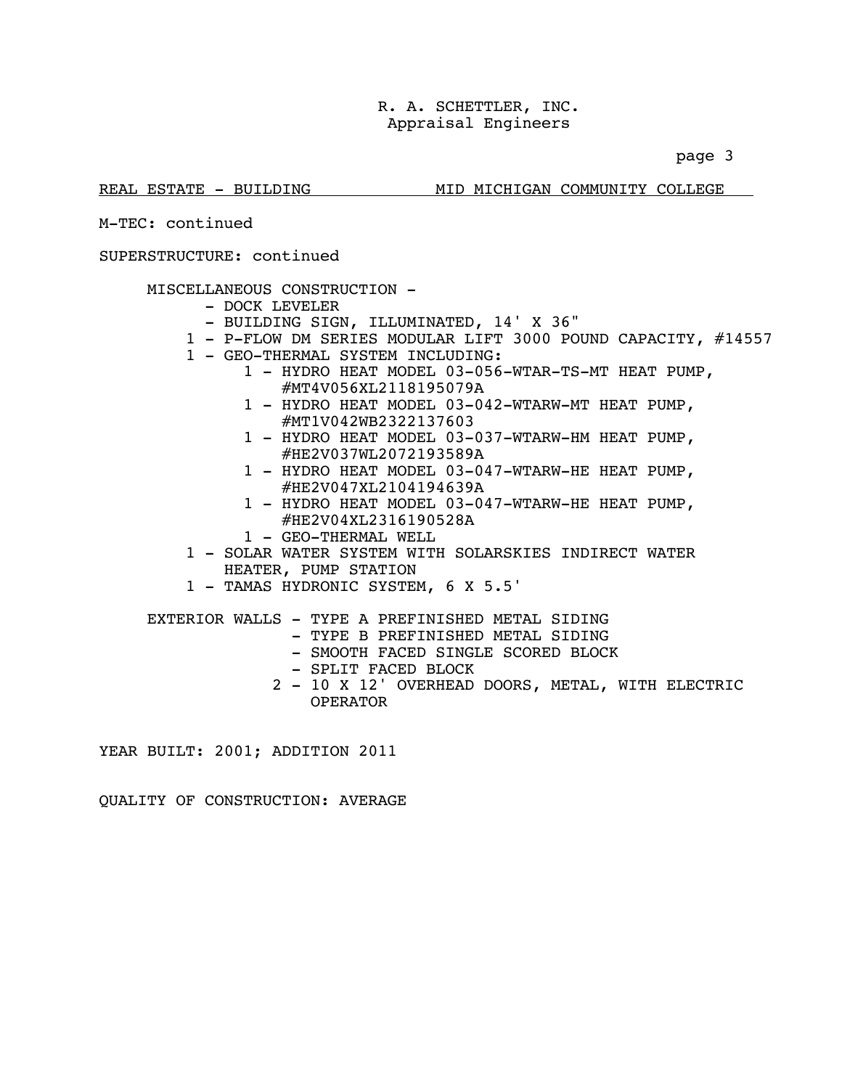page 3

### REAL ESTATE - BUILDING MID MICHIGAN COMMUNITY COLLEGE

M-TEC: continued

### SUPERSTRUCTURE: continued

### MISCELLANEOUS CONSTRUCTION -

- DOCK LEVELER
- BUILDING SIGN, ILLUMINATED, 14' X 36"
- 1 P-FLOW DM SERIES MODULAR LIFT 3000 POUND CAPACITY, #14557
- 1 GEO-THERMAL SYSTEM INCLUDING:
	- 1 HYDRO HEAT MODEL 03-056-WTAR-TS-MT HEAT PUMP, #MT4V056XL2118195079A
	- 1 HYDRO HEAT MODEL 03-042-WTARW-MT HEAT PUMP, #MT1V042WB2322137603
	- 1 HYDRO HEAT MODEL 03-037-WTARW-HM HEAT PUMP, #HE2V037WL2072193589A
	- 1 HYDRO HEAT MODEL 03-047-WTARW-HE HEAT PUMP, #HE2V047XL2104194639A
	- 1 HYDRO HEAT MODEL 03-047-WTARW-HE HEAT PUMP, #HE2V04XL2316190528A
	- 1 GEO-THERMAL WELL
- 1 SOLAR WATER SYSTEM WITH SOLARSKIES INDIRECT WATER HEATER, PUMP STATION
- 1 TAMAS HYDRONIC SYSTEM, 6 X 5.5'
- EXTERIOR WALLS TYPE A PREFINISHED METAL SIDING
	- TYPE B PREFINISHED METAL SIDING
	- SMOOTH FACED SINGLE SCORED BLOCK
	- SPLIT FACED BLOCK
	- 2 10 X 12' OVERHEAD DOORS, METAL, WITH ELECTRIC OPERATOR

YEAR BUILT: 2001; ADDITION 2011

QUALITY OF CONSTRUCTION: AVERAGE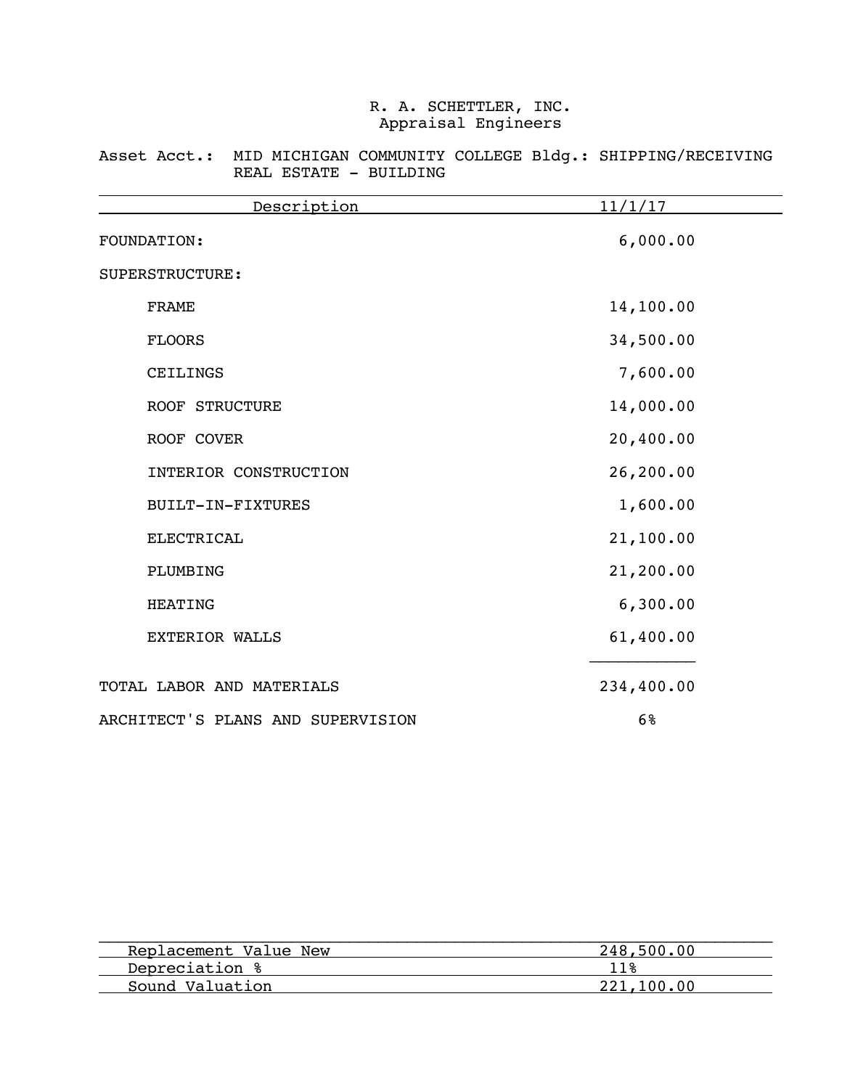Asset Acct.: MID MICHIGAN COMMUNITY COLLEGE Bldg.: SHIPPING/RECEIVING REAL ESTATE - BUILDING

| Description                       | 11/1/17    |
|-----------------------------------|------------|
| FOUNDATION:                       | 6,000.00   |
| SUPERSTRUCTURE:                   |            |
| <b>FRAME</b>                      | 14,100.00  |
| <b>FLOORS</b>                     | 34,500.00  |
| CEILINGS                          | 7,600.00   |
| <b>ROOF STRUCTURE</b>             | 14,000.00  |
| ROOF COVER                        | 20,400.00  |
| INTERIOR CONSTRUCTION             | 26,200.00  |
| BUILT-IN-FIXTURES                 | 1,600.00   |
| <b>ELECTRICAL</b>                 | 21,100.00  |
| PLUMBING                          | 21,200.00  |
| <b>HEATING</b>                    | 6,300.00   |
| <b>EXTERIOR WALLS</b>             | 61,400.00  |
| TOTAL LABOR AND MATERIALS         | 234,400.00 |
| ARCHITECT'S PLANS AND SUPERVISION | 6%         |

| 248,500,00 |
|------------|
| 11%        |
| 221,100,00 |
|            |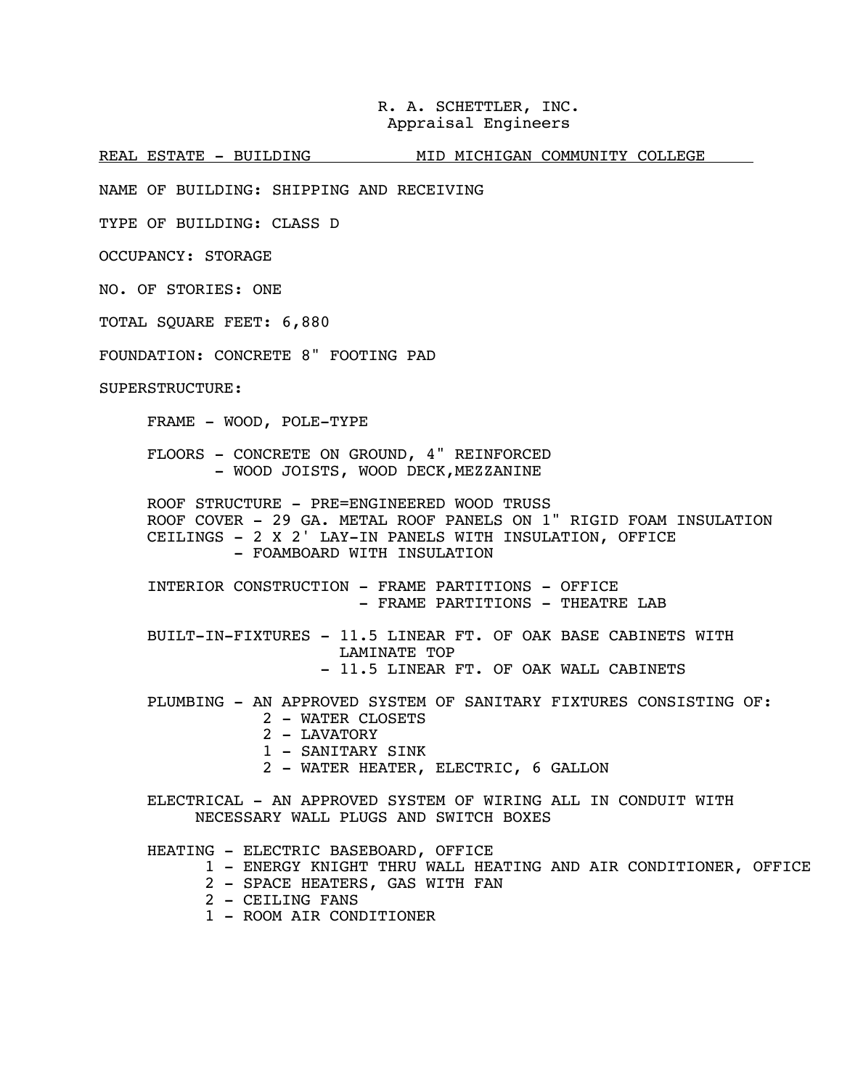REAL ESTATE - BUILDING MID MICHIGAN COMMUNITY COLLEGE

NAME OF BUILDING: SHIPPING AND RECEIVING

TYPE OF BUILDING: CLASS D

OCCUPANCY: STORAGE

NO. OF STORIES: ONE

TOTAL SQUARE FEET: 6,880

FOUNDATION: CONCRETE 8" FOOTING PAD

SUPERSTRUCTURE:

FRAME - WOOD, POLE-TYPE

 FLOORS - CONCRETE ON GROUND, 4" REINFORCED - WOOD JOISTS, WOOD DECK, MEZZANINE

ROOF STRUCTURE - PRE=ENGINEERED WOOD TRUSS ROOF COVER - 29 GA. METAL ROOF PANELS ON 1" RIGID FOAM INSULATION CEILINGS - 2 X 2' LAY-IN PANELS WITH INSULATION, OFFICE - FOAMBOARD WITH INSULATION

 INTERIOR CONSTRUCTION - FRAME PARTITIONS - OFFICE - FRAME PARTITIONS - THEATRE LAB

 BUILT-IN-FIXTURES - 11.5 LINEAR FT. OF OAK BASE CABINETS WITH LAMINATE TOP - 11.5 LINEAR FT. OF OAK WALL CABINETS

 PLUMBING - AN APPROVED SYSTEM OF SANITARY FIXTURES CONSISTING OF: 2 - WATER CLOSETS

- 2 LAVATORY
- 1 SANITARY SINK
- 2 WATER HEATER, ELECTRIC, 6 GALLON

ELECTRICAL - AN APPROVED SYSTEM OF WIRING ALL IN CONDUIT WITH NECESSARY WALL PLUGS AND SWITCH BOXES

HEATING - ELECTRIC BASEBOARD, OFFICE

- 1 ENERGY KNIGHT THRU WALL HEATING AND AIR CONDITIONER, OFFICE
- 2 SPACE HEATERS, GAS WITH FAN
- 2 CEILING FANS
- 1 ROOM AIR CONDITIONER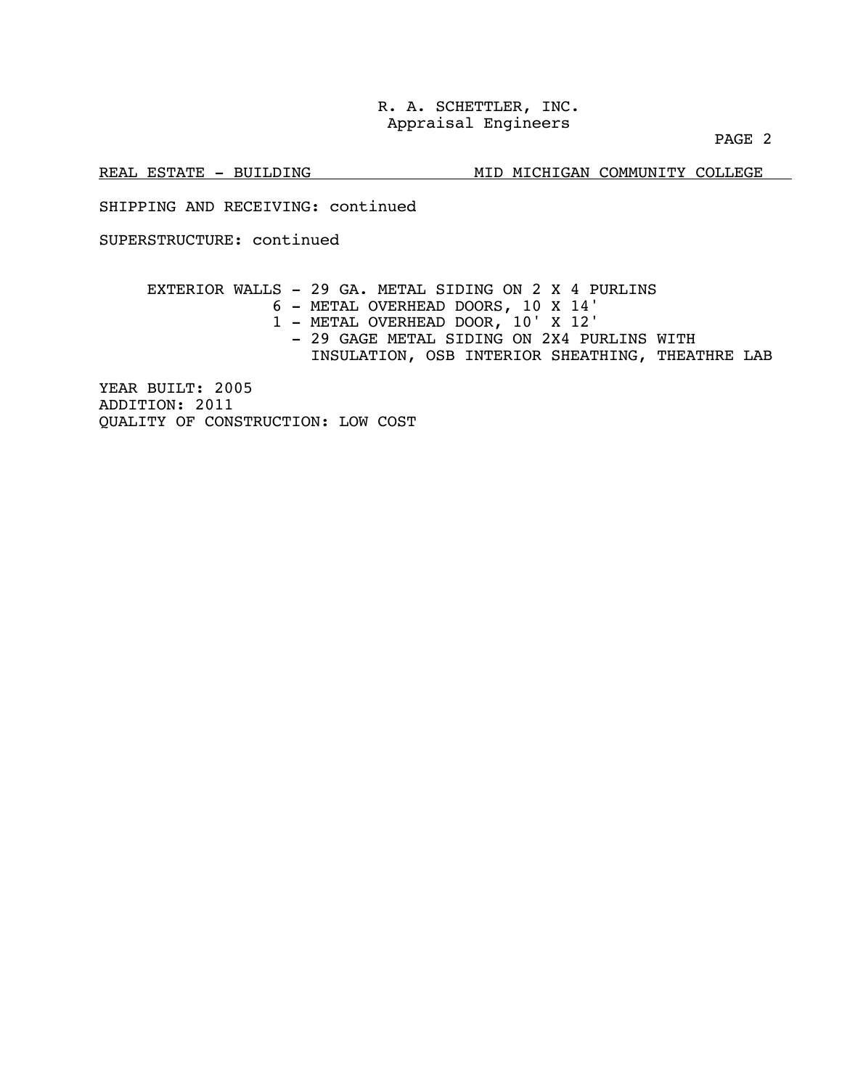PAGE 2

REAL ESTATE - BUILDING MID MICHIGAN COMMUNITY COLLEGE

SHIPPING AND RECEIVING: continued

SUPERSTRUCTURE: continued

 EXTERIOR WALLS - 29 GA. METAL SIDING ON 2 X 4 PURLINS 6 - METAL OVERHEAD DOORS, 10 X 14' 1 - METAL OVERHEAD DOOR, 10' X 12' - 29 GAGE METAL SIDING ON 2X4 PURLINS WITH INSULATION, OSB INTERIOR SHEATHING, THEATHRE LAB YEAR BUILT: 2005

ADDITION: 2011 QUALITY OF CONSTRUCTION: LOW COST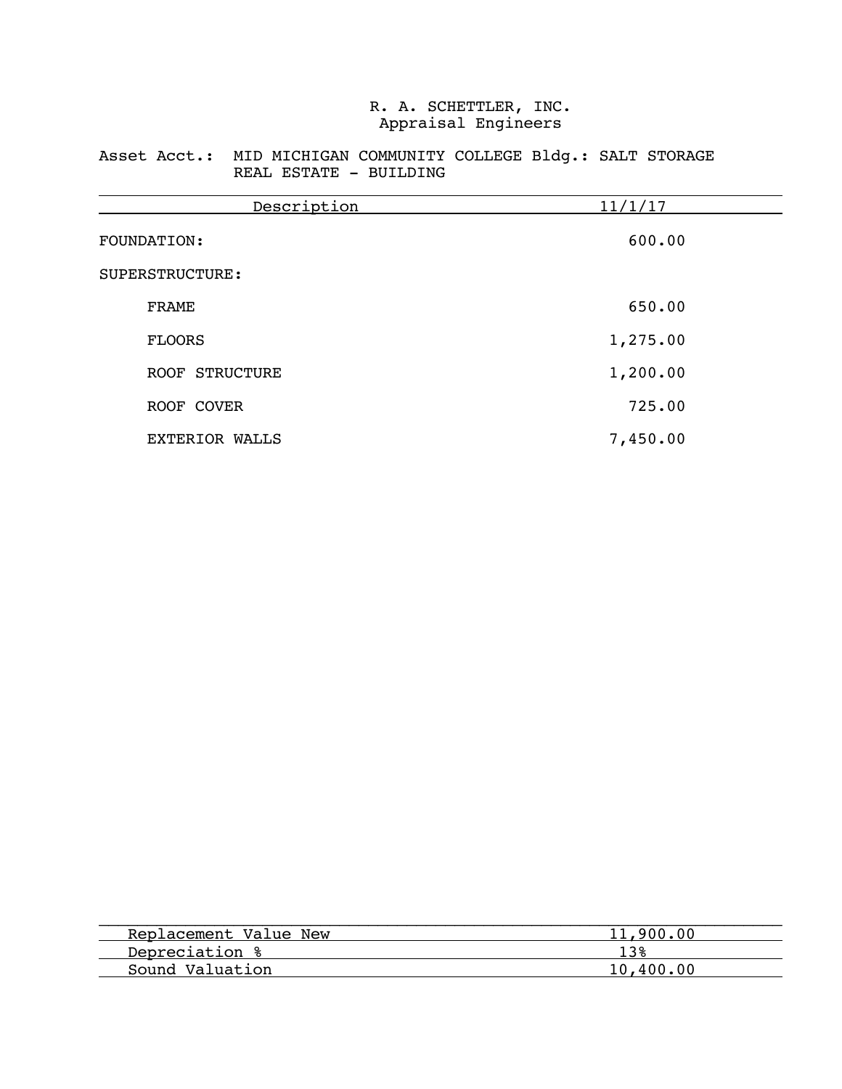### Asset Acct.: MID MICHIGAN COMMUNITY COLLEGE Bldg.: SALT STORAGE REAL ESTATE - BUILDING

| Description           | 11/1/17  |
|-----------------------|----------|
| FOUNDATION:           | 600.00   |
| SUPERSTRUCTURE:       |          |
| <b>FRAME</b>          | 650.00   |
| <b>FLOORS</b>         | 1,275.00 |
| ROOF STRUCTURE        | 1,200.00 |
| ROOF COVER            | 725.00   |
| <b>EXTERIOR WALLS</b> | 7,450.00 |

| 11,900.00 |
|-----------|
|           |
| 10,400,00 |
|           |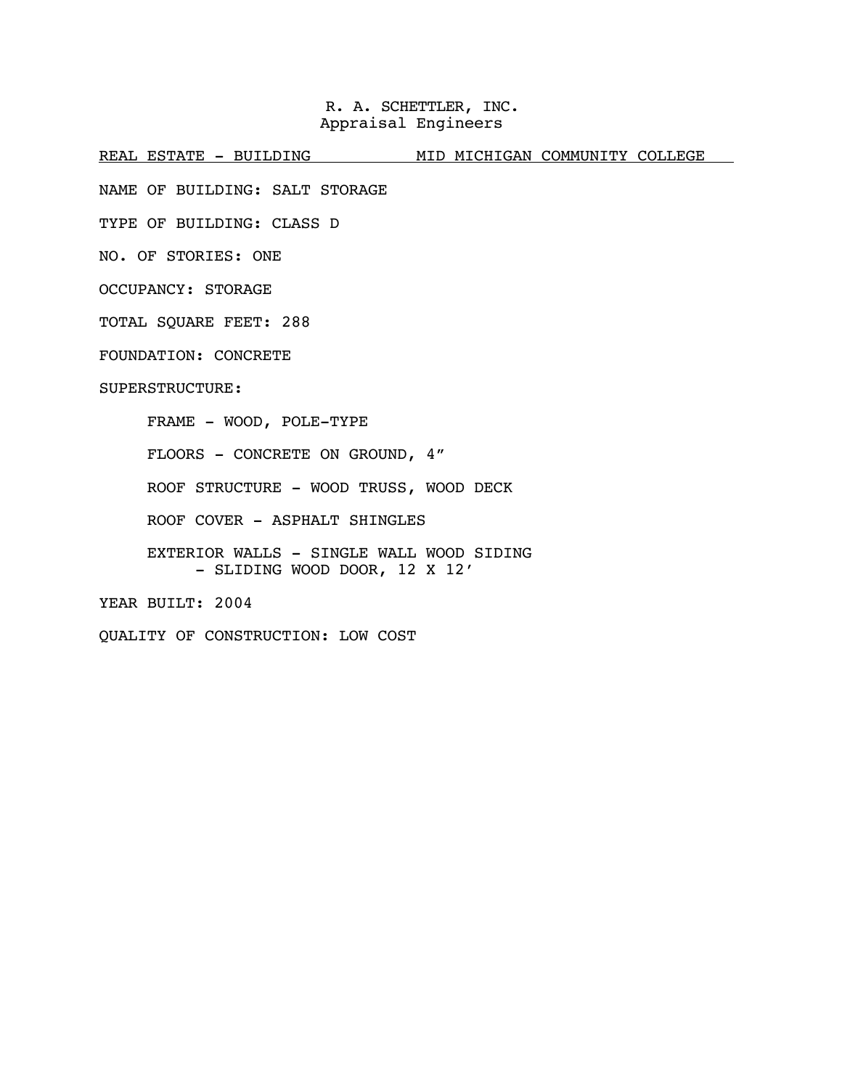REAL ESTATE - BUILDING MID MICHIGAN COMMUNITY COLLEGE

NAME OF BUILDING: SALT STORAGE

TYPE OF BUILDING: CLASS D

NO. OF STORIES: ONE

OCCUPANCY: STORAGE

TOTAL SQUARE FEET: 288

FOUNDATION: CONCRETE

SUPERSTRUCTURE:

FRAME - WOOD, POLE-TYPE

FLOORS - CONCRETE ON GROUND, 4"

ROOF STRUCTURE - WOOD TRUSS, WOOD DECK

ROOF COVER - ASPHALT SHINGLES

 EXTERIOR WALLS - SINGLE WALL WOOD SIDING - SLIDING WOOD DOOR, 12 X 12'

YEAR BUILT: 2004

QUALITY OF CONSTRUCTION: LOW COST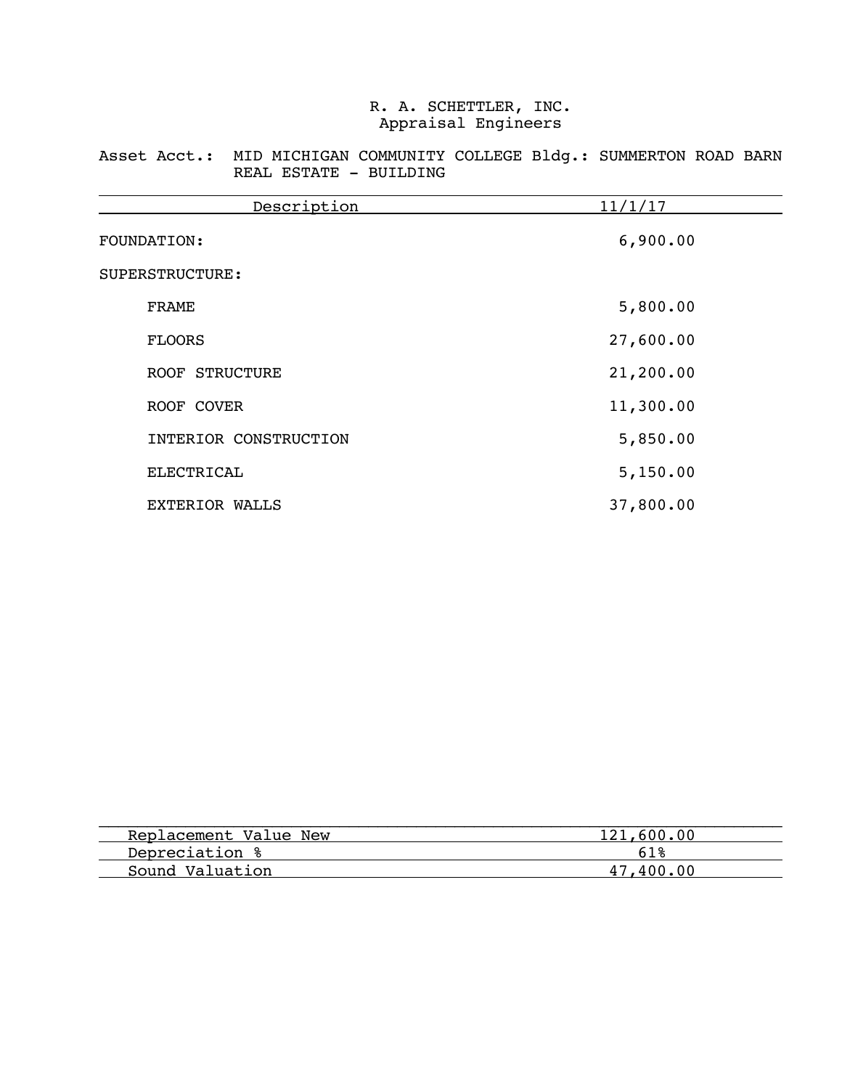Asset Acct.: MID MICHIGAN COMMUNITY COLLEGE Bldg.: SUMMERTON ROAD BARN REAL ESTATE - BUILDING

| Description           | 11/1/17   |
|-----------------------|-----------|
| FOUNDATION:           | 6,900.00  |
| SUPERSTRUCTURE:       |           |
| <b>FRAME</b>          | 5,800.00  |
| <b>FLOORS</b>         | 27,600.00 |
| ROOF STRUCTURE        | 21,200.00 |
| ROOF COVER            | 11,300.00 |
| INTERIOR CONSTRUCTION | 5,850.00  |
| ELECTRICAL            | 5,150.00  |
| EXTERIOR WALLS        | 37,800.00 |

| Replacement Value New | 121,600.00 |
|-----------------------|------------|
| Depreciation %        | 61 &       |
| Sound Valuation       | 47.400.00  |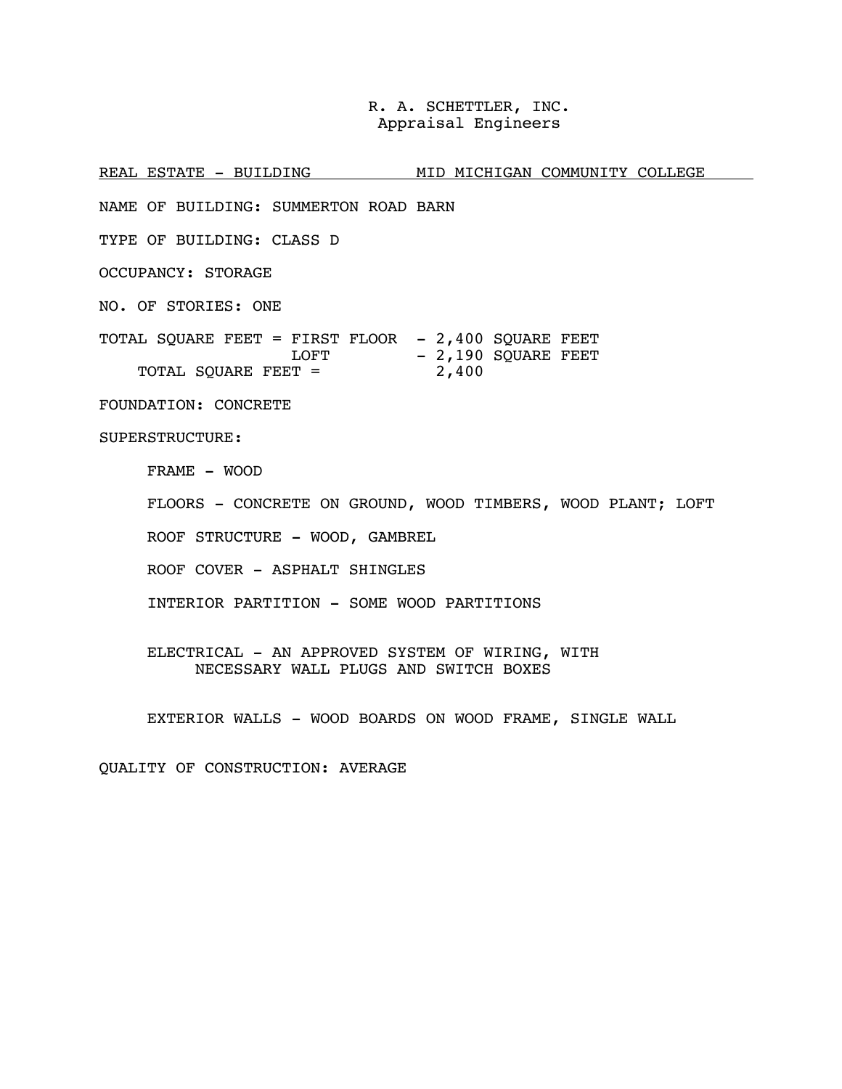REAL ESTATE - BUILDING MID MICHIGAN COMMUNITY COLLEGE NAME OF BUILDING: SUMMERTON ROAD BARN TYPE OF BUILDING: CLASS D OCCUPANCY: STORAGE NO. OF STORIES: ONE TOTAL SQUARE FEET = FIRST FLOOR - 2,400 SQUARE FEET LOFT TOTAL SQUARE FEET = - 2,190 SQUARE FEET 2,400 FOUNDATION: CONCRETE SUPERSTRUCTURE: FRAME - WOOD FLOORS - CONCRETE ON GROUND, WOOD TIMBERS, WOOD PLANT; LOFT ROOF STRUCTURE - WOOD, GAMBREL ROOF COVER - ASPHALT SHINGLES INTERIOR PARTITION - SOME WOOD PARTITIONS ELECTRICAL - AN APPROVED SYSTEM OF WIRING, WITH NECESSARY WALL PLUGS AND SWITCH BOXES

EXTERIOR WALLS - WOOD BOARDS ON WOOD FRAME, SINGLE WALL

QUALITY OF CONSTRUCTION: AVERAGE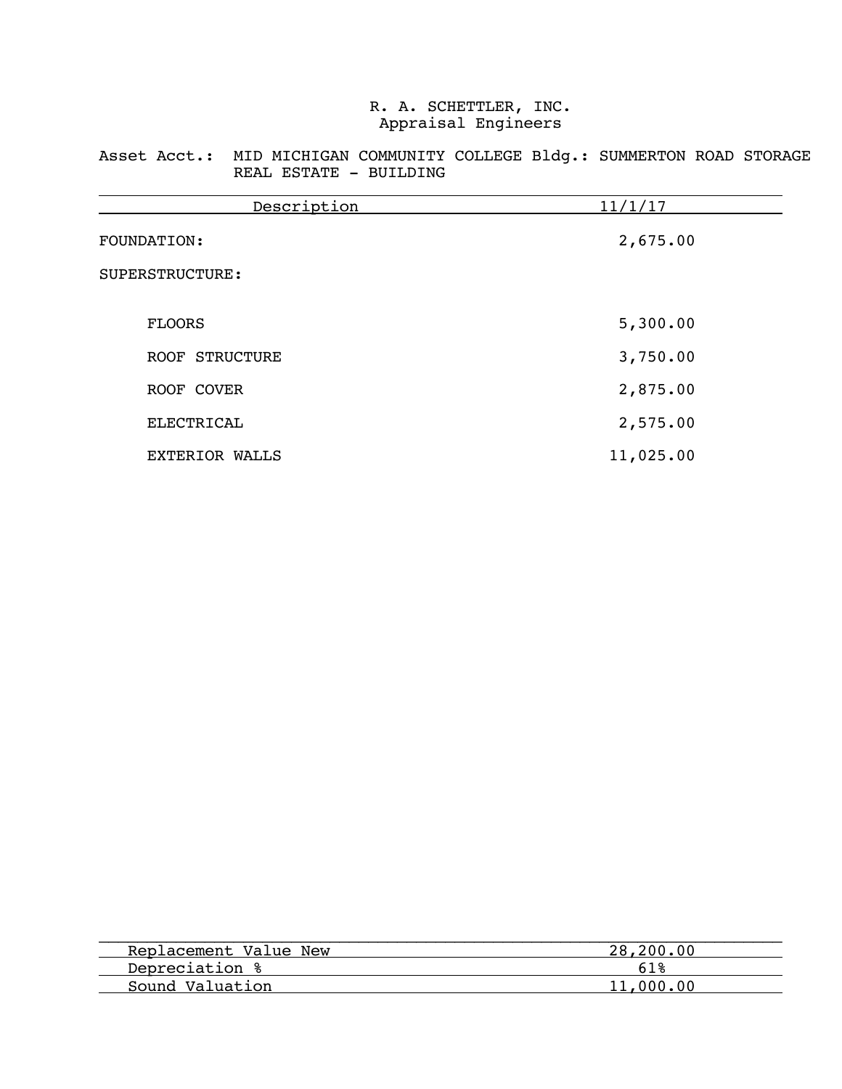Asset Acct.: MID MICHIGAN COMMUNITY COLLEGE Bldg.: SUMMERTON ROAD STORAGE REAL ESTATE - BUILDING

| Description           | 11/1/17   |
|-----------------------|-----------|
| FOUNDATION:           | 2,675.00  |
| SUPERSTRUCTURE:       |           |
|                       |           |
| <b>FLOORS</b>         | 5,300.00  |
| ROOF STRUCTURE        | 3,750.00  |
| ROOF COVER            | 2,875.00  |
| <b>ELECTRICAL</b>     | 2,575.00  |
| <b>EXTERIOR WALLS</b> | 11,025.00 |

| Replacement Value New | 28,200.00 |
|-----------------------|-----------|
| Depreciation %        |           |
| Sound Valuation       | 11,000,00 |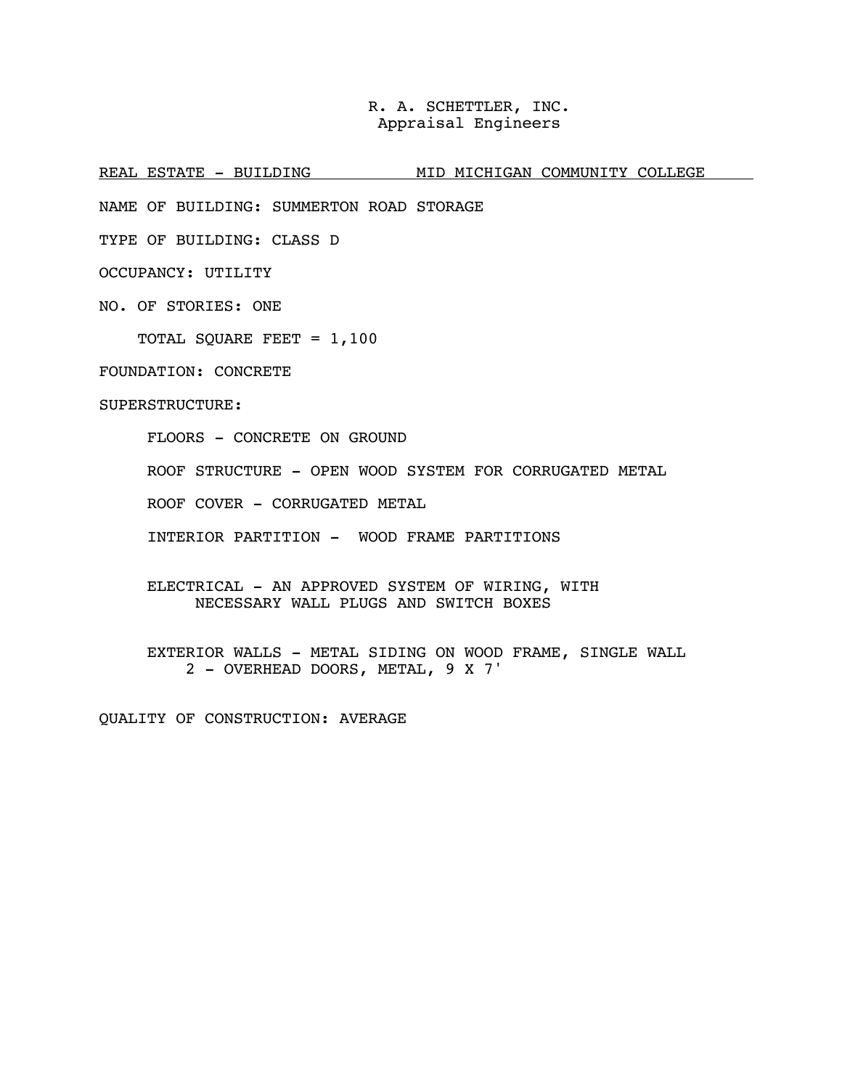REAL ESTATE - BUILDING MID MICHIGAN COMMUNITY COLLEGE

NAME OF BUILDING: SUMMERTON ROAD STORAGE

TYPE OF BUILDING: CLASS D

OCCUPANCY: UTILITY

NO. OF STORIES: ONE

TOTAL SQUARE FEET = 1,100

FOUNDATION: CONCRETE

SUPERSTRUCTURE:

FLOORS - CONCRETE ON GROUND

ROOF STRUCTURE - OPEN WOOD SYSTEM FOR CORRUGATED METAL

ROOF COVER - CORRUGATED METAL

INTERIOR PARTITION - WOOD FRAME PARTITIONS

ELECTRICAL - AN APPROVED SYSTEM OF WIRING, WITH NECESSARY WALL PLUGS AND SWITCH BOXES

EXTERIOR WALLS - METAL SIDING ON WOOD FRAME, SINGLE WALL 2 - OVERHEAD DOORS, METAL, 9 X 7'

QUALITY OF CONSTRUCTION: AVERAGE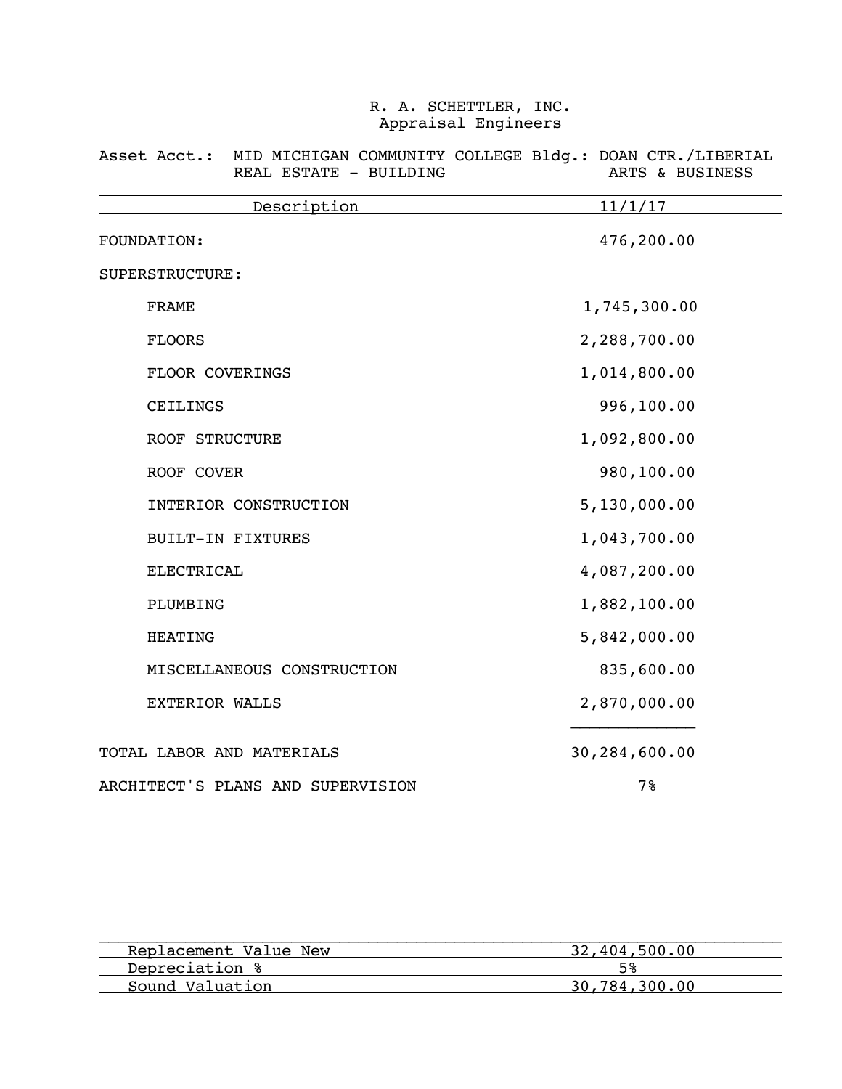| Description Description           | 11/1/17       |  |  |  |  |
|-----------------------------------|---------------|--|--|--|--|
| FOUNDATION:                       | 476,200.00    |  |  |  |  |
| SUPERSTRUCTURE:                   |               |  |  |  |  |
| <b>FRAME</b>                      | 1,745,300.00  |  |  |  |  |
| <b>FLOORS</b>                     | 2,288,700.00  |  |  |  |  |
| FLOOR COVERINGS                   | 1,014,800.00  |  |  |  |  |
| CEILINGS                          | 996,100.00    |  |  |  |  |
| ROOF STRUCTURE                    | 1,092,800.00  |  |  |  |  |
| ROOF COVER                        | 980,100.00    |  |  |  |  |
| INTERIOR CONSTRUCTION             | 5,130,000.00  |  |  |  |  |
| <b>BUILT-IN FIXTURES</b>          | 1,043,700.00  |  |  |  |  |
| <b>ELECTRICAL</b>                 | 4,087,200.00  |  |  |  |  |
| PLUMBING                          | 1,882,100.00  |  |  |  |  |
| <b>HEATING</b>                    | 5,842,000.00  |  |  |  |  |
| MISCELLANEOUS CONSTRUCTION        | 835,600.00    |  |  |  |  |
| EXTERIOR WALLS                    | 2,870,000.00  |  |  |  |  |
| TOTAL LABOR AND MATERIALS         | 30,284,600.00 |  |  |  |  |
| ARCHITECT'S PLANS AND SUPERVISION | 7%            |  |  |  |  |

### Asset Acct.: MID MICHIGAN COMMUNITY COLLEGE Bldg.: DOAN CTR./LIBERIAL REAL ESTATE - BUILDING ARTS & BUSINESS

| Replacement Value New | 32,404,500.00 |
|-----------------------|---------------|
| Depreciation %        |               |
| Sound Valuation       | 30,784,300.00 |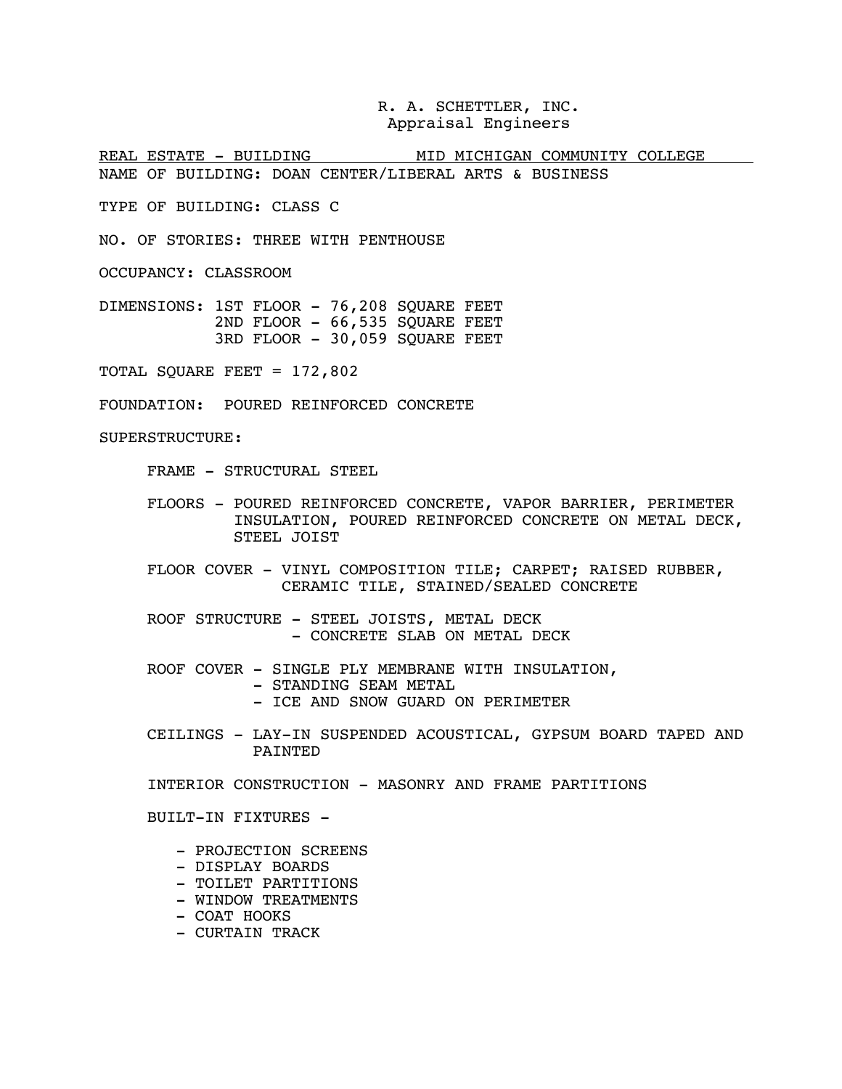REAL ESTATE - BUILDING MID MICHIGAN COMMUNITY COLLEGE NAME OF BUILDING: DOAN CENTER/LIBERAL ARTS & BUSINESS

TYPE OF BUILDING: CLASS C

NO. OF STORIES: THREE WITH PENTHOUSE

OCCUPANCY: CLASSROOM

DIMENSIONS: 1ST FLOOR - 76,208 SQUARE FEET 2ND FLOOR - 66,535 SOUARE FEET 3RD FLOOR - 30,059 SQUARE FEET

TOTAL SQUARE FEET = 172,802

FOUNDATION: POURED REINFORCED CONCRETE

SUPERSTRUCTURE:

FRAME - STRUCTURAL STEEL

- FLOORS POURED REINFORCED CONCRETE, VAPOR BARRIER, PERIMETER INSULATION, POURED REINFORCED CONCRETE ON METAL DECK, STEEL JOIST
- FLOOR COVER VINYL COMPOSITION TILE; CARPET; RAISED RUBBER, CERAMIC TILE, STAINED/SEALED CONCRETE
- ROOF STRUCTURE STEEL JOISTS, METAL DECK<br>- CONCRETE SLAB ON METAL DECK
- ROOF COVER SINGLE PLY MEMBRANE WITH INSULATION,<br>- STANDING SEAM METAL<br>- ICE AND SNOW GUARD ON PERIMETER
	-
	-
- CEILINGS LAY-IN SUSPENDED ACOUSTICAL, GYPSUM BOARD TAPED AND PAINTED
- INTERIOR CONSTRUCTION MASONRY AND FRAME PARTITIONS

BUILT-IN FIXTURES -

- PROJECTION SCREENS
- DISPLAY BOARDS
- TOILET PARTITIONS
- WINDOW TREATMENTS
- COAT HOOKS
- CURTAIN TRACK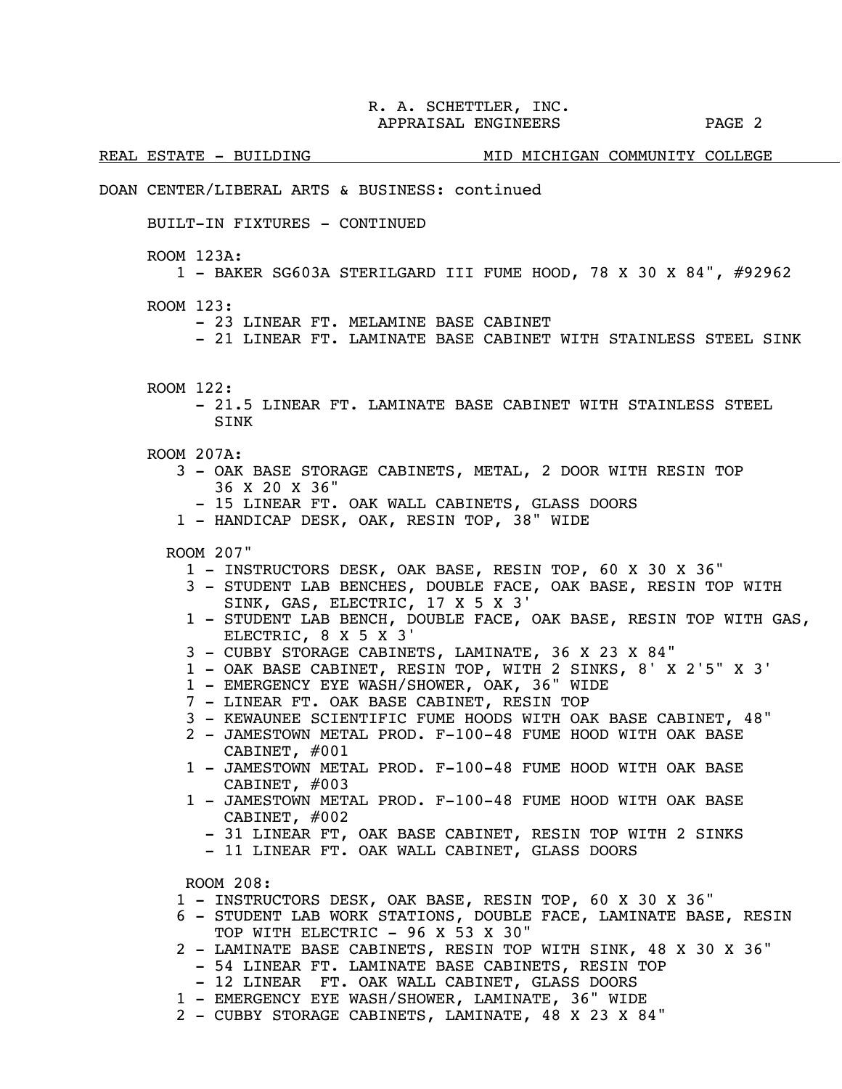REAL ESTATE - BUILDING MID MICHIGAN COMMUNITY COLLEGE

### DOAN CENTER/LIBERAL ARTS & BUSINESS: continued

BUILT-IN FIXTURES - CONTINUED

ROOM 123A:

1 - BAKER SG603A STERILGARD III FUME HOOD, 78 X 30 X 84", #92962

ROOM 123:

- 23 LINEAR FT. MELAMINE BASE CABINET

- 21 LINEAR FT. LAMINATE BASE CABINET WITH STAINLESS STEEL SINK

- ROOM 122:
	- 21.5 LINEAR FT. LAMINATE BASE CABINET WITH STAINLESS STEEL **STNK**
- ROOM 207A:
	- 3 OAK BASE STORAGE CABINETS, METAL, 2 DOOR WITH RESIN TOP 36 X 20 X 36"
		- 15 LINEAR FT. OAK WALL CABINETS, GLASS DOORS
	- 1 HANDICAP DESK, OAK, RESIN TOP, 38" WIDE

ROOM 207"

- 1 INSTRUCTORS DESK, OAK BASE, RESIN TOP, 60 X 30 X 36"
- 3 STUDENT LAB BENCHES, DOUBLE FACE, OAK BASE, RESIN TOP WITH SINK, GAS, ELECTRIC, 17 X 5 X 3'
- 1 STUDENT LAB BENCH, DOUBLE FACE, OAK BASE, RESIN TOP WITH GAS, ELECTRIC, 8 X 5 X 3'
- 3 CUBBY STORAGE CABINETS, LAMINATE, 36 X 23 X 84"
- 1 OAK BASE CABINET, RESIN TOP, WITH 2 SINKS, 8' X 2'5" X 3'
- 1 EMERGENCY EYE WASH/SHOWER, OAK, 36" WIDE
- 7 LINEAR FT. OAK BASE CABINET, RESIN TOP
- 3 KEWAUNEE SCIENTIFIC FUME HOODS WITH OAK BASE CABINET, 48"
- 2 JAMESTOWN METAL PROD. F-100-48 FUME HOOD WITH OAK BASE CABINET, #001
- 1 JAMESTOWN METAL PROD. F-100-48 FUME HOOD WITH OAK BASE CABINET, #003
- 1 JAMESTOWN METAL PROD. F-100-48 FUME HOOD WITH OAK BASE
	- 31 LINEAR FT, OAK BASE CABINET, RESIN TOP WITH 2 SINKS
	- 11 LINEAR FT. OAK WALL CABINET, GLASS DOORS

ROOM 208:

- 1 INSTRUCTORS DESK, OAK BASE, RESIN TOP, 60 X 30 X 36"
- 6 STUDENT LAB WORK STATIONS, DOUBLE FACE, LAMINATE BASE, RESIN TOP WITH ELECTRIC - 96 X 53 X 30"
- 2 LAMINATE BASE CABINETS, RESIN TOP WITH SINK, 48 X 30 X 36"
	- 54 LINEAR FT. LAMINATE BASE CABINETS, RESIN TOP<br>- 12 LINEAR FT. OAK WALL CABINET, GLASS DOORS
	-
- 1 EMERGENCY EYE WASH/SHOWER, LAMINATE, 36" WIDE
- 2 CUBBY STORAGE CABINETS, LAMINATE, 48 X 23 X 84"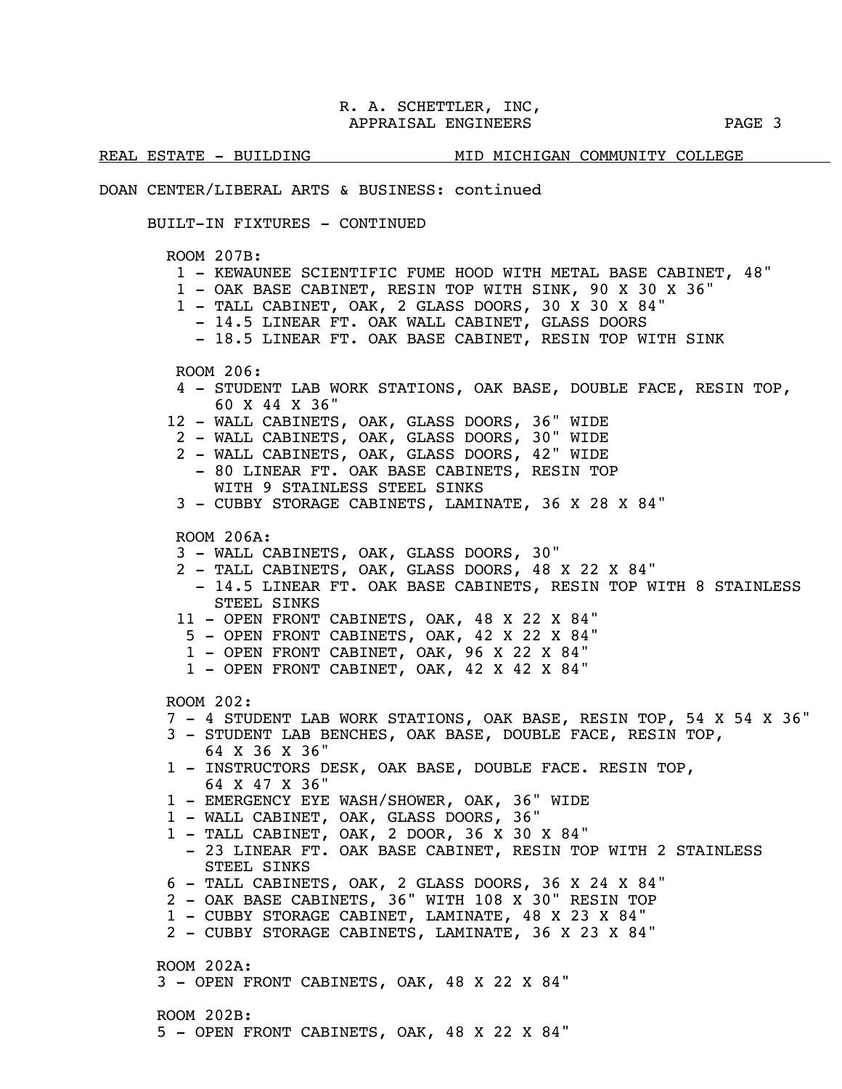REAL ESTATE - BUILDING MID MICHIGAN COMMUNITY COLLEGE DOAN CENTER/LIBERAL ARTS & BUSINESS: continued BUILT-IN FIXTURES - CONTINUED ROOM 207B: 1 - KEWAUNEE SCIENTIFIC FUME HOOD WITH METAL BASE CABINET, 48" 1 - OAK BASE CABINET, RESIN TOP WITH SINK, 90 X 30 X 36" 1 - TALL CABINET, OAK, 2 GLASS DOORS, 30 X 30 X 84" - 14.5 LINEAR FT. OAK WALL CABINET, GLASS DOORS - 18.5 LINEAR FT. OAK BASE CABINET, RESIN TOP WITH SINK ROOM 206: 4 - STUDENT LAB WORK STATIONS, OAK BASE, DOUBLE FACE, RESIN TOP, 60 X 44 X 36" 12 - WALL CABINETS, OAK, GLASS DOORS, 36" WIDE 2 - WALL CABINETS, OAK, GLASS DOORS, 30" WIDE 2 - WALL CABINETS, OAK, GLASS DOORS, 42" WIDE - 80 LINEAR FT. OAK BASE CABINETS, RESIN TOP WITH 9 STAINLESS STEEL SINKS 3 - CUBBY STORAGE CABINETS, LAMINATE, 36 X 28 X 84" ROOM 206A: 3 - WALL CABINETS, OAK, GLASS DOORS, 30" 2 - TALL CABINETS, OAK, GLASS DOORS, 48 X 22 X 84" - 14.5 LINEAR FT. OAK BASE CABINETS, RESIN TOP WITH 8 STAINLESS STEEL SINKS 11 - OPEN FRONT CABINETS, OAK, 48 X 22 X 84" 5 - OPEN FRONT CABINETS, OAK, 42 X 22 X 84" 1 - OPEN FRONT CABINET, OAK, 96 X 22 X 84" 1 - OPEN FRONT CABINET, OAK, 42 X 42 X 84" ROOM 202: 7 - 4 STUDENT LAB WORK STATIONS, OAK BASE, RESIN TOP, 54 X 54 X 36" 3 - STUDENT LAB BENCHES, OAK BASE, DOUBLE FACE, RESIN TOP, 64 X 36 X 36" 1 - INSTRUCTORS DESK, OAK BASE, DOUBLE FACE. RESIN TOP,

- 64 X 47 X 36"
- 1 EMERGENCY EYE WASH/SHOWER, OAK, 36" WIDE
- 1 WALL CABINET, OAK, GLASS DOORS, 36"
- 1 TALL CABINET, OAK, 2 DOOR, 36 X 30 X 84"
	- 23 LINEAR FT. OAK BASE CABINET, RESIN TOP WITH 2 STAINLESS STEEL SINKS
- 6 TALL CABINETS, OAK, 2 GLASS DOORS, 36 X 24 X 84"
- 2 OAK BASE CABINETS, 36" WITH 108 X 30" RESIN TOP
- 1 CUBBY STORAGE CABINET, LAMINATE, 48 X 23 X 84"
- 2 CUBBY STORAGE CABINETS, LAMINATE, 36 X 23 X 84"

ROOM 202A:

3 - OPEN FRONT CABINETS, OAK, 48 X 22 X 84"

 ROOM 202B: 5 - OPEN FRONT CABINETS, OAK, 48 X 22 X 84"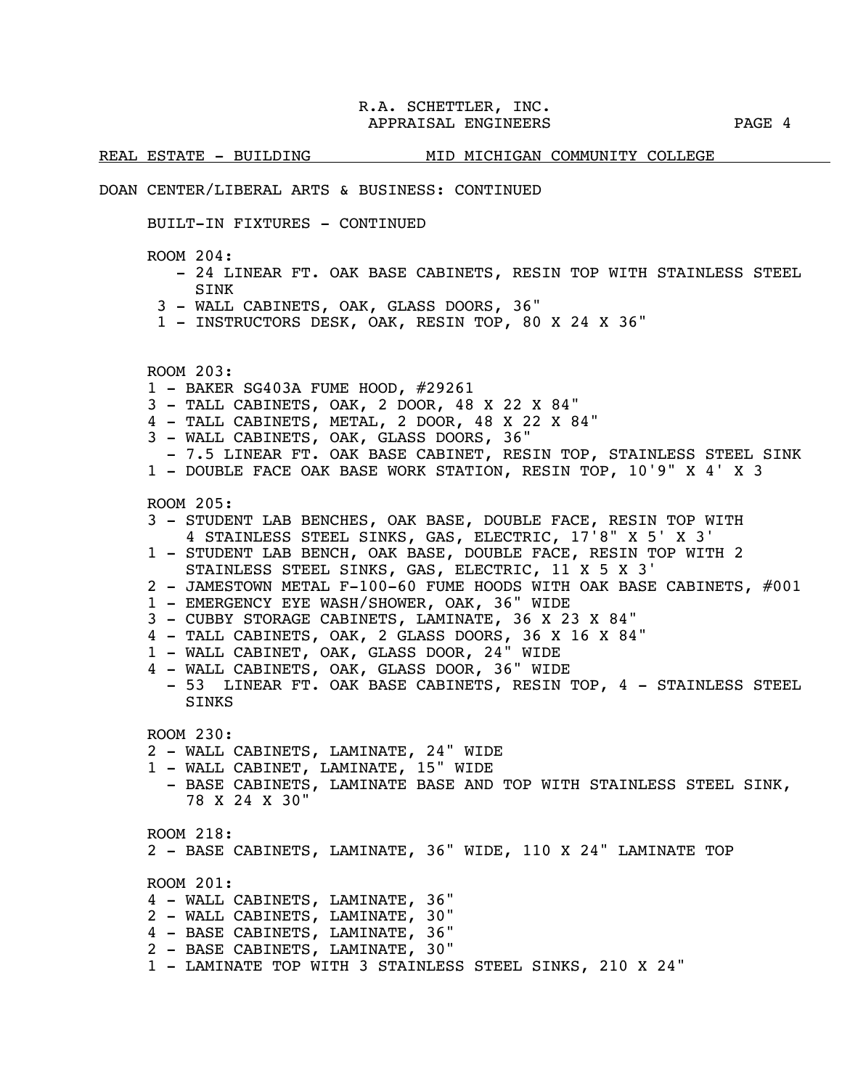REAL ESTATE - BUILDING MID MICHIGAN COMMUNITY COLLEGE

### DOAN CENTER/LIBERAL ARTS & BUSINESS: CONTINUED

BUILT-IN FIXTURES - CONTINUED

ROOM 204:

- 24 LINEAR FT. OAK BASE CABINETS, RESIN TOP WITH STAINLESS STEEL SINK
- 3 WALL CABINETS, OAK, GLASS DOORS, 36"
- 1 INSTRUCTORS DESK, OAK, RESIN TOP, 80 X 24 X 36"

ROOM 203:

- 1 BAKER SG403A FUME HOOD, #29261
- 3 TALL CABINETS, OAK, 2 DOOR, 48 X 22 X 84"
- 4 TALL CABINETS, METAL, 2 DOOR, 48 X 22 X 84"
- 3 WALL CABINETS, OAK, GLASS DOORS, 36"
- 7.5 LINEAR FT. OAK BASE CABINET, RESIN TOP, STAINLESS STEEL SINK
- 1 DOUBLE FACE OAK BASE WORK STATION, RESIN TOP, 10'9" X 4' X 3

ROOM 205:

- 3 STUDENT LAB BENCHES, OAK BASE, DOUBLE FACE, RESIN TOP WITH 4 STAINLESS STEEL SINKS, GAS, ELECTRIC, 17'8" X 5' X 3'
- 1 STUDENT LAB BENCH, OAK BASE, DOUBLE FACE, RESIN TOP WITH 2 STAINLESS STEEL SINKS, GAS, ELECTRIC, 11 X 5 X 3'
- 2 JAMESTOWN METAL F-100-60 FUME HOODS WITH OAK BASE CABINETS, #001
- 1 EMERGENCY EYE WASH/SHOWER, OAK, 36" WIDE
- 3 CUBBY STORAGE CABINETS, LAMINATE, 36 X 23 X 84"
- 4 TALL CABINETS, OAK, 2 GLASS DOORS, 36 X 16 X 84"
- 1 WALL CABINET, OAK, GLASS DOOR, 24" WIDE
- 4 WALL CABINETS, OAK, GLASS DOOR, 36" WIDE
- 53 LINEAR FT. OAK BASE CABINETS, RESIN TOP, 4 STAINLESS STEEL **SINKS**

ROOM 230:

- 2 WALL CABINETS, LAMINATE, 24" WIDE
- 1 WALL CABINET, LAMINATE, 15" WIDE
	- BASE CABINETS, LAMINATE BASE AND TOP WITH STAINLESS STEEL SINK, 78 X 24 X 30"

ROOM 218:

2 - BASE CABINETS, LAMINATE, 36" WIDE, 110 X 24" LAMINATE TOP

ROOM 201:

- 4 WALL CABINETS, LAMINATE, 36"
- 2 WALL CABINETS, LAMINATE, 30"
- 4 BASE CABINETS, LAMINATE, 36"
- 2 BASE CABINETS, LAMINATE, 30"
- 1 LAMINATE TOP WITH 3 STAINLESS STEEL SINKS, 210 X 24"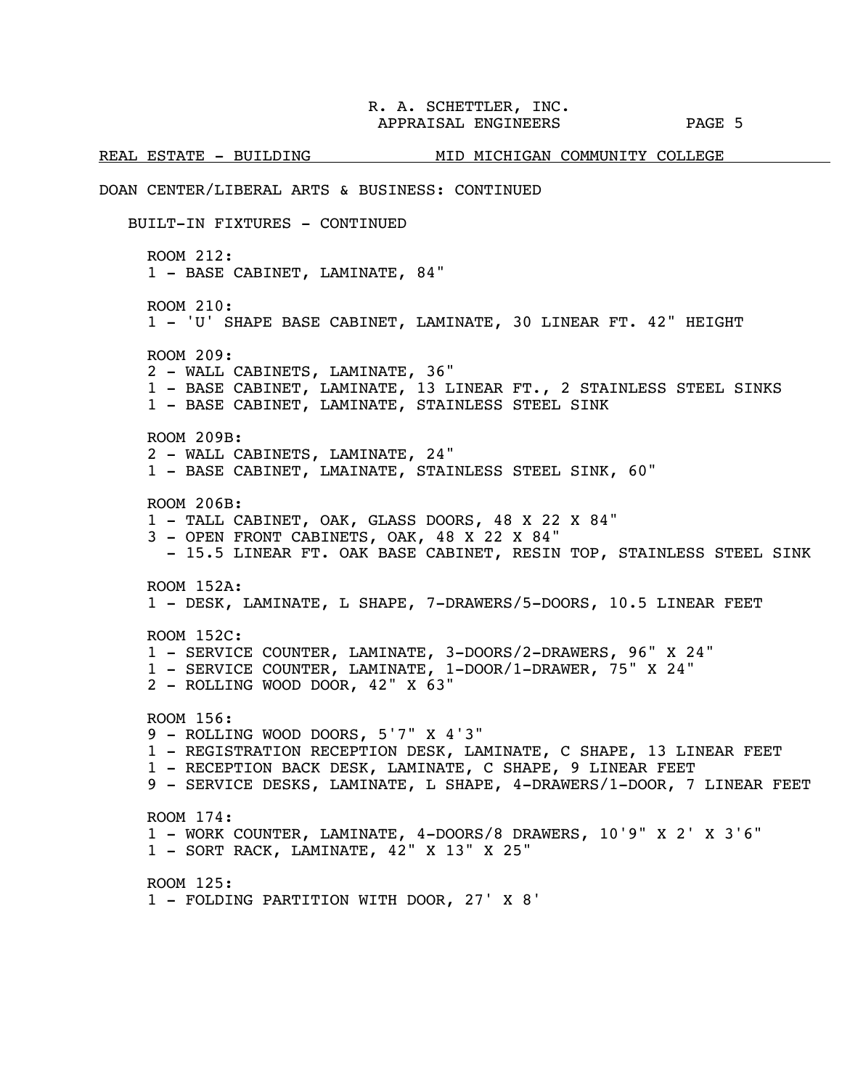REAL ESTATE - BUILDING MID MICHIGAN COMMUNITY COLLEGE DOAN CENTER/LIBERAL ARTS & BUSINESS: CONTINUED BUILT-IN FIXTURES - CONTINUED ROOM 212: 1 - BASE CABINET, LAMINATE, 84" ROOM 210: 1 - 'U' SHAPE BASE CABINET, LAMINATE, 30 LINEAR FT. 42" HEIGHT ROOM 209: 2 - WALL CABINETS, LAMINATE, 36" 1 - BASE CABINET, LAMINATE, 13 LINEAR FT., 2 STAINLESS STEEL SINKS 1 - BASE CABINET, LAMINATE, STAINLESS STEEL SINK ROOM 209B: 2 - WALL CABINETS, LAMINATE, 24" 1 - BASE CABINET, LMAINATE, STAINLESS STEEL SINK, 60" ROOM 206B: 1 - TALL CABINET, OAK, GLASS DOORS, 48 X 22 X 84" 3 - OPEN FRONT CABINETS, OAK, 48 X 22 X 84" - 15.5 LINEAR FT. OAK BASE CABINET, RESIN TOP, STAINLESS STEEL SINK ROOM 152A: 1 - DESK, LAMINATE, L SHAPE, 7-DRAWERS/5-DOORS, 10.5 LINEAR FEET ROOM 152C: 1 - SERVICE COUNTER, LAMINATE, 3-DOORS/2-DRAWERS, 96" X 24" 1 - SERVICE COUNTER, LAMINATE, 1-DOOR/1-DRAWER, 75" X 24" 2 - ROLLING WOOD DOOR, 42" X 63" ROOM 156: 9 - ROLLING WOOD DOORS, 5'7" X 4'3" 1 - REGISTRATION RECEPTION DESK, LAMINATE, C SHAPE, 13 LINEAR FEET 1 - RECEPTION BACK DESK, LAMINATE, C SHAPE, 9 LINEAR FEET 9 - SERVICE DESKS, LAMINATE, L SHAPE, 4-DRAWERS/1-DOOR, 7 LINEAR FEET ROOM 174: 1 - WORK COUNTER, LAMINATE, 4-DOORS/8 DRAWERS, 10'9" X 2' X 3'6" 1 - SORT RACK, LAMINATE, 42" X 13" X 25" ROOM 125: 1 - FOLDING PARTITION WITH DOOR, 27' X 8'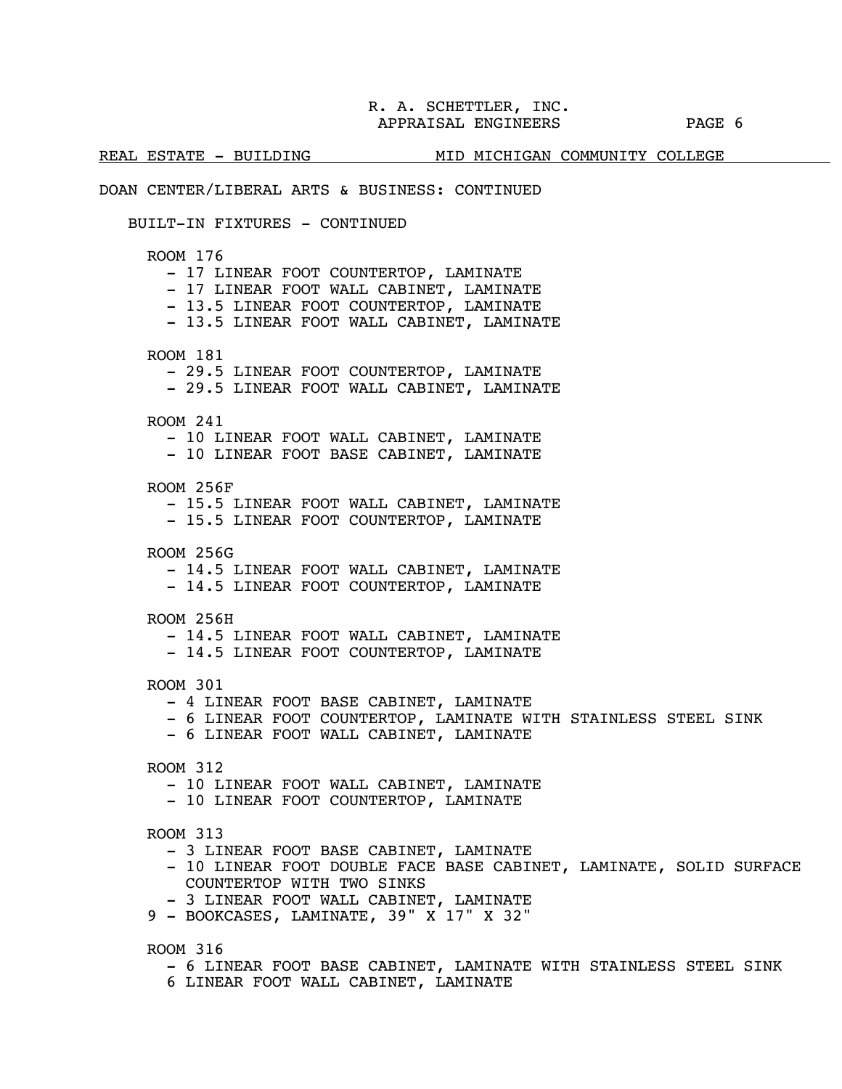REAL ESTATE - BUILDING MID MICHIGAN COMMUNITY COLLEGE

### DOAN CENTER/LIBERAL ARTS & BUSINESS: CONTINUED

### BUILT-IN FIXTURES - CONTINUED

ROOM 176

- 17 LINEAR FOOT COUNTERTOP, LAMINATE

- 17 LINEAR FOOT WALL CABINET, LAMINATE

- 13.5 LINEAR FOOT COUNTERTOP, LAMINATE

- 13.5 LINEAR FOOT WALL CABINET, LAMINATE

ROOM 181

- 29.5 LINEAR FOOT COUNTERTOP, LAMINATE

- 29.5 LINEAR FOOT WALL CABINET, LAMINATE
- ROOM 241

- 10 LINEAR FOOT WALL CABINET, LAMINATE

- 10 LINEAR FOOT BASE CABINET, LAMINATE

ROOM 256F

- 15.5 LINEAR FOOT WALL CABINET, LAMINATE

- 15.5 LINEAR FOOT COUNTERTOP, LAMINATE

- ROOM 256G
	- 14.5 LINEAR FOOT WALL CABINET, LAMINATE

- 14.5 LINEAR FOOT COUNTERTOP, LAMINATE

- ROOM 256H
	- 14.5 LINEAR FOOT WALL CABINET, LAMINATE
	- 14.5 LINEAR FOOT COUNTERTOP, LAMINATE

ROOM 301

- 4 LINEAR FOOT BASE CABINET, LAMINATE
- 6 LINEAR FOOT COUNTERTOP, LAMINATE WITH STAINLESS STEEL SINK
- 6 LINEAR FOOT WALL CABINET, LAMINATE

- 10 LINEAR FOOT WALL CABINET, LAMINATE
- 10 LINEAR FOOT COUNTERTOP, LAMINATE

### ROOM 313

- 3 LINEAR FOOT BASE CABINET, LAMINATE
- 10 LINEAR FOOT DOUBLE FACE BASE CABINET, LAMINATE, SOLID SURFACE COUNTERTOP WITH TWO SINKS
- 3 LINEAR FOOT WALL CABINET, LAMINATE
- 9 BOOKCASES, LAMINATE, 39" X 17" X 32"

ROOM 316

- 6 LINEAR FOOT BASE CABINET, LAMINATE WITH STAINLESS STEEL SINK
- 6 LINEAR FOOT WALL CABINET, LAMINATE

ROOM 312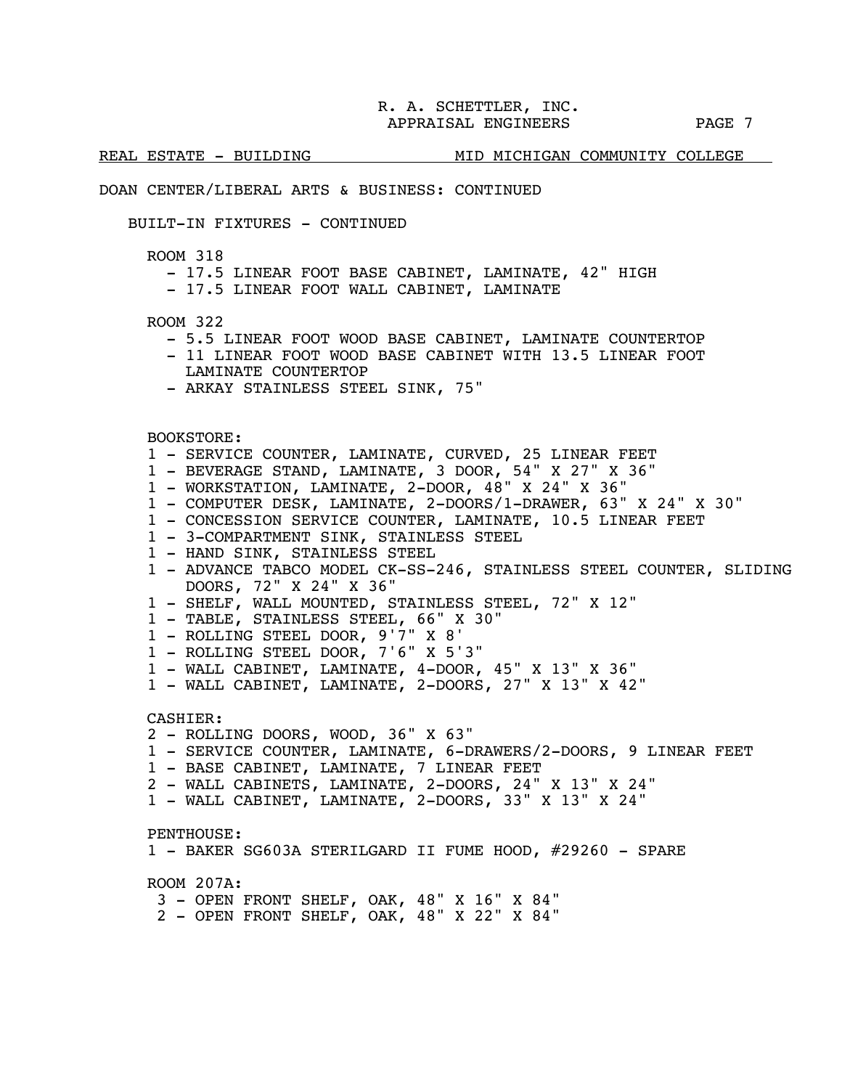j.

### REAL ESTATE - BUILDING MID MICHIGAN COMMUNITY COLLEGE

### DOAN CENTER/LIBERAL ARTS & BUSINESS: CONTINUED

### BUILT-IN FIXTURES - CONTINUED

ROOM 318

- 17.5 LINEAR FOOT BASE CABINET, LAMINATE, 42" HIGH
- 17.5 LINEAR FOOT WALL CABINET, LAMINATE

ROOM 322

- 5.5 LINEAR FOOT WOOD BASE CABINET, LAMINATE COUNTERTOP
- 11 LINEAR FOOT WOOD BASE CABINET WITH 13.5 LINEAR FOOT LAMINATE COUNTERTOP
- ARKAY STAINLESS STEEL SINK, 75"

BOOKSTORE:

- 1 SERVICE COUNTER, LAMINATE, CURVED, 25 LINEAR FEET
- 1 BEVERAGE STAND, LAMINATE, 3 DOOR, 54" X 27" X 36"
- 1 WORKSTATION, LAMINATE, 2-DOOR, 48" X 24" X 36"
- 1 COMPUTER DESK, LAMINATE, 2-DOORS/1-DRAWER, 63" X 24" X 30"
- 1 CONCESSION SERVICE COUNTER, LAMINATE, 10.5 LINEAR FEET
- 1 3-COMPARTMENT SINK, STAINLESS STEEL
- 1 HAND SINK, STAINLESS STEEL
- 1 ADVANCE TABCO MODEL CK-SS-246, STAINLESS STEEL COUNTER, SLIDING DOORS, 72" X 24" X 36"
- 1 SHELF, WALL MOUNTED, STAINLESS STEEL, 72" X 12"
- 1 TABLE, STAINLESS STEEL, 66" X 30"
- 1 ROLLING STEEL DOOR, 9'7" X 8'
- 1 ROLLING STEEL DOOR, 7'6" X 5'3"
- 1 WALL CABINET, LAMINATE, 4-DOOR, 45" X 13" X 36"
- 1 WALL CABINET, LAMINATE, 2-DOORS, 27" X 13" X 42"

CASHIER:

- 2 ROLLING DOORS, WOOD, 36" X 63"
- 1 SERVICE COUNTER, LAMINATE, 6-DRAWERS/2-DOORS, 9 LINEAR FEET
- 1 BASE CABINET, LAMINATE, 7 LINEAR FEET
- 2 WALL CABINETS, LAMINATE, 2-DOORS, 24" X 13" X 24"
- 1 WALL CABINET, LAMINATE, 2-DOORS, 33" X 13" X 24"

PENTHOUSE:

1 - BAKER SG603A STERILGARD II FUME HOOD, #29260 - SPARE

ROOM 207A:

- 3 OPEN FRONT SHELF, OAK, 48" X 16" X 84"
- 2 OPEN FRONT SHELF, OAK, 48" X 22" X 84"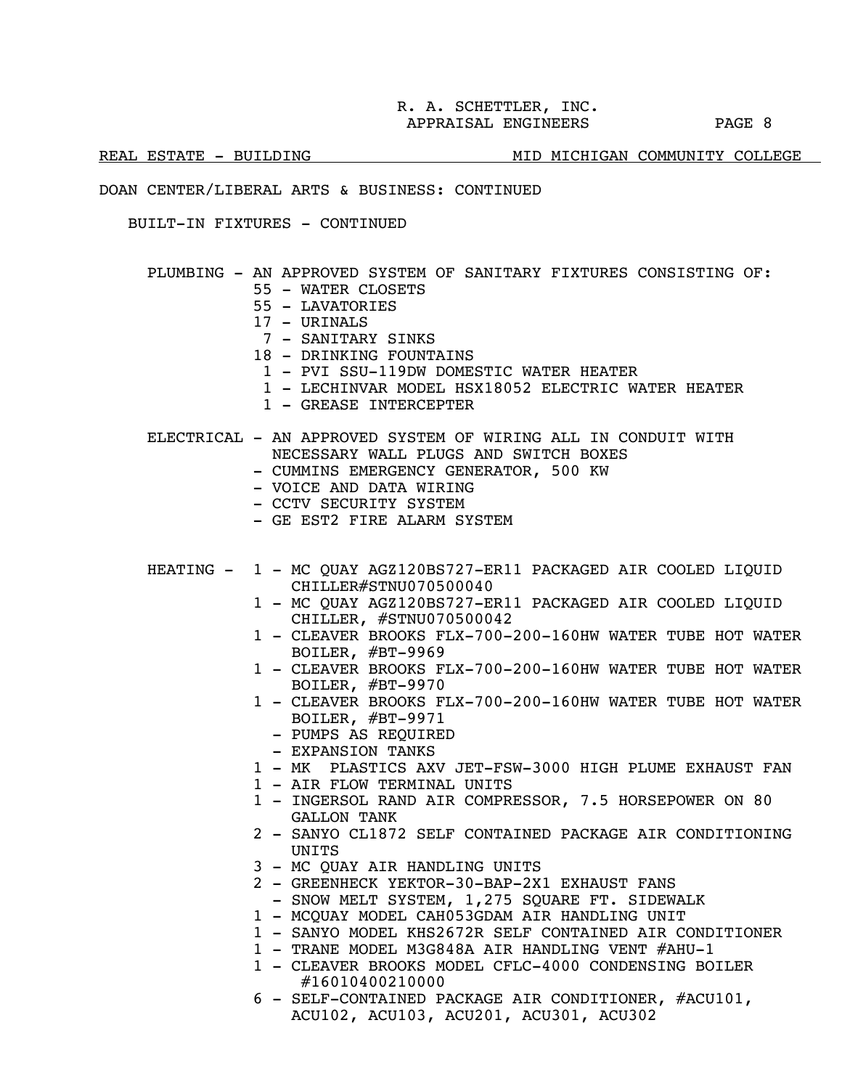### REAL ESTATE - BUILDING MEDIAL MID MICHIGAN COMMUNITY COLLEGE

### DOAN CENTER/LIBERAL ARTS & BUSINESS: CONTINUED

BUILT-IN FIXTURES - CONTINUED

### PLUMBING - AN APPROVED SYSTEM OF SANITARY FIXTURES CONSISTING OF:

- 55 WATER CLOSETS
- 55 LAVATORIES
- 17 URINALS
- 7 SANITARY SINKS
- 18 DRINKING FOUNTAINS
	- 1 PVI SSU-119DW DOMESTIC WATER HEATER
	- 1 LECHINVAR MODEL HSX18052 ELECTRIC WATER HEATER
- 1 GREASE INTERCEPTER
- ELECTRICAL AN APPROVED SYSTEM OF WIRING ALL IN CONDUIT WITH NECESSARY WALL PLUGS AND SWITCH BOXES
	- CUMMINS EMERGENCY GENERATOR, 500 KW
	- VOICE AND DATA WIRING
	- CCTV SECURITY SYSTEM
	- GE EST2 FIRE ALARM SYSTEM
- HEATING 1 MC QUAY AGZ120BS727-ER11 PACKAGED AIR COOLED LIQUID CHILLER#STNU070500040
	- 1 MC QUAY AGZ120BS727-ER11 PACKAGED AIR COOLED LIQUID CHILLER, #STNU070500042
	- 1 CLEAVER BROOKS FLX-700-200-160HW WATER TUBE HOT WATER BOILER, #BT-9969
	- 1 CLEAVER BROOKS FLX-700-200-160HW WATER TUBE HOT WATER BOILER, #BT-9970
	- 1 CLEAVER BROOKS FLX-700-200-160HW WATER TUBE HOT WATER BOILER, #BT-9971
		- PUMPS AS REQUIRED
		- EXPANSION TANKS
	- 1 MK PLASTICS AXV JET-FSW-3000 HIGH PLUME EXHAUST FAN
	- 1 AIR FLOW TERMINAL UNITS
	- 1 INGERSOL RAND AIR COMPRESSOR, 7.5 HORSEPOWER ON 80 GALLON TANK
	- 2 SANYO CL1872 SELF CONTAINED PACKAGE AIR CONDITIONING **UNTTS**
	- 3 MC QUAY AIR HANDLING UNITS
	- 2 GREENHECK YEKTOR-30-BAP-2X1 EXHAUST FANS
	- SNOW MELT SYSTEM, 1,275 SQUARE FT. SIDEWALK
	- 1 MCQUAY MODEL CAH053GDAM AIR HANDLING UNIT
	- 1 SANYO MODEL KHS2672R SELF CONTAINED AIR CONDITIONER
	- 1 TRANE MODEL M3G848A AIR HANDLING VENT #AHU-1
	- 1 CLEAVER BROOKS MODEL CFLC-4000 CONDENSING BOILER #16010400210000
	- 6 SELF-CONTAINED PACKAGE AIR CONDITIONER, #ACU101, ACU102, ACU103, ACU201, ACU301, ACU302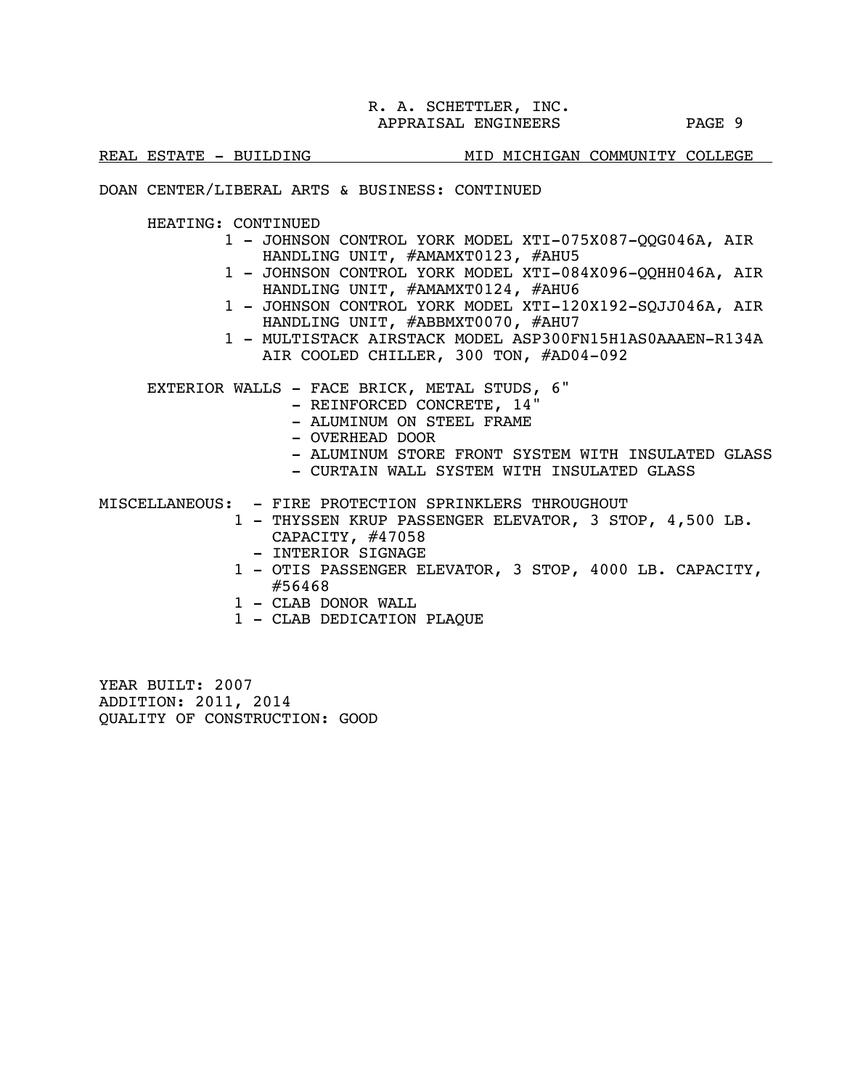j.

### REAL ESTATE - BUILDING MID MICHIGAN COMMUNITY COLLEGE

### DOAN CENTER/LIBERAL ARTS & BUSINESS: CONTINUED

HEATING: CONTINUED

- 1 JOHNSON CONTROL YORK MODEL XTI-075X087-QQG046A, AIR HANDLING UNIT, #AMAMXT0123, #AHU5
- 1 JOHNSON CONTROL YORK MODEL XTI-084X096-QQHH046A, AIR HANDLING UNIT, #AMAMXT0124, #AHU6
- 1 JOHNSON CONTROL YORK MODEL XTI-120X192-SQJJ046A, AIR HANDLING UNIT, #ABBMXT0070, #AHU7
- 1 MULTISTACK AIRSTACK MODEL ASP300FN15H1AS0AAAEN-R134A AIR COOLED CHILLER, 300 TON, #AD04-092

EXTERIOR WALLS - FACE BRICK, METAL STUDS, 6"

- REINFORCED CONCRETE, 14"
- ALUMINUM ON STEEL FRAME
- OVERHEAD DOOR
- ALUMINUM STORE FRONT SYSTEM WITH INSULATED GLASS
- CURTAIN WALL SYSTEM WITH INSULATED GLASS

MISCELLANEOUS: - FIRE PROTECTION SPRINKLERS THROUGHOUT

- 1 THYSSEN KRUP PASSENGER ELEVATOR, 3 STOP, 4,500 LB. CAPACITY, #47058
	- INTERIOR SIGNAGE
	- 1 OTIS PASSENGER ELEVATOR, 3 STOP, 4000 LB. CAPACITY, #56468
	- 1 CLAB DONOR WALL
	- 1 CLAB DEDICATION PLAQUE

YEAR BUILT: 2007 ADDITION: 2011, 2014 QUALITY OF CONSTRUCTION: GOOD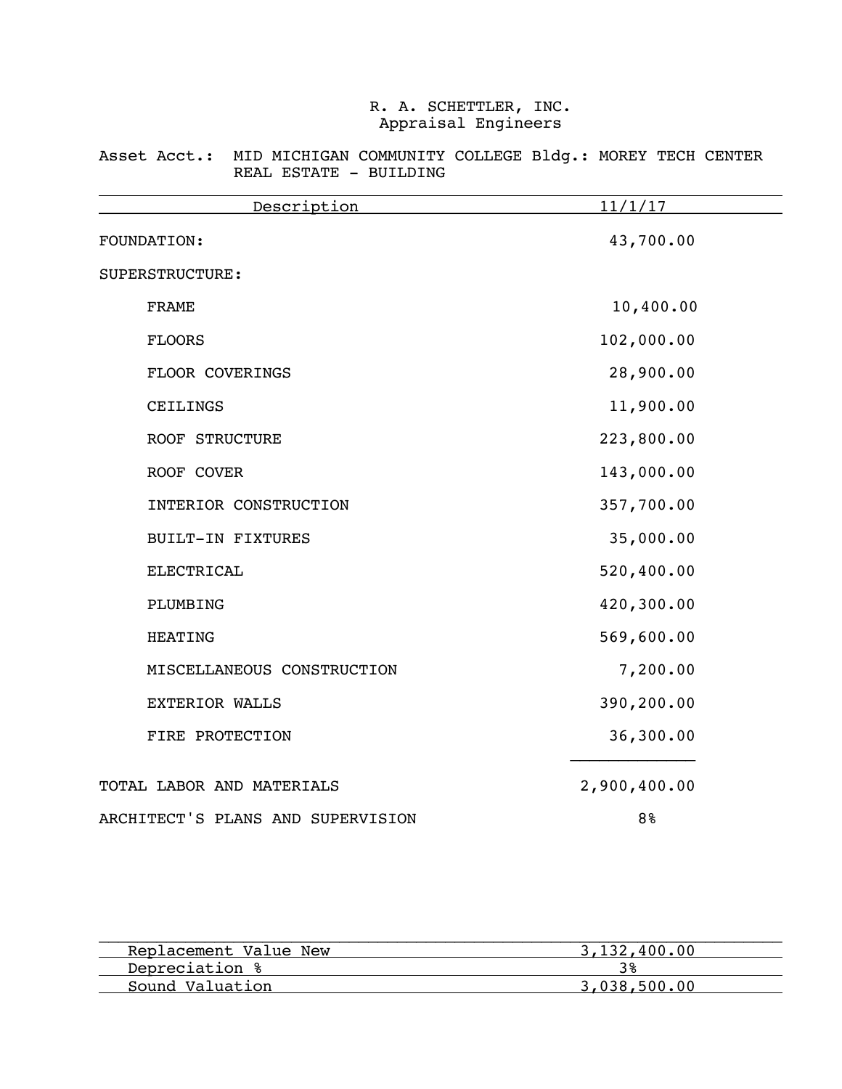Asset Acct.: MID MICHIGAN COMMUNITY COLLEGE Bldg.: MOREY TECH CENTER REAL ESTATE - BUILDING

| Description                       | 11/1/17        |
|-----------------------------------|----------------|
| FOUNDATION:                       | 43,700.00      |
| SUPERSTRUCTURE:                   |                |
| <b>FRAME</b>                      | 10,400.00      |
| <b>FLOORS</b>                     | 102,000.00     |
| FLOOR COVERINGS                   | 28,900.00      |
| CEILINGS                          | 11,900.00      |
| <b>ROOF STRUCTURE</b>             | 223,800.00     |
| ROOF COVER                        | 143,000.00     |
| INTERIOR CONSTRUCTION             | 357,700.00     |
| <b>BUILT-IN FIXTURES</b>          | 35,000.00      |
| <b>ELECTRICAL</b>                 | 520,400.00     |
| PLUMBING                          | 420,300.00     |
| <b>HEATING</b>                    | 569,600.00     |
| MISCELLANEOUS CONSTRUCTION        | 7,200.00       |
| EXTERIOR WALLS                    | 390,200.00     |
| FIRE PROTECTION                   | 36,300.00      |
| TOTAL LABOR AND MATERIALS         | 2,900,400.00   |
| ARCHITECT'S PLANS AND SUPERVISION | 8 <sup>°</sup> |

| Replacement Value New | 3,132,400.00 |
|-----------------------|--------------|
| Depreciation %        |              |
| Sound Valuation       | 3,038,500,00 |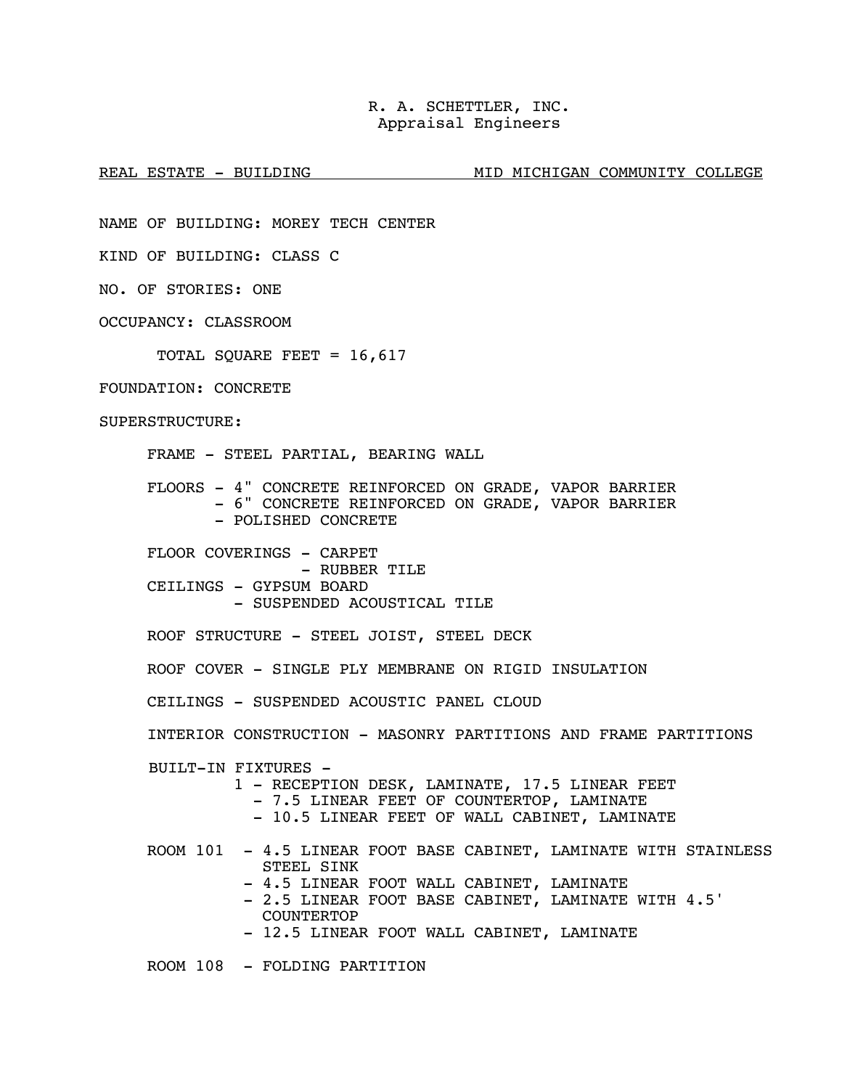REAL ESTATE - BUILDING MID MID MICHIGAN COMMUNITY COLLEGE

NAME OF BUILDING: MOREY TECH CENTER

KIND OF BUILDING: CLASS C

NO. OF STORIES: ONE

OCCUPANCY: CLASSROOM

TOTAL SQUARE FEET = 16,617

### FOUNDATION: CONCRETE

SUPERSTRUCTURE:

FRAME - STEEL PARTIAL, BEARING WALL

FLOORS - 4" CONCRETE REINFORCED ON GRADE, VAPOR BARRIER

- 6" CONCRETE REINFORCED ON GRADE, VAPOR BARRIER
	- POLISHED CONCRETE

FLOOR COVERINGS - CARPET - RUBBER TILE CEILINGS - GYPSUM BOARD - SUSPENDED ACOUSTICAL TILE

ROOF STRUCTURE - STEEL JOIST, STEEL DECK

ROOF COVER - SINGLE PLY MEMBRANE ON RIGID INSULATION

CEILINGS - SUSPENDED ACOUSTIC PANEL CLOUD

INTERIOR CONSTRUCTION - MASONRY PARTITIONS AND FRAME PARTITIONS

BUILT-IN FIXTURES -

- 1 RECEPTION DESK, LAMINATE, 17.5 LINEAR FEET<br>- 7.5 LINEAR FEET OF COUNTERTOP, LAMINATE
	-
	- 10.5 LINEAR FEET OF WALL CABINET, LAMINATE

 ROOM 101 - 4.5 LINEAR FOOT BASE CABINET, LAMINATE WITH STAINLESS STEEL SINK

- 4.5 LINEAR FOOT WALL CABINET, LAMINATE
- 2.5 LINEAR FOOT BASE CABINET, LAMINATE WITH 4.5' COUNTERTOP
- 12.5 LINEAR FOOT WALL CABINET, LAMINATE

ROOM 108 - FOLDING PARTITION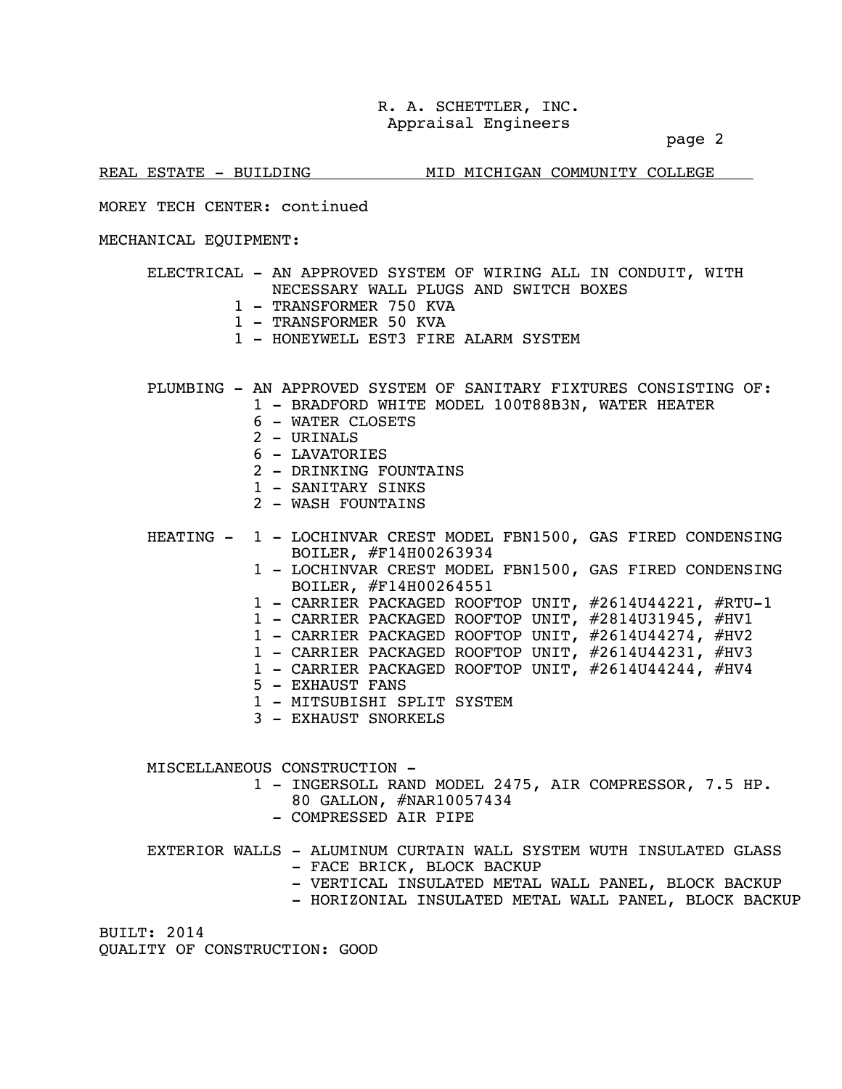page 2

REAL ESTATE - BUILDING MID MICHIGAN COMMUNITY COLLEGE

### MOREY TECH CENTER: continued

### MECHANICAL EQUIPMENT:

- ELECTRICAL AN APPROVED SYSTEM OF WIRING ALL IN CONDUIT, WITH NECESSARY WALL PLUGS AND SWITCH BOXES
	- 1 TRANSFORMER 750 KVA
	- 1 TRANSFORMER 50 KVA
	- 1 HONEYWELL EST3 FIRE ALARM SYSTEM

PLUMBING - AN APPROVED SYSTEM OF SANITARY FIXTURES CONSISTING OF:

- 1 BRADFORD WHITE MODEL 100T88B3N, WATER HEATER
- 6 WATER CLOSETS
- 2 URINALS
- 6 LAVATORIES
- 2 DRINKING FOUNTAINS
- 1 SANTTARY SINKS
- 2 WASH FOUNTAINS

 HEATING - 1 - LOCHINVAR CREST MODEL FBN1500, GAS FIRED CONDENSING BOILER, #F14H00263934

- 1 LOCHINVAR CREST MODEL FBN1500, GAS FIRED CONDENSING BOILER, #F14H00264551
- 1 CARRIER PACKAGED ROOFTOP UNIT, #2614U44221, #RTU-1
- 1 CARRIER PACKAGED ROOFTOP UNIT, #2814U31945, #HV1
- 1 CARRIER PACKAGED ROOFTOP UNIT, #2614U44274, #HV2
- 1 CARRIER PACKAGED ROOFTOP UNIT, #2614U44231, #HV3
- 1 CARRIER PACKAGED ROOFTOP UNIT, #2614U44244, #HV4
- 5 EXHAUST FANS
- 1 MITSUBISHI SPLIT SYSTEM
- 3 EXHAUST SNORKELS

MISCELLANEOUS CONSTRUCTION -

- 1 INGERSOLL RAND MODEL 2475, AIR COMPRESSOR, 7.5 HP. 80 GALLON, #NAR10057434<br>- COMPRESSED AIR PIPE
	-
- EXTERIOR WALLS ALUMINUM CURTAIN WALL SYSTEM WUTH INSULATED GLASS - FACE BRICK, BLOCK BACKUP
	- VERTICAL INSULATED METAL WALL PANEL, BLOCK BACKUP
	- HORIZONIAL INSULATED METAL WALL PANEL, BLOCK BACKUP

BUILT: 2014 QUALITY OF CONSTRUCTION: GOOD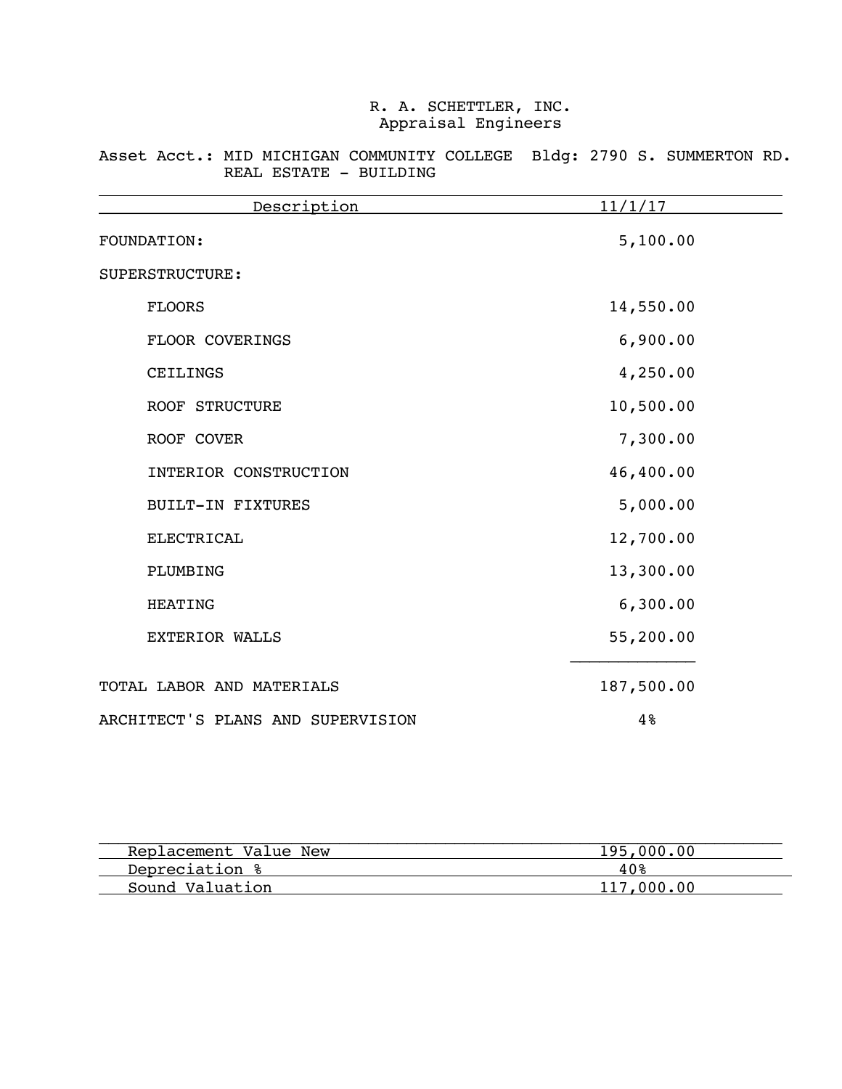|  |  | Asset Acct.: MID MICHIGAN COMMUNITY COLLEGE Bldg: 2790 S. SUMMERTON RD. |  |  |  |
|--|--|-------------------------------------------------------------------------|--|--|--|
|  |  | REAL ESTATE - BUILDING                                                  |  |  |  |

| Description                       | 11/1/17    |
|-----------------------------------|------------|
| FOUNDATION:                       | 5,100.00   |
| SUPERSTRUCTURE:                   |            |
| <b>FLOORS</b>                     | 14,550.00  |
| FLOOR COVERINGS                   | 6,900.00   |
| CEILINGS                          | 4,250.00   |
| <b>ROOF STRUCTURE</b>             | 10,500.00  |
| ROOF COVER                        | 7,300.00   |
| INTERIOR CONSTRUCTION             | 46,400.00  |
| <b>BUILT-IN FIXTURES</b>          | 5,000.00   |
| <b>ELECTRICAL</b>                 | 12,700.00  |
| PLUMBING                          | 13,300.00  |
| <b>HEATING</b>                    | 6,300.00   |
| <b>EXTERIOR WALLS</b>             | 55,200.00  |
| TOTAL LABOR AND MATERIALS         | 187,500.00 |
| ARCHITECT'S PLANS AND SUPERVISION | 4%         |

| Replacement Value New | 195,000,00 |
|-----------------------|------------|
| Depreciation %        | 40%        |
| Sound Valuation       | 117.000.00 |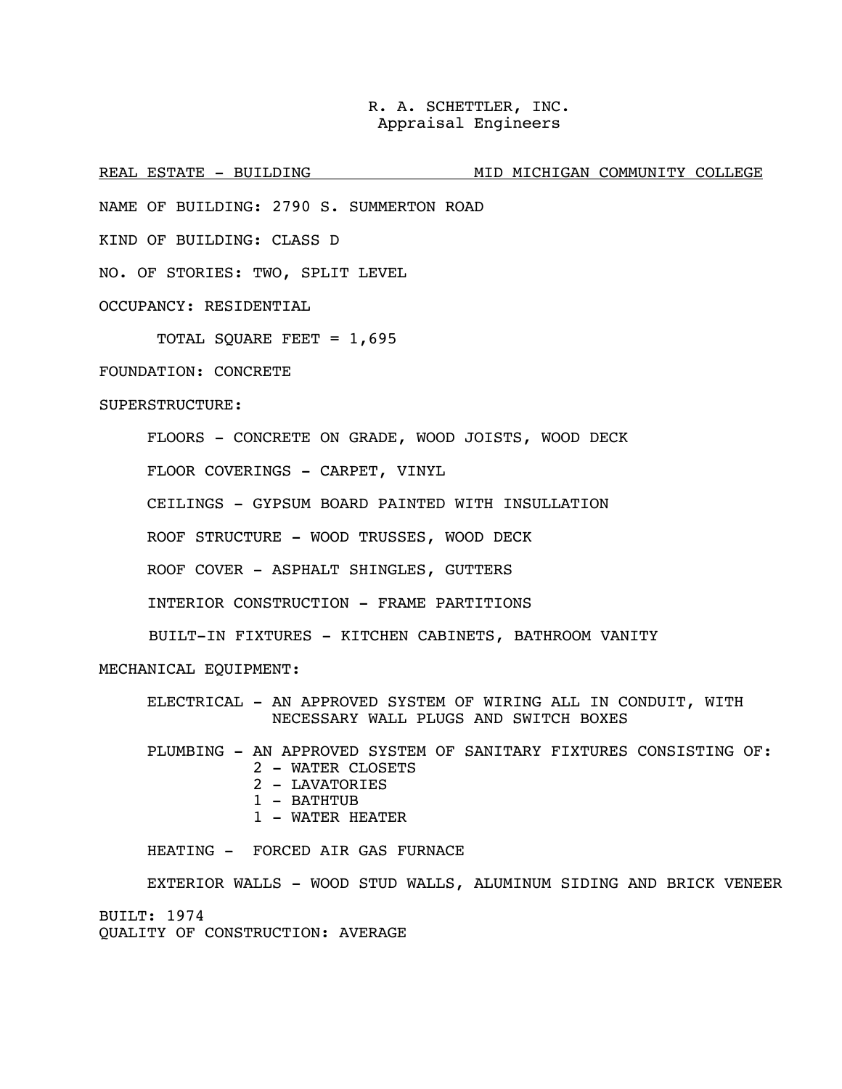REAL ESTATE - BUILDING MID MICHIGAN COMMUNITY COLLEGE

NAME OF BUILDING: 2790 S. SUMMERTON ROAD

KIND OF BUILDING: CLASS D

NO. OF STORIES: TWO, SPLIT LEVEL

OCCUPANCY: RESIDENTIAL

TOTAL SQUARE FEET = 1,695

FOUNDATION: CONCRETE

### SUPERSTRUCTURE:

FLOORS - CONCRETE ON GRADE, WOOD JOISTS, WOOD DECK

FLOOR COVERINGS - CARPET, VINYL

CEILINGS - GYPSUM BOARD PAINTED WITH INSULLATION

ROOF STRUCTURE - WOOD TRUSSES, WOOD DECK

ROOF COVER - ASPHALT SHINGLES, GUTTERS

INTERIOR CONSTRUCTION - FRAME PARTITIONS

BUILT-IN FIXTURES - KITCHEN CABINETS, BATHROOM VANITY

MECHANICAL EQUIPMENT:

 ELECTRICAL - AN APPROVED SYSTEM OF WIRING ALL IN CONDUIT, WITH NECESSARY WALL PLUGS AND SWITCH BOXES

 PLUMBING - AN APPROVED SYSTEM OF SANITARY FIXTURES CONSISTING OF: 2 - WATER CLOSETS 2 - LAVATORIES 1 - BATHTUB

1 - WATER HEATER

HEATING - FORCED AIR GAS FURNACE

EXTERIOR WALLS - WOOD STUD WALLS, ALUMINUM SIDING AND BRICK VENEER BUILT: 1974 QUALITY OF CONSTRUCTION: AVERAGE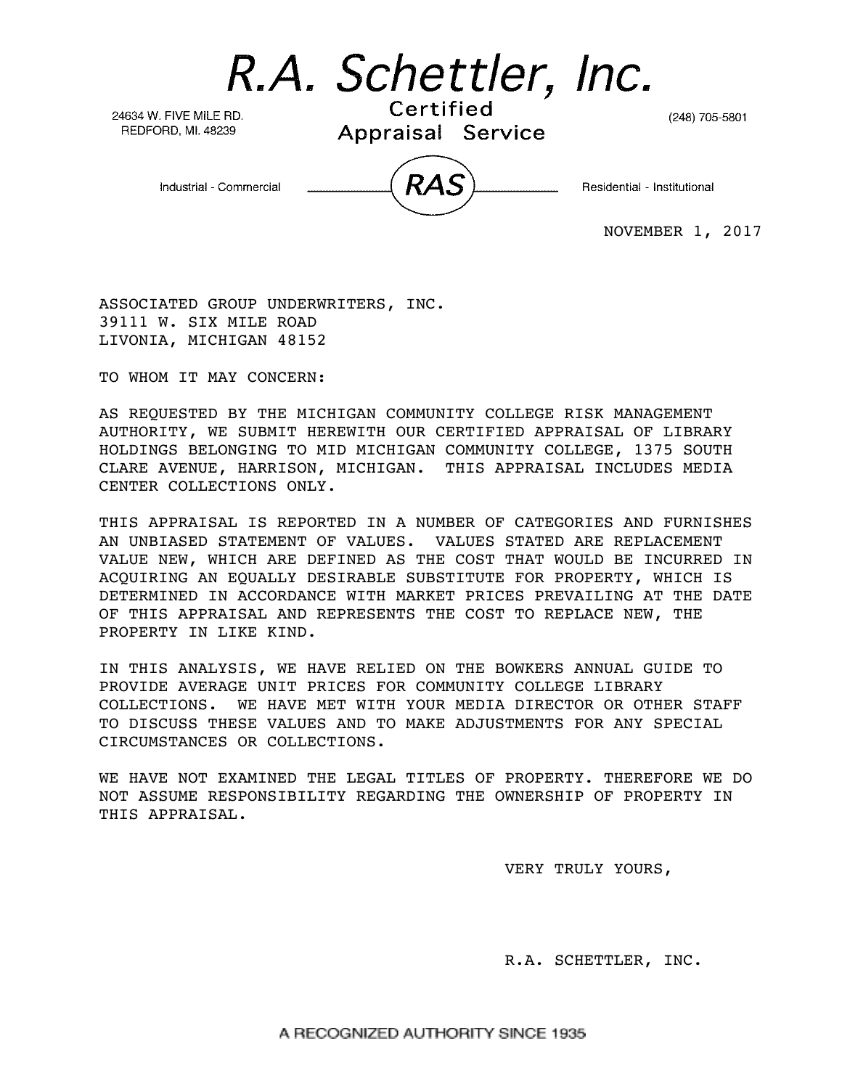R.A. Schettler, Inc.

24634 W. FIVE MILE RD. REDFORD, MI. 48239

Certified Appraisal Service

(248) 705-5801

Industrial - Commercial

Residential - Institutional

NOVEMBER 1, 2017

ASSOCIATED GROUP UNDERWRITERS, INC. 39111 W. SIX MILE ROAD LIVONIA, MICHIGAN 48152

TO WHOM IT MAY CONCERN:

AS REQUESTED BY THE MICHIGAN COMMUNITY COLLEGE RISK MANAGEMENT AUTHORITY, WE SUBMIT HEREWITH OUR CERTIFIED APPRAISAL OF LIBRARY HOLDINGS BELONGING TO MID MICHIGAN COMMUNITY COLLEGE, 1375 SOUTH CLARE AVENUE, HARRISON, MICHIGAN. THIS APPRAISAL INCLUDES MEDIA CENTER COLLECTIONS ONLY.

THIS APPRAISAL IS REPORTED IN A NUMBER OF CATEGORIES AND FURNISHES AN UNBIASED STATEMENT OF VALUES. VALUES STATED ARE REPLACEMENT VALUE NEW, WHICH ARE DEFINED AS THE COST THAT WOULD BE INCURRED IN ACQUIRING AN EQUALLY DESIRABLE SUBSTITUTE FOR PROPERTY, WHICH IS DETERMINED IN ACCORDANCE WITH MARKET PRICES PREVAILING AT THE DATE OF THIS APPRAISAL AND REPRESENTS THE COST TO REPLACE NEW, THE PROPERTY IN LIKE KIND.

IN THIS ANALYSIS, WE HAVE RELIED ON THE BOWKERS ANNUAL GUIDE TO PROVIDE AVERAGE UNIT PRICES FOR COMMUNITY COLLEGE LIBRARY COLLECTIONS. WE HAVE MET WITH YOUR MEDIA DIRECTOR OR OTHER STAFF TO DISCUSS THESE VALUES AND TO MAKE ADJUSTMENTS FOR ANY SPECIAL CIRCUMSTANCES OR COLLECTIONS.

WE HAVE NOT EXAMINED THE LEGAL TITLES OF PROPERTY. THEREFORE WE DO NOT ASSUME RESPONSIBILITY REGARDING THE OWNERSHIP OF PROPERTY IN THIS APPRAISAL.

VERY TRULY YOURS,

R.A. SCHETTLER, INC.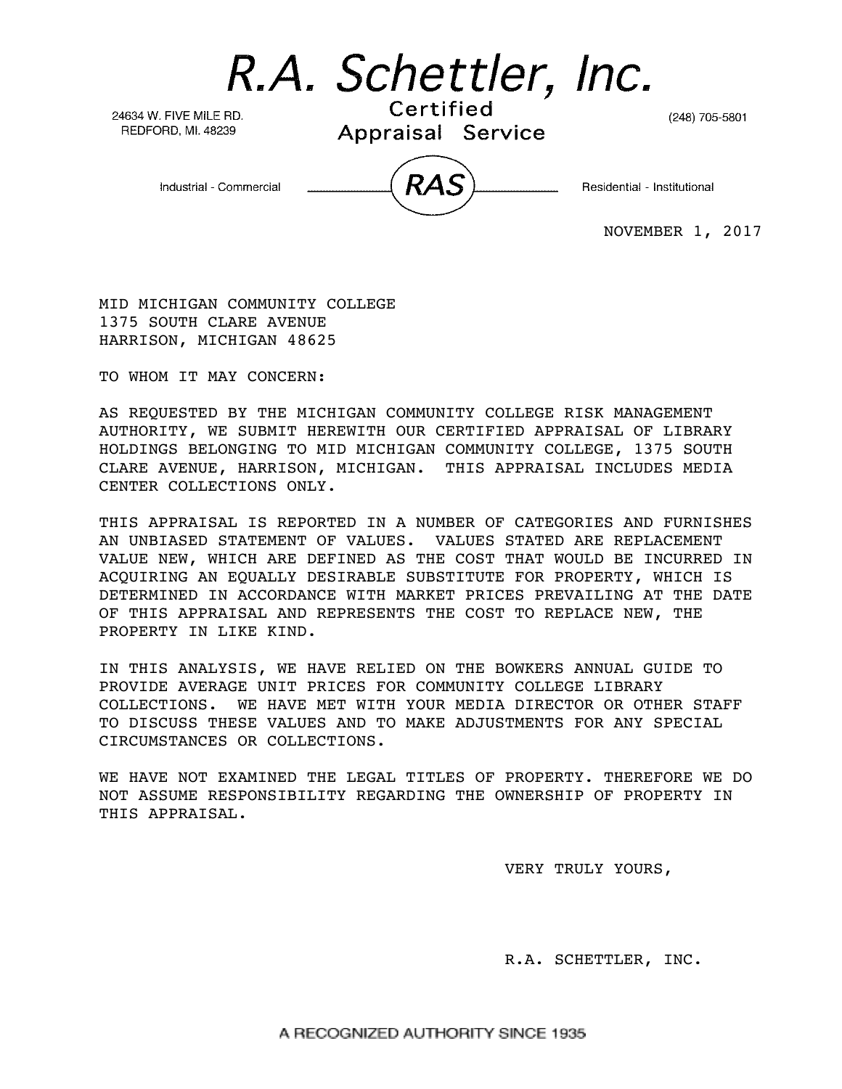R.A. Schettler, Inc.

24634 W. FIVE MILE RD. REDFORD, MI. 48239

Certified Appraisal Service

(248) 705-5801

Industrial - Commercial

Residential - Institutional

NOVEMBER 1, 2017

MID MICHIGAN COMMUNITY COLLEGE 1375 SOUTH CLARE AVENUE HARRISON, MICHIGAN 48625

TO WHOM IT MAY CONCERN:

AS REQUESTED BY THE MICHIGAN COMMUNITY COLLEGE RISK MANAGEMENT AUTHORITY, WE SUBMIT HEREWITH OUR CERTIFIED APPRAISAL OF LIBRARY HOLDINGS BELONGING TO MID MICHIGAN COMMUNITY COLLEGE, 1375 SOUTH CLARE AVENUE, HARRISON, MICHIGAN. THIS APPRAISAL INCLUDES MEDIA CENTER COLLECTIONS ONLY.

THIS APPRAISAL IS REPORTED IN A NUMBER OF CATEGORIES AND FURNISHES AN UNBIASED STATEMENT OF VALUES. VALUES STATED ARE REPLACEMENT VALUE NEW, WHICH ARE DEFINED AS THE COST THAT WOULD BE INCURRED IN ACQUIRING AN EQUALLY DESIRABLE SUBSTITUTE FOR PROPERTY, WHICH IS DETERMINED IN ACCORDANCE WITH MARKET PRICES PREVAILING AT THE DATE OF THIS APPRAISAL AND REPRESENTS THE COST TO REPLACE NEW, THE PROPERTY IN LIKE KIND.

IN THIS ANALYSIS, WE HAVE RELIED ON THE BOWKERS ANNUAL GUIDE TO PROVIDE AVERAGE UNIT PRICES FOR COMMUNITY COLLEGE LIBRARY COLLECTIONS. WE HAVE MET WITH YOUR MEDIA DIRECTOR OR OTHER STAFF TO DISCUSS THESE VALUES AND TO MAKE ADJUSTMENTS FOR ANY SPECIAL CIRCUMSTANCES OR COLLECTIONS.

WE HAVE NOT EXAMINED THE LEGAL TITLES OF PROPERTY. THEREFORE WE DO NOT ASSUME RESPONSIBILITY REGARDING THE OWNERSHIP OF PROPERTY IN THIS APPRAISAL.

VERY TRULY YOURS,

R.A. SCHETTLER, INC.

A RECOGNIZED AUTHORITY SINCE 1935